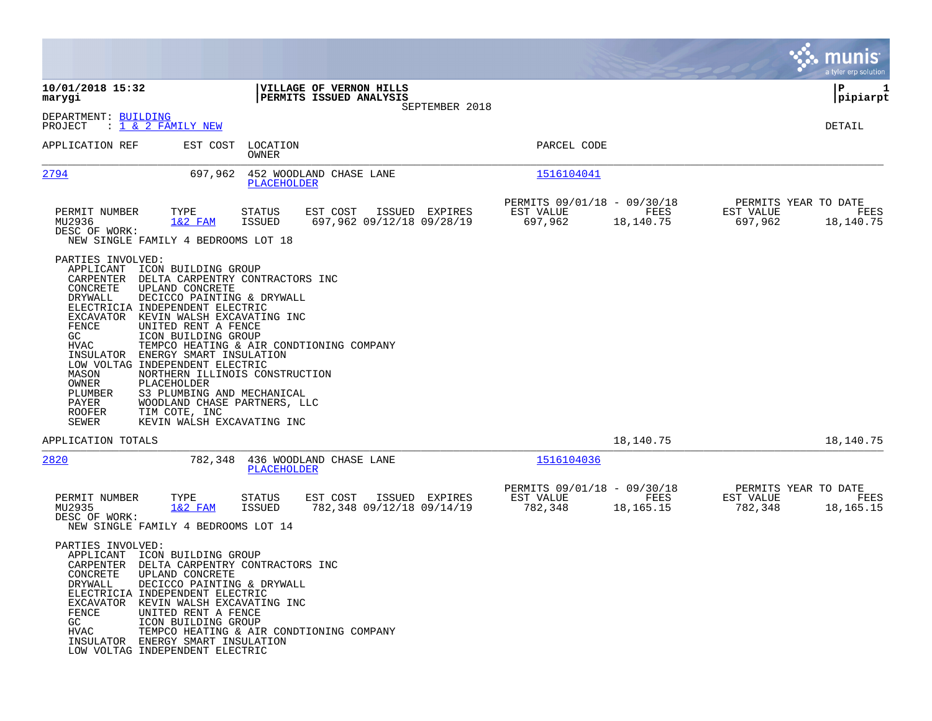|                                                                                                                                                                                                                                                                                                                                                                                                                                                                                                                                                                                                                               |                                                                             |                                                     |                   | munis<br>a tyler erp solution                                     |
|-------------------------------------------------------------------------------------------------------------------------------------------------------------------------------------------------------------------------------------------------------------------------------------------------------------------------------------------------------------------------------------------------------------------------------------------------------------------------------------------------------------------------------------------------------------------------------------------------------------------------------|-----------------------------------------------------------------------------|-----------------------------------------------------|-------------------|-------------------------------------------------------------------|
| 10/01/2018 15:32<br>marygi                                                                                                                                                                                                                                                                                                                                                                                                                                                                                                                                                                                                    | VILLAGE OF VERNON HILLS<br>PERMITS ISSUED ANALYSIS                          |                                                     |                   | l P<br>1<br> pipiarpt                                             |
| DEPARTMENT: BUILDING<br>PROJECT<br>: <u>1 &amp; 2 FAMILY NEW</u>                                                                                                                                                                                                                                                                                                                                                                                                                                                                                                                                                              | SEPTEMBER 2018                                                              |                                                     |                   | DETAIL                                                            |
| APPLICATION REF                                                                                                                                                                                                                                                                                                                                                                                                                                                                                                                                                                                                               | EST COST LOCATION<br>OWNER                                                  | PARCEL CODE                                         |                   |                                                                   |
| 2794<br>697,962                                                                                                                                                                                                                                                                                                                                                                                                                                                                                                                                                                                                               | 452 WOODLAND CHASE LANE<br><b>PLACEHOLDER</b>                               | 1516104041                                          |                   |                                                                   |
| PERMIT NUMBER<br>TYPE<br>MU2936<br>$1&2$ FAM<br>DESC OF WORK:<br>NEW SINGLE FAMILY 4 BEDROOMS LOT 18                                                                                                                                                                                                                                                                                                                                                                                                                                                                                                                          | STATUS<br>EST COST<br>ISSUED EXPIRES<br>697,962 09/12/18 09/28/19<br>ISSUED | PERMITS 09/01/18 - 09/30/18<br>EST VALUE<br>697,962 | FEES<br>18,140.75 | PERMITS YEAR TO DATE<br>EST VALUE<br>FEES<br>697,962<br>18,140.75 |
| PARTIES INVOLVED:<br>APPLICANT ICON BUILDING GROUP<br>CARPENTER<br>DELTA CARPENTRY CONTRACTORS INC<br>CONCRETE<br>UPLAND CONCRETE<br>DRYWALL<br>DECICCO PAINTING & DRYWALL<br>ELECTRICIA INDEPENDENT ELECTRIC<br>EXCAVATOR KEVIN WALSH EXCAVATING INC<br>FENCE<br>UNITED RENT A FENCE<br>GC.<br>ICON BUILDING GROUP<br>HVAC<br>INSULATOR<br>ENERGY SMART INSULATION<br>LOW VOLTAG INDEPENDENT ELECTRIC<br>MASON<br>NORTHERN ILLINOIS CONSTRUCTION<br>OWNER<br>PLACEHOLDER<br>S3 PLUMBING AND MECHANICAL<br>PLUMBER<br>PAYER<br>WOODLAND CHASE PARTNERS, LLC<br>ROOFER<br>TIM COTE, INC<br>SEWER<br>KEVIN WALSH EXCAVATING INC | TEMPCO HEATING & AIR CONDTIONING COMPANY                                    |                                                     |                   |                                                                   |
| APPLICATION TOTALS                                                                                                                                                                                                                                                                                                                                                                                                                                                                                                                                                                                                            |                                                                             |                                                     | 18,140.75         | 18,140.75                                                         |
| 2820                                                                                                                                                                                                                                                                                                                                                                                                                                                                                                                                                                                                                          | 782,348 436 WOODLAND CHASE LANE<br><b>PLACEHOLDER</b>                       | 1516104036                                          |                   |                                                                   |
| PERMIT NUMBER<br>TYPE<br>MU2935<br>$1&2$ FAM<br>DESC OF WORK:<br>NEW SINGLE FAMILY 4 BEDROOMS LOT 14                                                                                                                                                                                                                                                                                                                                                                                                                                                                                                                          | EST COST<br>ISSUED EXPIRES<br>STATUS<br>782,348 09/12/18 09/14/19<br>ISSUED | PERMITS 09/01/18 - 09/30/18<br>EST VALUE<br>782,348 | FEES<br>18,165.15 | PERMITS YEAR TO DATE<br>EST VALUE<br>FEES<br>782,348<br>18,165.15 |
| PARTIES INVOLVED:<br>APPLICANT ICON BUILDING GROUP<br>CARPENTER DELTA CARPENTRY CONTRACTORS INC<br>CONCRETE<br>UPLAND CONCRETE<br>DRYWALL<br>DECICCO PAINTING & DRYWALL<br>ELECTRICIA INDEPENDENT ELECTRIC<br>EXCAVATOR KEVIN WALSH EXCAVATING INC<br>FENCE<br>UNITED RENT A FENCE<br>GC<br>ICON BUILDING GROUP<br>${\tt HVAC}$<br>INSULATOR ENERGY SMART INSULATION<br>LOW VOLTAG INDEPENDENT ELECTRIC                                                                                                                                                                                                                       | TEMPCO HEATING & AIR CONDTIONING COMPANY                                    |                                                     |                   |                                                                   |

**Contract**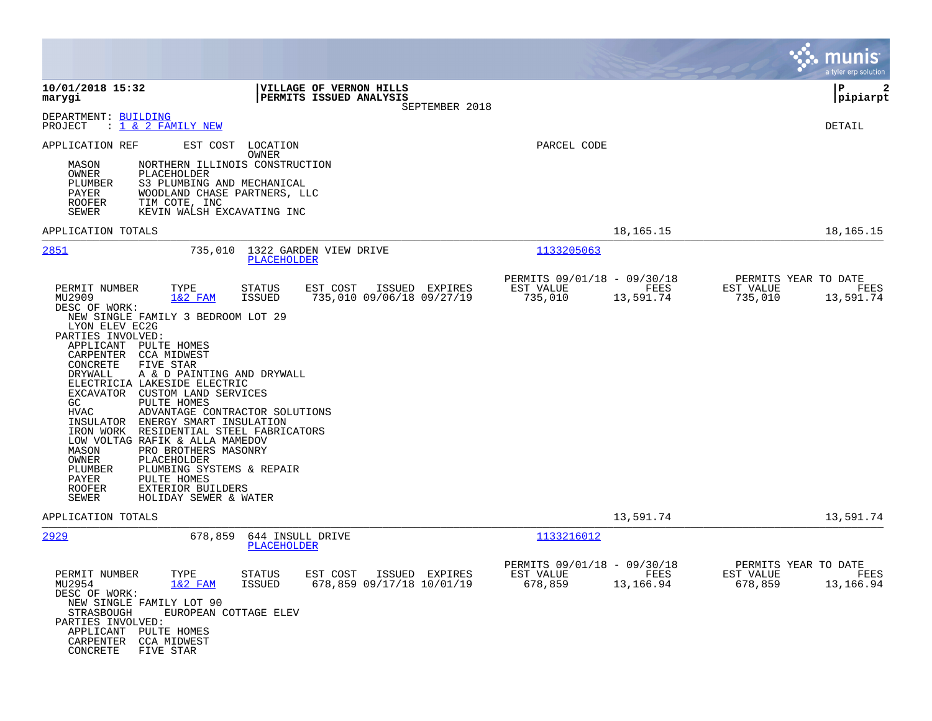|                                                                                                                                                                                                                                                                                                                                                                                                                                                                                                                                                                                                                                                                                                                                                                                                                                      |                                                                          | munis<br>a tyler erp solution                                     |
|--------------------------------------------------------------------------------------------------------------------------------------------------------------------------------------------------------------------------------------------------------------------------------------------------------------------------------------------------------------------------------------------------------------------------------------------------------------------------------------------------------------------------------------------------------------------------------------------------------------------------------------------------------------------------------------------------------------------------------------------------------------------------------------------------------------------------------------|--------------------------------------------------------------------------|-------------------------------------------------------------------|
| 10/01/2018 15:32<br><b>VILLAGE OF VERNON HILLS</b><br>PERMITS ISSUED ANALYSIS<br>marygi<br>SEPTEMBER 2018                                                                                                                                                                                                                                                                                                                                                                                                                                                                                                                                                                                                                                                                                                                            |                                                                          | lР<br>$\overline{\mathbf{2}}$<br> pipiarpt                        |
| DEPARTMENT: BUILDING<br>PROJECT<br>: <u>1 &amp; 2 FAMILY NEW</u>                                                                                                                                                                                                                                                                                                                                                                                                                                                                                                                                                                                                                                                                                                                                                                     |                                                                          | DETAIL                                                            |
| APPLICATION REF<br>EST COST<br>LOCATION<br>OWNER<br>MASON<br>NORTHERN ILLINOIS CONSTRUCTION<br>OWNER<br>PLACEHOLDER<br>PLUMBER<br>S3 PLUMBING AND MECHANICAL<br>WOODLAND CHASE PARTNERS, LLC<br>PAYER<br>TIM COTE, INC<br><b>ROOFER</b><br>KEVIN WALSH EXCAVATING INC<br>SEWER                                                                                                                                                                                                                                                                                                                                                                                                                                                                                                                                                       | PARCEL CODE                                                              |                                                                   |
| APPLICATION TOTALS                                                                                                                                                                                                                                                                                                                                                                                                                                                                                                                                                                                                                                                                                                                                                                                                                   | 18,165.15                                                                | 18,165.15                                                         |
| 2851<br>735,010<br>1322 GARDEN VIEW DRIVE<br>PLACEHOLDER                                                                                                                                                                                                                                                                                                                                                                                                                                                                                                                                                                                                                                                                                                                                                                             | 1133205063                                                               |                                                                   |
| PERMIT NUMBER<br>TYPE<br><b>STATUS</b><br>EST COST<br>ISSUED EXPIRES<br>$1&2$ FAM<br>735,010 09/06/18 09/27/19<br>MU2909<br><b>ISSUED</b><br>DESC OF WORK:<br>NEW SINGLE FAMILY 3 BEDROOM LOT 29<br>LYON ELEV EC2G<br>PARTIES INVOLVED:<br>APPLICANT<br>PULTE HOMES<br>CARPENTER<br>CCA MIDWEST<br>CONCRETE<br>FIVE STAR<br>DRYWALL<br>A & D PAINTING AND DRYWALL<br>ELECTRICIA LAKESIDE ELECTRIC<br>EXCAVATOR CUSTOM LAND SERVICES<br>GC.<br>PULTE HOMES<br><b>HVAC</b><br>ADVANTAGE CONTRACTOR SOLUTIONS<br>INSULATOR<br>ENERGY SMART INSULATION<br>IRON WORK<br>RESIDENTIAL STEEL FABRICATORS<br>LOW VOLTAG RAFIK & ALLA MAMEDOV<br>PRO BROTHERS MASONRY<br>MASON<br>OWNER<br>PLACEHOLDER<br>PLUMBING SYSTEMS & REPAIR<br>PLUMBER<br>PULTE HOMES<br>PAYER<br>EXTERIOR BUILDERS<br><b>ROOFER</b><br>SEWER<br>HOLIDAY SEWER & WATER | PERMITS 09/01/18 - 09/30/18<br>EST VALUE<br>FEES<br>735,010<br>13,591.74 | PERMITS YEAR TO DATE<br>EST VALUE<br>FEES<br>735,010<br>13,591.74 |
| APPLICATION TOTALS                                                                                                                                                                                                                                                                                                                                                                                                                                                                                                                                                                                                                                                                                                                                                                                                                   | 13,591.74                                                                | 13,591.74                                                         |
| <u>2929</u><br>678,859<br>644 INSULL DRIVE<br><b>PLACEHOLDER</b>                                                                                                                                                                                                                                                                                                                                                                                                                                                                                                                                                                                                                                                                                                                                                                     | 1133216012                                                               |                                                                   |
| PERMIT NUMBER<br>TYPE<br><b>STATUS</b><br>EST COST<br>ISSUED EXPIRES<br>MU2954<br>$1&2$ FAM<br>678,859 09/17/18 10/01/19<br><b>ISSUED</b><br>DESC OF WORK:<br>NEW SINGLE FAMILY LOT 90<br>STRASBOUGH<br>EUROPEAN COTTAGE ELEV<br>PARTIES INVOLVED:<br>APPLICANT PULTE HOMES<br>CARPENTER<br>CCA MIDWEST<br>CONCRETE<br>FIVE STAR                                                                                                                                                                                                                                                                                                                                                                                                                                                                                                     | PERMITS 09/01/18 - 09/30/18<br>EST VALUE<br>FEES<br>678,859<br>13,166.94 | PERMITS YEAR TO DATE<br>EST VALUE<br>FEES<br>678,859<br>13,166.94 |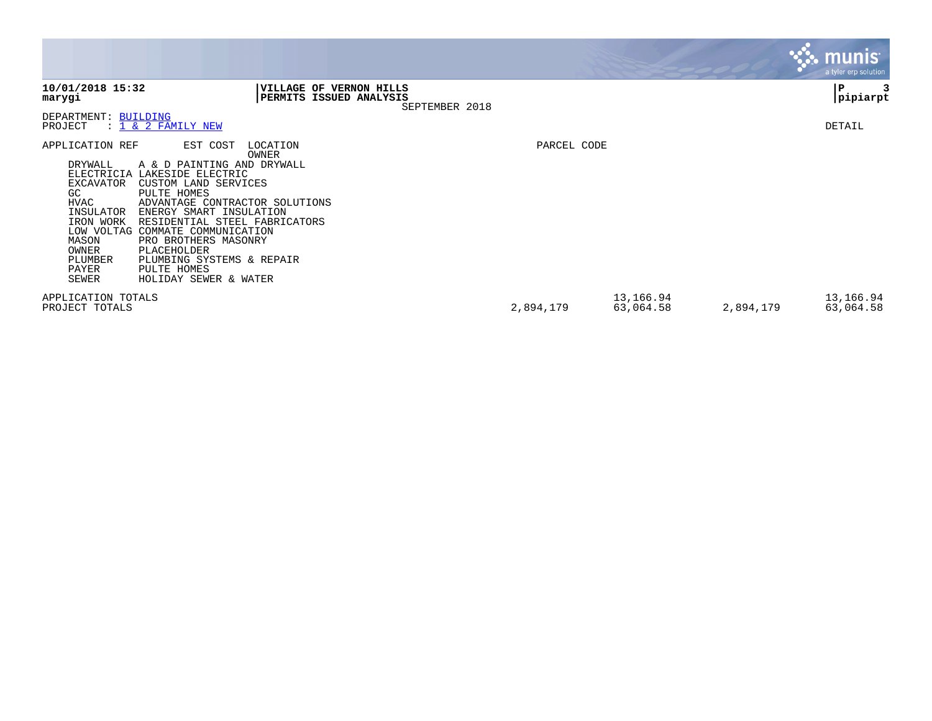|                                                                                                                                               |                                                                                                                                                                                                                                                                                                                                                                       |             |                        |           | munis<br>a tyler erp solution |
|-----------------------------------------------------------------------------------------------------------------------------------------------|-----------------------------------------------------------------------------------------------------------------------------------------------------------------------------------------------------------------------------------------------------------------------------------------------------------------------------------------------------------------------|-------------|------------------------|-----------|-------------------------------|
| 10/01/2018 15:32<br>marygi                                                                                                                    | <b>VILLAGE OF VERNON HILLS</b><br>PERMITS ISSUED ANALYSIS<br>SEPTEMBER 2018                                                                                                                                                                                                                                                                                           |             |                        |           | P<br>pipiarpt                 |
| DEPARTMENT: BUILDING<br>PROJECT                                                                                                               | $: 1 \& 2$ FAMILY NEW                                                                                                                                                                                                                                                                                                                                                 |             |                        |           | <b>DETAIL</b>                 |
| APPLICATION REF<br>DRYWALL<br>ELECTRICIA<br>EXCAVATOR<br>GC.<br>HVAC<br>INSULATOR<br>IRON WORK<br>MASON<br>OWNER<br>PLUMBER<br>PAYER<br>SEWER | LOCATION<br>EST COST<br>OWNER<br>A & D PAINTING AND DRYWALL<br>LAKESIDE ELECTRIC<br>CUSTOM LAND SERVICES<br>PULTE HOMES<br>ADVANTAGE CONTRACTOR SOLUTIONS<br>ENERGY SMART INSULATION<br>RESIDENTIAL STEEL FABRICATORS<br>LOW VOLTAG COMMATE COMMUNICATION<br>PRO BROTHERS MASONRY<br>PLACEHOLDER<br>PLUMBING SYSTEMS & REPAIR<br>PULTE HOMES<br>HOLIDAY SEWER & WATER | PARCEL CODE |                        |           |                               |
| APPLICATION TOTALS<br>PROJECT TOTALS                                                                                                          |                                                                                                                                                                                                                                                                                                                                                                       | 2,894,179   | 13,166.94<br>63,064.58 | 2,894,179 | 13,166.94<br>63,064.58        |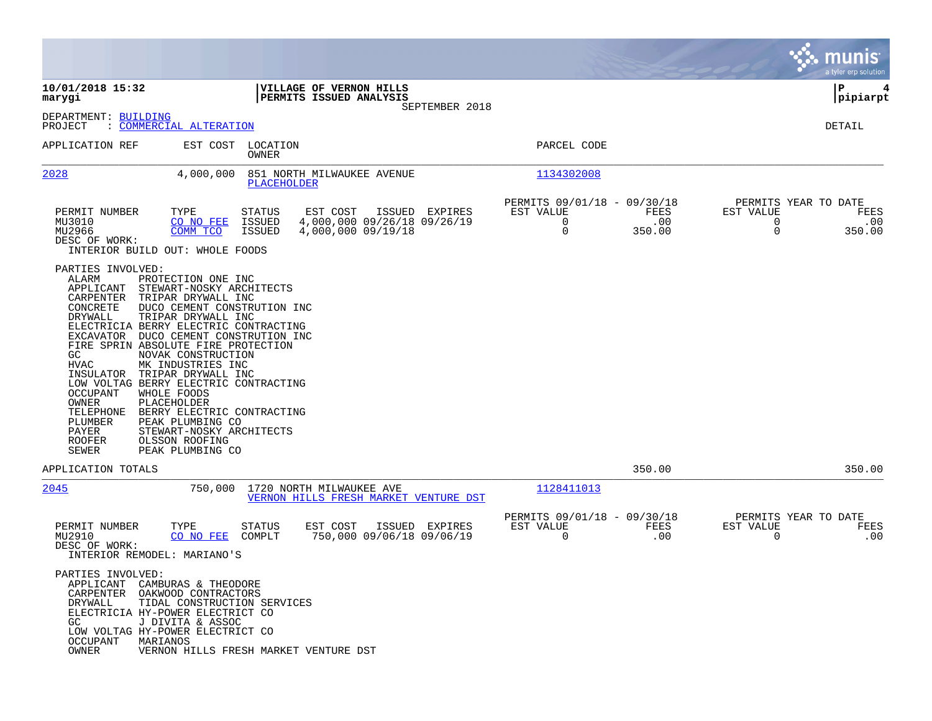|                                                                                                                                                                                                                                                                                                                                                                                                                                                                                                                                                                                      |                                                                                                                      |                                                                                       | munis<br>a tyler erp solution                                                  |
|--------------------------------------------------------------------------------------------------------------------------------------------------------------------------------------------------------------------------------------------------------------------------------------------------------------------------------------------------------------------------------------------------------------------------------------------------------------------------------------------------------------------------------------------------------------------------------------|----------------------------------------------------------------------------------------------------------------------|---------------------------------------------------------------------------------------|--------------------------------------------------------------------------------|
| 10/01/2018 15:32<br>marygi                                                                                                                                                                                                                                                                                                                                                                                                                                                                                                                                                           | VILLAGE OF VERNON HILLS<br>PERMITS ISSUED ANALYSIS<br>SEPTEMBER 2018                                                 |                                                                                       | IΡ<br> pipiarpt                                                                |
| DEPARTMENT: BUILDING<br>PROJECT<br>: COMMERCIAL ALTERATION                                                                                                                                                                                                                                                                                                                                                                                                                                                                                                                           |                                                                                                                      |                                                                                       | DETAIL                                                                         |
| APPLICATION REF                                                                                                                                                                                                                                                                                                                                                                                                                                                                                                                                                                      | EST COST LOCATION<br>OWNER                                                                                           | PARCEL CODE                                                                           |                                                                                |
| 4,000,000<br>2028                                                                                                                                                                                                                                                                                                                                                                                                                                                                                                                                                                    | 851 NORTH MILWAUKEE AVENUE<br>PLACEHOLDER                                                                            | 1134302008                                                                            |                                                                                |
| PERMIT NUMBER<br>TYPE<br>MU3010<br>CO NO FEE<br>MU2966<br>COMM TCO<br>DESC OF WORK:<br>INTERIOR BUILD OUT: WHOLE FOODS                                                                                                                                                                                                                                                                                                                                                                                                                                                               | <b>STATUS</b><br>EST COST<br>ISSUED EXPIRES<br>4,000,000 09/26/18 09/26/19<br>ISSUED<br>4,000,000 09/19/18<br>ISSUED | PERMITS 09/01/18 - 09/30/18<br>EST VALUE<br>FEES<br>0<br>.00<br>$\mathbf 0$<br>350.00 | PERMITS YEAR TO DATE<br>EST VALUE<br>FEES<br>.00<br>0<br>$\mathbf 0$<br>350.00 |
| PARTIES INVOLVED:<br>ALARM<br>PROTECTION ONE INC<br>APPLICANT<br>CARPENTER TRIPAR DRYWALL INC<br>CONCRETE<br>DRYWALL<br>TRIPAR DRYWALL INC<br>ELECTRICIA BERRY ELECTRIC CONTRACTING<br>EXCAVATOR DUCO CEMENT CONSTRUTION INC<br>FIRE SPRIN ABSOLUTE FIRE PROTECTION<br>GC<br>NOVAK CONSTRUCTION<br><b>HVAC</b><br>MK INDUSTRIES INC<br>INSULATOR TRIPAR DRYWALL INC<br>LOW VOLTAG BERRY ELECTRIC CONTRACTING<br>OCCUPANT<br>WHOLE FOODS<br>PLACEHOLDER<br>OWNER<br>TELEPHONE<br>PLUMBER<br>PEAK PLUMBING CO<br>PAYER<br><b>ROOFER</b><br>OLSSON ROOFING<br>SEWER<br>PEAK PLUMBING CO | STEWART-NOSKY ARCHITECTS<br>DUCO CEMENT CONSTRUTION INC<br>BERRY ELECTRIC CONTRACTING<br>STEWART-NOSKY ARCHITECTS    |                                                                                       |                                                                                |
| APPLICATION TOTALS                                                                                                                                                                                                                                                                                                                                                                                                                                                                                                                                                                   |                                                                                                                      | 350.00                                                                                | 350.00                                                                         |
| 2045                                                                                                                                                                                                                                                                                                                                                                                                                                                                                                                                                                                 | 1720 NORTH MILWAUKEE AVE<br>750,000<br>VERNON HILLS FRESH MARKET VENTURE DST                                         | 1128411013                                                                            |                                                                                |
| PERMIT NUMBER<br>TYPE<br>MU2910<br>CO NO FEE<br>DESC OF WORK:<br>INTERIOR REMODEL: MARIANO'S                                                                                                                                                                                                                                                                                                                                                                                                                                                                                         | EST COST<br>ISSUED EXPIRES<br>STATUS<br>750,000 09/06/18 09/06/19<br>COMPLT                                          | PERMITS 09/01/18 - 09/30/18<br>EST VALUE<br>FEES<br>0<br>.00                          | PERMITS YEAR TO DATE<br>EST VALUE<br>FEES<br>$\mathbf 0$<br>.00                |
| PARTIES INVOLVED:<br>APPLICANT CAMBURAS & THEODORE<br>CARPENTER OAKWOOD CONTRACTORS<br>DRYWALL<br>ELECTRICIA HY-POWER ELECTRICT CO<br>GC<br>J DIVITA & ASSOC<br>LOW VOLTAG HY-POWER ELECTRICT CO<br>OCCUPANT<br>MARIANOS<br>OWNER                                                                                                                                                                                                                                                                                                                                                    | TIDAL CONSTRUCTION SERVICES<br>VERNON HILLS FRESH MARKET VENTURE DST                                                 |                                                                                       |                                                                                |

 $\mathcal{L}^{\text{max}}$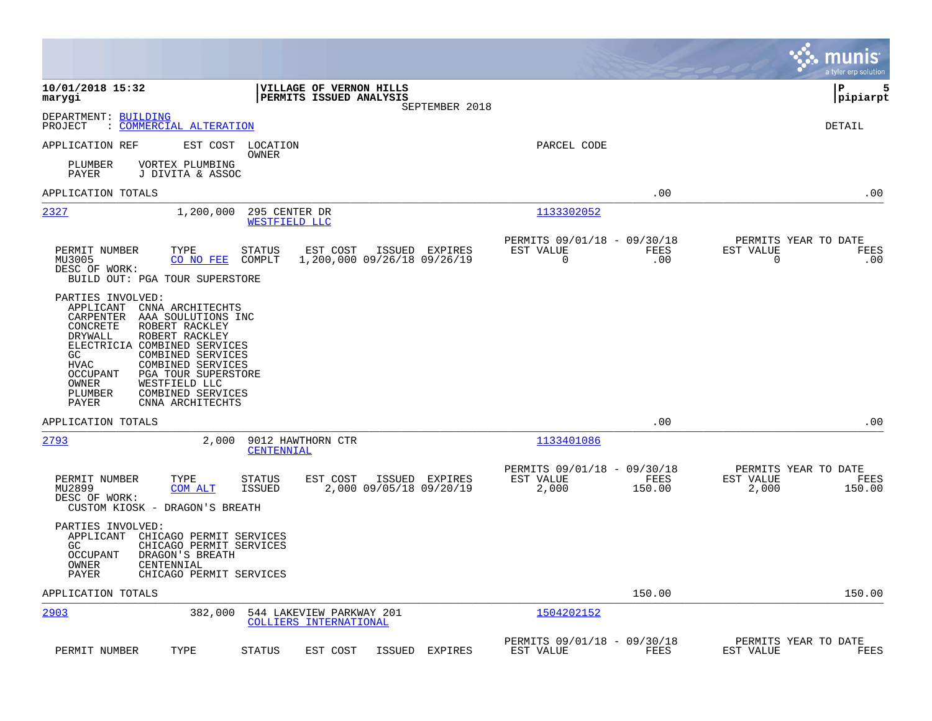|                                                                                                                                                                                                                                                                                                                                                                                   |                                                                                         |                                                                     | munis<br>a tyler erp solution                                |
|-----------------------------------------------------------------------------------------------------------------------------------------------------------------------------------------------------------------------------------------------------------------------------------------------------------------------------------------------------------------------------------|-----------------------------------------------------------------------------------------|---------------------------------------------------------------------|--------------------------------------------------------------|
| 10/01/2018 15:32<br>marygi                                                                                                                                                                                                                                                                                                                                                        | VILLAGE OF VERNON HILLS<br><b>PERMITS ISSUED ANALYSIS</b><br>SEPTEMBER 2018             |                                                                     | l P<br>5<br> pipiarpt                                        |
| DEPARTMENT: BUILDING<br>: COMMERCIAL ALTERATION<br>PROJECT                                                                                                                                                                                                                                                                                                                        |                                                                                         |                                                                     | DETAIL                                                       |
| APPLICATION REF<br>EST COST                                                                                                                                                                                                                                                                                                                                                       | LOCATION<br>OWNER                                                                       | PARCEL CODE                                                         |                                                              |
| PLUMBER<br>VORTEX PLUMBING<br>PAYER<br>J DIVITA & ASSOC                                                                                                                                                                                                                                                                                                                           |                                                                                         |                                                                     |                                                              |
| APPLICATION TOTALS                                                                                                                                                                                                                                                                                                                                                                |                                                                                         | .00                                                                 | .00                                                          |
| 2327<br>1,200,000                                                                                                                                                                                                                                                                                                                                                                 | 295 CENTER DR<br>WESTFIELD LLC                                                          | 1133302052                                                          |                                                              |
| PERMIT NUMBER<br>TYPE<br>MU3005<br>CO NO FEE<br>DESC OF WORK:<br>BUILD OUT: PGA TOUR SUPERSTORE                                                                                                                                                                                                                                                                                   | STATUS<br>EST COST<br>ISSUED EXPIRES<br>COMPLT<br>1,200,000 09/26/18 09/26/19           | PERMITS 09/01/18 - 09/30/18<br>EST VALUE<br>FEES<br>0<br>.00        | PERMITS YEAR TO DATE<br>EST VALUE<br>FEES<br>.00<br>0        |
| PARTIES INVOLVED:<br>APPLICANT<br>CNNA ARCHITECHTS<br>CARPENTER<br>AAA SOULUTIONS INC<br>ROBERT RACKLEY<br>CONCRETE<br><b>DRYWALL</b><br>ROBERT RACKLEY<br>ELECTRICIA COMBINED SERVICES<br>COMBINED SERVICES<br>GC.<br><b>HVAC</b><br>COMBINED SERVICES<br>OCCUPANT<br>PGA TOUR SUPERSTORE<br>WESTFIELD LLC<br>OWNER<br>PLUMBER<br>COMBINED SERVICES<br>PAYER<br>CNNA ARCHITECHTS |                                                                                         |                                                                     |                                                              |
| APPLICATION TOTALS                                                                                                                                                                                                                                                                                                                                                                |                                                                                         | .00                                                                 | .00                                                          |
| 2793<br>2,000                                                                                                                                                                                                                                                                                                                                                                     | 9012 HAWTHORN CTR<br>CENTENNIAL                                                         | 1133401086                                                          |                                                              |
| PERMIT NUMBER<br>TYPE<br>MU2899<br>COM ALT<br>DESC OF WORK:<br>CUSTOM KIOSK - DRAGON'S BREATH                                                                                                                                                                                                                                                                                     | <b>STATUS</b><br>EST COST<br>ISSUED EXPIRES<br><b>ISSUED</b><br>2,000 09/05/18 09/20/19 | PERMITS 09/01/18 - 09/30/18<br>EST VALUE<br>FEES<br>2,000<br>150.00 | PERMITS YEAR TO DATE<br>EST VALUE<br>FEES<br>2,000<br>150.00 |
| PARTIES INVOLVED:<br>APPLICANT<br>CHICAGO PERMIT SERVICES<br>GC.<br>CHICAGO PERMIT SERVICES<br><b>OCCUPANT</b><br>DRAGON'S BREATH<br>OWNER<br>CENTENNIAL<br>PAYER<br>CHICAGO PERMIT SERVICES                                                                                                                                                                                      |                                                                                         |                                                                     |                                                              |
| APPLICATION TOTALS                                                                                                                                                                                                                                                                                                                                                                |                                                                                         | 150.00                                                              | 150.00                                                       |
| 2903<br>382,000                                                                                                                                                                                                                                                                                                                                                                   | 544 LAKEVIEW PARKWAY 201<br>COLLIERS INTERNATIONAL                                      | 1504202152                                                          |                                                              |
| PERMIT NUMBER<br>TYPE                                                                                                                                                                                                                                                                                                                                                             | <b>STATUS</b><br>EST COST<br>ISSUED EXPIRES                                             | PERMITS 09/01/18 - 09/30/18<br>EST VALUE<br>FEES                    | PERMITS YEAR TO DATE<br>EST VALUE<br>FEES                    |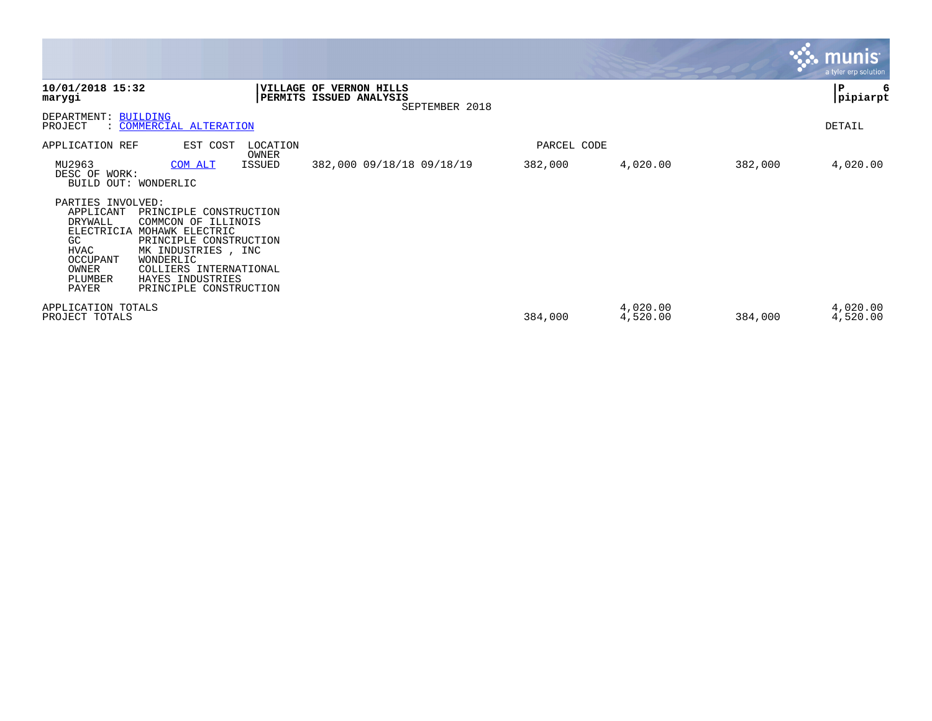|                                                                                                                |                                                                                                                                                                                                       |                 |                                                    |                |             |                      |         | <b>munis</b><br>a tyler erp solution |
|----------------------------------------------------------------------------------------------------------------|-------------------------------------------------------------------------------------------------------------------------------------------------------------------------------------------------------|-----------------|----------------------------------------------------|----------------|-------------|----------------------|---------|--------------------------------------|
| 10/01/2018 15:32<br>marygi                                                                                     |                                                                                                                                                                                                       |                 | VILLAGE OF VERNON HILLS<br>PERMITS ISSUED ANALYSIS | SEPTEMBER 2018 |             |                      |         | Р<br>6<br> pipiarpt                  |
| DEPARTMENT:<br>PROJECT                                                                                         | <b>BUILDING</b><br>: COMMERCIAL ALTERATION                                                                                                                                                            |                 |                                                    |                |             |                      |         | DETAIL                               |
| APPLICATION REF                                                                                                | EST COST                                                                                                                                                                                              | LOCATION        |                                                    |                | PARCEL CODE |                      |         |                                      |
| MU2963<br>DESC OF WORK:<br>BUILD OUT: WONDERLIC                                                                | COM ALT                                                                                                                                                                                               | OWNER<br>ISSUED | 382,000 09/18/18 09/18/19                          |                | 382,000     | 4,020.00             | 382,000 | 4,020.00                             |
| PARTIES INVOLVED:<br>APPLICANT<br>DRYWALL<br>ELECTRICIA<br>GC<br>HVAC<br>OCCUPANT<br>OWNER<br>PLUMBER<br>PAYER | PRINCIPLE CONSTRUCTION<br>COMMCON OF ILLINOIS<br>MOHAWK ELECTRIC<br>PRINCIPLE CONSTRUCTION<br>MK INDUSTRIES, INC<br>WONDERLIC<br>COLLIERS INTERNATIONAL<br>HAYES INDUSTRIES<br>PRINCIPLE CONSTRUCTION |                 |                                                    |                |             |                      |         |                                      |
| APPLICATION TOTALS<br>PROJECT TOTALS                                                                           |                                                                                                                                                                                                       |                 |                                                    |                | 384,000     | 4,020.00<br>4,520.00 | 384,000 | 4,020.00<br>4,520.00                 |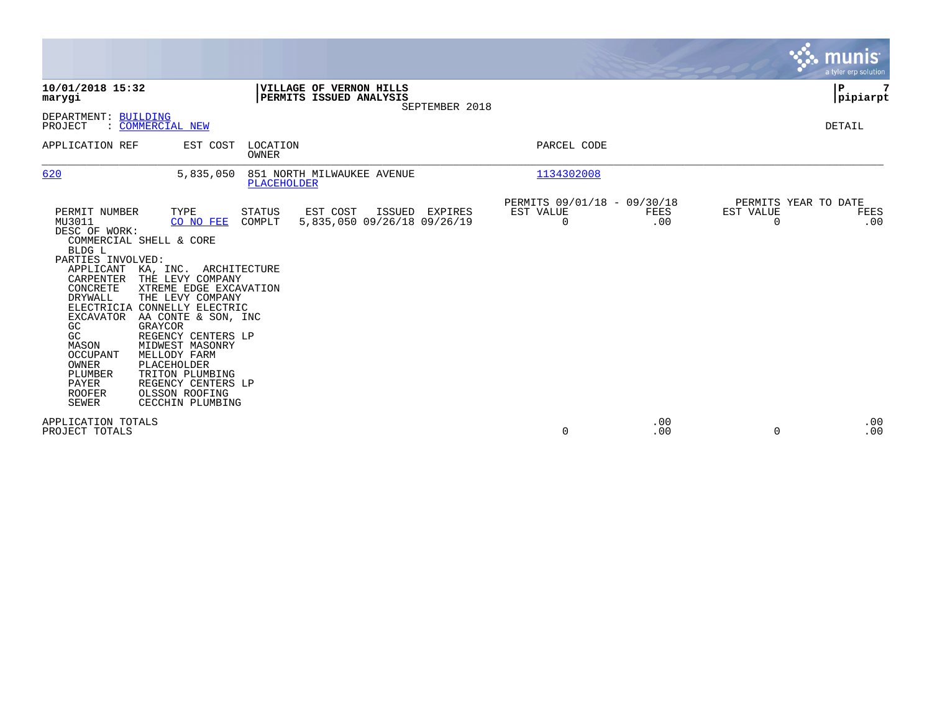|                                                                                                                                                                                                                                      |                                                                                                                                                                                                                                                                                                                                                                  |                         |                                                    |                |                                               |             |                |                      | <b>munis</b><br>a tyler erp solution |
|--------------------------------------------------------------------------------------------------------------------------------------------------------------------------------------------------------------------------------------|------------------------------------------------------------------------------------------------------------------------------------------------------------------------------------------------------------------------------------------------------------------------------------------------------------------------------------------------------------------|-------------------------|----------------------------------------------------|----------------|-----------------------------------------------|-------------|----------------|----------------------|--------------------------------------|
| 10/01/2018 15:32<br>marygi                                                                                                                                                                                                           |                                                                                                                                                                                                                                                                                                                                                                  |                         | VILLAGE OF VERNON HILLS<br>PERMITS ISSUED ANALYSIS | SEPTEMBER 2018 |                                               |             |                | P                    | pipiarpt                             |
| DEPARTMENT: BUILDING<br>PROJECT                                                                                                                                                                                                      | : COMMERCIAL NEW                                                                                                                                                                                                                                                                                                                                                 |                         |                                                    |                |                                               |             |                |                      | DETAIL                               |
| APPLICATION REF                                                                                                                                                                                                                      | EST COST                                                                                                                                                                                                                                                                                                                                                         | LOCATION<br>OWNER       |                                                    |                | PARCEL CODE                                   |             |                |                      |                                      |
| 620                                                                                                                                                                                                                                  | 5,835,050                                                                                                                                                                                                                                                                                                                                                        | <b>PLACEHOLDER</b>      | 851 NORTH MILWAUKEE AVENUE                         |                | 1134302008                                    |             |                |                      |                                      |
| PERMIT NUMBER<br>MU3011<br>DESC OF WORK:<br>BLDG L<br>PARTIES INVOLVED:<br>APPLICANT<br>CARPENTER<br>CONCRETE<br>DRYWALL<br>EXCAVATOR<br>GC<br>GC<br>MASON<br>OCCUPANT<br>OWNER<br>PLUMBER<br>PAYER<br><b>ROOFER</b><br><b>SEWER</b> | TYPE<br>CO NO FEE<br>COMMERCIAL SHELL & CORE<br>KA, INC. ARCHITECTURE<br>THE LEVY COMPANY<br>XTREME EDGE EXCAVATION<br>THE LEVY COMPANY<br>ELECTRICIA CONNELLY ELECTRIC<br>AA CONTE & SON, INC<br>GRAYCOR<br>REGENCY CENTERS LP<br>MIDWEST MASONRY<br>MELLODY FARM<br>PLACEHOLDER<br>TRITON PLUMBING<br>REGENCY CENTERS LP<br>OLSSON ROOFING<br>CECCHIN PLUMBING | <b>STATUS</b><br>COMPLT | EST COST<br>5,835,050 09/26/18 09/26/19            | ISSUED EXPIRES | PERMITS 09/01/18 - 09/30/18<br>EST VALUE<br>0 | FEES<br>.00 | EST VALUE<br>0 | PERMITS YEAR TO DATE | FEES<br>.00                          |
| APPLICATION TOTALS<br>PROJECT TOTALS                                                                                                                                                                                                 |                                                                                                                                                                                                                                                                                                                                                                  |                         |                                                    |                | 0                                             | .00<br>.00  | 0              |                      | .00<br>.00                           |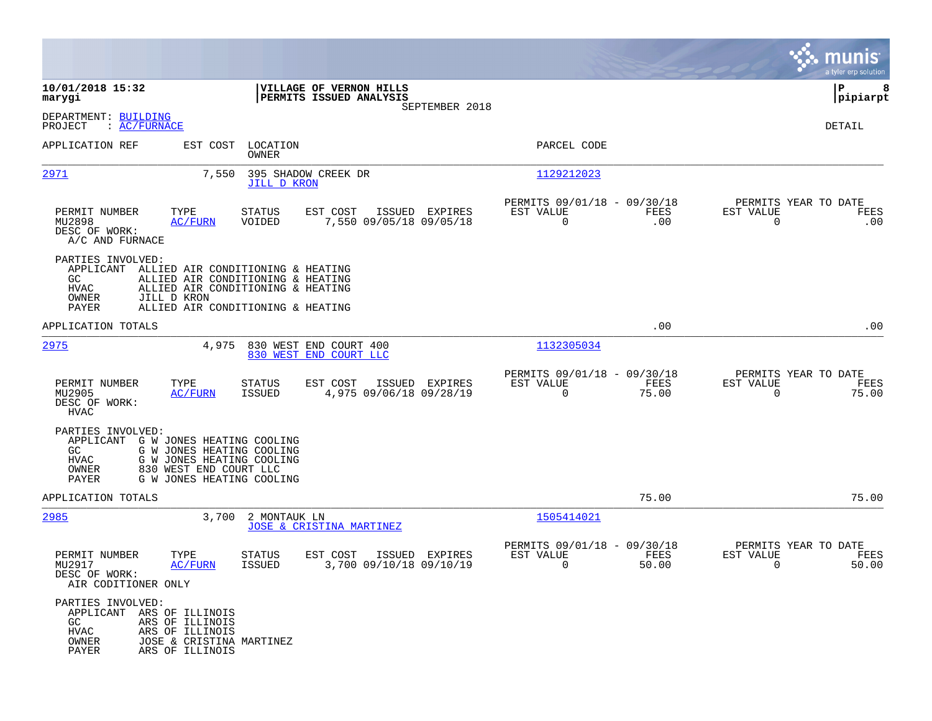|                                                                                                                                                                                                               |                                                                                                                                                  |                                           |                                                         |               | munis<br>a tyler erp solution                    |                |
|---------------------------------------------------------------------------------------------------------------------------------------------------------------------------------------------------------------|--------------------------------------------------------------------------------------------------------------------------------------------------|-------------------------------------------|---------------------------------------------------------|---------------|--------------------------------------------------|----------------|
| 10/01/2018 15:32<br>marygi                                                                                                                                                                                    | VILLAGE OF VERNON HILLS<br>PERMITS ISSUED ANALYSIS                                                                                               |                                           |                                                         |               | IΡ                                               | 8<br> pipiarpt |
| DEPARTMENT: BUILDING<br>: AC/FURNACE<br>PROJECT                                                                                                                                                               |                                                                                                                                                  | SEPTEMBER 2018                            |                                                         |               | DETAIL                                           |                |
| APPLICATION REF<br>EST COST                                                                                                                                                                                   | LOCATION<br>OWNER                                                                                                                                |                                           | PARCEL CODE                                             |               |                                                  |                |
| 2971<br>7,550                                                                                                                                                                                                 | 395 SHADOW CREEK DR<br><b>JILL D KRON</b>                                                                                                        |                                           | 1129212023                                              |               |                                                  |                |
| PERMIT NUMBER<br>TYPE<br>MU2898<br>AC/FURN<br>DESC OF WORK:<br>A/C AND FURNACE                                                                                                                                | <b>STATUS</b><br>EST COST<br>VOIDED                                                                                                              | ISSUED EXPIRES<br>7,550 09/05/18 09/05/18 | PERMITS 09/01/18 - 09/30/18<br>EST VALUE<br>$\mathbf 0$ | FEES<br>.00   | PERMITS YEAR TO DATE<br>EST VALUE<br>$\mathbf 0$ | FEES<br>.00    |
| PARTIES INVOLVED:<br>APPLICANT<br>GC.<br><b>HVAC</b><br>OWNER<br>JILL D KRON<br>PAYER                                                                                                                         | ALLIED AIR CONDITIONING & HEATING<br>ALLIED AIR CONDITIONING & HEATING<br>ALLIED AIR CONDITIONING & HEATING<br>ALLIED AIR CONDITIONING & HEATING |                                           |                                                         |               |                                                  |                |
| APPLICATION TOTALS                                                                                                                                                                                            |                                                                                                                                                  |                                           |                                                         | .00           |                                                  | .00            |
| 2975<br>4,975                                                                                                                                                                                                 | 830 WEST END COURT 400<br>830 WEST END COURT LLC                                                                                                 |                                           | 1132305034                                              |               |                                                  |                |
| PERMIT NUMBER<br>TYPE<br>MU2905<br><b>AC/FURN</b><br>DESC OF WORK:<br><b>HVAC</b>                                                                                                                             | STATUS<br>EST COST<br><b>ISSUED</b>                                                                                                              | ISSUED EXPIRES<br>4,975 09/06/18 09/28/19 | PERMITS 09/01/18 - 09/30/18<br>EST VALUE<br>$\Omega$    | FEES<br>75.00 | PERMITS YEAR TO DATE<br>EST VALUE<br>$\Omega$    | FEES<br>75.00  |
| PARTIES INVOLVED:<br>G W JONES HEATING COOLING<br>APPLICANT<br>G W JONES HEATING COOLING<br>GC.<br>G W JONES HEATING COOLING<br>HVAC<br>OWNER<br>830 WEST END COURT LLC<br>PAYER<br>G W JONES HEATING COOLING |                                                                                                                                                  |                                           |                                                         |               |                                                  |                |
| APPLICATION TOTALS                                                                                                                                                                                            |                                                                                                                                                  |                                           |                                                         | 75.00         |                                                  | 75.00          |
| 2985                                                                                                                                                                                                          | 3,700 2 MONTAUK LN<br><b>JOSE &amp; CRISTINA MARTINEZ</b>                                                                                        |                                           | 1505414021                                              |               |                                                  |                |
| PERMIT NUMBER<br>TYPE<br>MU2917<br>AC/FURN<br>DESC OF WORK:<br>AIR CODITIONER ONLY                                                                                                                            | STATUS<br>EST COST<br><b>ISSUED</b>                                                                                                              | ISSUED EXPIRES<br>3,700 09/10/18 09/10/19 | PERMITS 09/01/18 - 09/30/18<br>EST VALUE<br>0           | FEES<br>50.00 | PERMITS YEAR TO DATE<br>EST VALUE<br>0           | FEES<br>50.00  |
| PARTIES INVOLVED:<br>APPLICANT ARS OF ILLINOIS<br>GC<br>ARS OF ILLINOIS<br>HVAC<br>ARS OF ILLINOIS<br>JOSE & CRISTINA MARTINEZ<br>OWNER<br>PAYER<br>ARS OF ILLINOIS                                           |                                                                                                                                                  |                                           |                                                         |               |                                                  |                |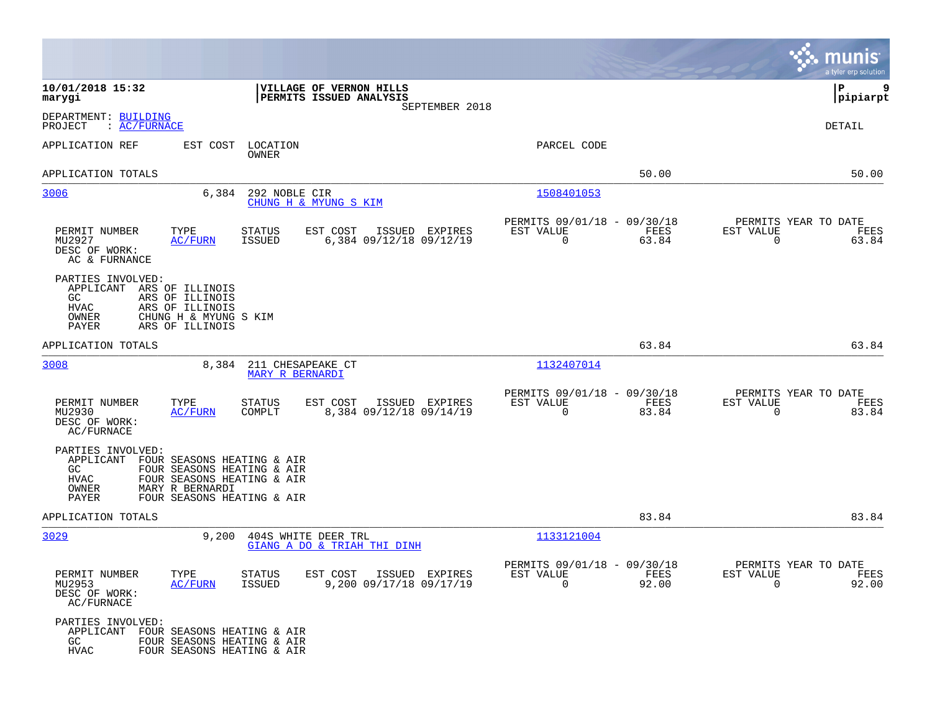|                                                                                       |                                                                                                                                         |                                |                                                                      |                                                         |               |                                                  | munis<br>a tyler erp solution |
|---------------------------------------------------------------------------------------|-----------------------------------------------------------------------------------------------------------------------------------------|--------------------------------|----------------------------------------------------------------------|---------------------------------------------------------|---------------|--------------------------------------------------|-------------------------------|
| 10/01/2018 15:32<br>marygi                                                            |                                                                                                                                         |                                | VILLAGE OF VERNON HILLS<br>PERMITS ISSUED ANALYSIS<br>SEPTEMBER 2018 |                                                         |               |                                                  | 9<br>l P<br> pipiarpt         |
| DEPARTMENT: BUILDING<br>PROJECT<br>: AC/FURNACE                                       |                                                                                                                                         |                                |                                                                      |                                                         |               |                                                  | DETAIL                        |
| APPLICATION REF                                                                       | EST COST                                                                                                                                | LOCATION<br>OWNER              |                                                                      | PARCEL CODE                                             |               |                                                  |                               |
| APPLICATION TOTALS                                                                    |                                                                                                                                         |                                |                                                                      |                                                         | 50.00         |                                                  | 50.00                         |
| 3006                                                                                  | 6,384                                                                                                                                   | 292 NOBLE CIR                  | CHUNG H & MYUNG S KIM                                                | 1508401053                                              |               |                                                  |                               |
| PERMIT NUMBER<br>MU2927<br>DESC OF WORK:<br>AC & FURNANCE                             | TYPE<br>AC/FURN                                                                                                                         | <b>STATUS</b><br><b>ISSUED</b> | EST COST<br>ISSUED EXPIRES<br>6,384 09/12/18 09/12/19                | PERMITS 09/01/18 - 09/30/18<br>EST VALUE<br>$\mathbf 0$ | FEES<br>63.84 | PERMITS YEAR TO DATE<br>EST VALUE<br>$\mathbf 0$ | FEES<br>63.84                 |
| PARTIES INVOLVED:<br>APPLICANT ARS OF ILLINOIS<br>GC<br><b>HVAC</b><br>OWNER<br>PAYER | ARS OF ILLINOIS<br>ARS OF ILLINOIS<br>CHUNG H & MYUNG S KIM<br>ARS OF ILLINOIS                                                          |                                |                                                                      |                                                         |               |                                                  |                               |
| APPLICATION TOTALS                                                                    |                                                                                                                                         |                                |                                                                      |                                                         | 63.84         |                                                  | 63.84                         |
| 3008                                                                                  | 8,384                                                                                                                                   | <b>MARY R BERNARDI</b>         | 211 CHESAPEAKE CT                                                    | 1132407014                                              |               |                                                  |                               |
| PERMIT NUMBER<br>MU2930<br>DESC OF WORK:<br>AC/FURNACE                                | TYPE<br><b>AC/FURN</b>                                                                                                                  | <b>STATUS</b><br>COMPLT        | EST COST<br>ISSUED EXPIRES<br>8,384 09/12/18 09/14/19                | PERMITS 09/01/18 - 09/30/18<br>EST VALUE<br>$\mathbf 0$ | FEES<br>83.84 | PERMITS YEAR TO DATE<br>EST VALUE<br>$\mathbf 0$ | FEES<br>83.84                 |
| PARTIES INVOLVED:<br>APPLICANT<br>GC<br><b>HVAC</b><br>OWNER<br>PAYER                 | FOUR SEASONS HEATING & AIR<br>FOUR SEASONS HEATING & AIR<br>FOUR SEASONS HEATING & AIR<br>MARY R BERNARDI<br>FOUR SEASONS HEATING & AIR |                                |                                                                      |                                                         |               |                                                  |                               |
| APPLICATION TOTALS                                                                    |                                                                                                                                         |                                |                                                                      |                                                         | 83.84         |                                                  | 83.84                         |
| 3029                                                                                  | 9,200                                                                                                                                   |                                | 404S WHITE DEER TRL<br>GIANG A DO & TRIAH THI DINH                   | 1133121004                                              |               |                                                  |                               |
| PERMIT NUMBER<br>MU2953<br>DESC OF WORK:<br>AC/FURNACE                                | TYPE<br><u>AC/FURN</u>                                                                                                                  | STATUS<br><b>ISSUED</b>        | EST COST<br>ISSUED EXPIRES<br>9,200 09/17/18 09/17/19                | PERMITS 09/01/18 - 09/30/18<br>EST VALUE<br>$\mathbf 0$ | FEES<br>92.00 | PERMITS YEAR TO DATE<br>EST VALUE<br>$\mathbf 0$ | FEES<br>92.00                 |
| PARTIES INVOLVED:<br>APPLICANT<br>GC.<br><b>HVAC</b>                                  | FOUR SEASONS HEATING & AIR<br>FOUR SEASONS HEATING & AIR<br>FOUR SEASONS HEATING & AIR                                                  |                                |                                                                      |                                                         |               |                                                  |                               |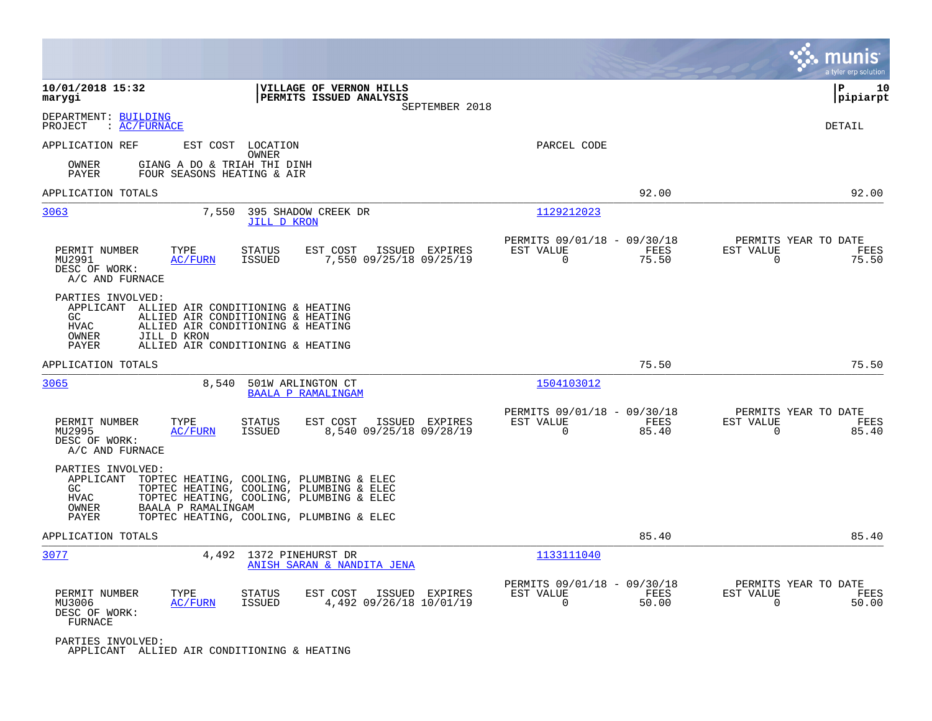| PARCEL CODE                                                                 | l P<br>10<br> pipiarpt<br><b>DETAIL</b>                        |
|-----------------------------------------------------------------------------|----------------------------------------------------------------|
|                                                                             |                                                                |
|                                                                             |                                                                |
|                                                                             |                                                                |
|                                                                             |                                                                |
| 92.00                                                                       | 92.00                                                          |
| 1129212023                                                                  |                                                                |
| PERMITS 09/01/18 - 09/30/18<br>EST VALUE<br>FEES<br>$\overline{0}$<br>75.50 | PERMITS YEAR TO DATE<br>EST VALUE<br>FEES<br>75.50<br>0        |
|                                                                             |                                                                |
| 75.50                                                                       | 75.50                                                          |
| 1504103012                                                                  |                                                                |
| PERMITS 09/01/18 - 09/30/18<br>EST VALUE<br>FEES<br>$\Omega$<br>85.40       | PERMITS YEAR TO DATE<br>EST VALUE<br>FEES<br>$\Omega$<br>85.40 |
|                                                                             |                                                                |
| 85.40                                                                       | 85.40                                                          |
| 1133111040                                                                  |                                                                |
| PERMITS 09/01/18 - 09/30/18<br>EST VALUE<br>FEES<br>$\Omega$<br>50.00       | PERMITS YEAR TO DATE<br>EST VALUE<br>FEES<br>$\Omega$<br>50.00 |
|                                                                             |                                                                |

APPLICANT ALLIED AIR CONDITIONING & HEATING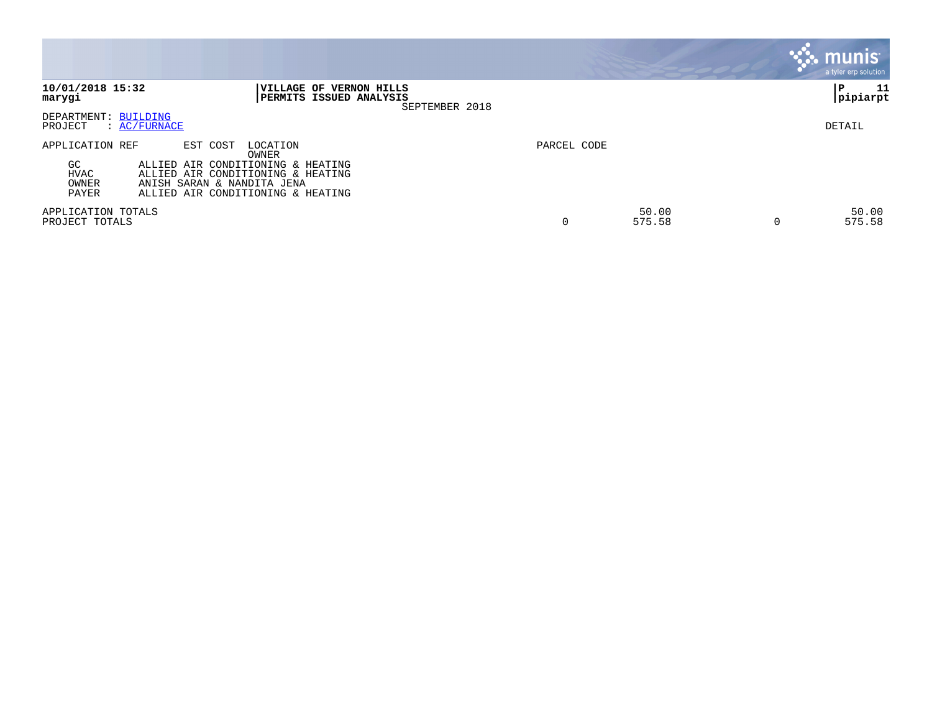|                                                                                                                                                                                                                                |             |                             | <b>munis</b><br>a tyler erp solution |
|--------------------------------------------------------------------------------------------------------------------------------------------------------------------------------------------------------------------------------|-------------|-----------------------------|--------------------------------------|
| 10/01/2018 15:32<br>VILLAGE OF VERNON HILLS<br>PERMITS ISSUED ANALYSIS<br>marygi<br>SEPTEMBER 2018                                                                                                                             |             |                             | 11<br>P<br> pipiarpt                 |
| DEPARTMENT: BUILDING<br>PROJECT<br>$\colon$ AC/FURNACE                                                                                                                                                                         |             |                             | DETAIL                               |
| APPLICATION REF<br>EST COST<br>LOCATION<br>OWNER<br>GC.<br>ALLIED AIR CONDITIONING & HEATING<br>HVAC<br>ALLIED AIR CONDITIONING & HEATING<br>OWNER<br>ANISH SARAN & NANDITA JENA<br>PAYER<br>ALLIED AIR CONDITIONING & HEATING | PARCEL CODE |                             |                                      |
| APPLICATION TOTALS<br>PROJECT TOTALS                                                                                                                                                                                           | 0           | 50.00<br>575.58<br>$\Omega$ | 50.00<br>575.58                      |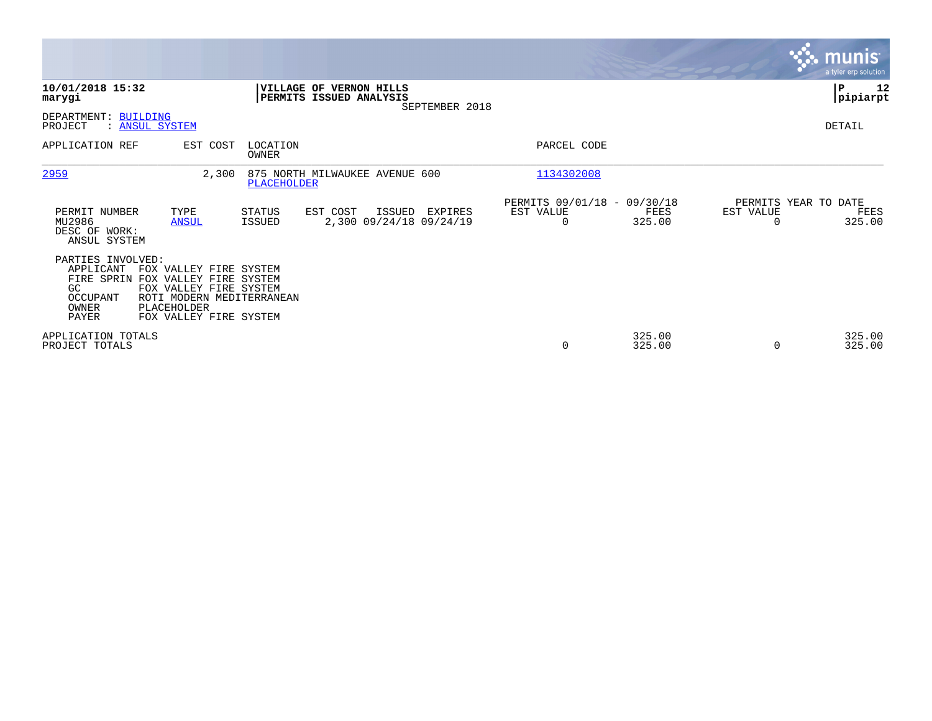|                                                                           |                                                                                                                                                             |                         |                                                    |                |                                               |                  |                                   | <b>munis</b><br>a tyler erp solution |
|---------------------------------------------------------------------------|-------------------------------------------------------------------------------------------------------------------------------------------------------------|-------------------------|----------------------------------------------------|----------------|-----------------------------------------------|------------------|-----------------------------------|--------------------------------------|
| 10/01/2018 15:32<br>marygi                                                |                                                                                                                                                             |                         | VILLAGE OF VERNON HILLS<br>PERMITS ISSUED ANALYSIS | SEPTEMBER 2018 |                                               |                  |                                   | 12<br>ΙP<br> pipiarpt                |
| DEPARTMENT: BUILDING<br>PROJECT                                           | : ANSUL SYSTEM                                                                                                                                              |                         |                                                    |                |                                               |                  |                                   | DETAIL                               |
| APPLICATION REF                                                           | EST COST                                                                                                                                                    | LOCATION<br>OWNER       |                                                    |                | PARCEL CODE                                   |                  |                                   |                                      |
| 2959                                                                      | 2,300                                                                                                                                                       | PLACEHOLDER             | 875 NORTH MILWAUKEE AVENUE 600                     |                | 1134302008                                    |                  |                                   |                                      |
| PERMIT NUMBER<br>MU2986<br>DESC OF WORK:<br>ANSUL SYSTEM                  | TYPE<br><b>ANSUL</b>                                                                                                                                        | STATUS<br><b>ISSUED</b> | EST COST<br>ISSUED<br>2,300 09/24/18 09/24/19      | EXPIRES        | PERMITS 09/01/18 - 09/30/18<br>EST VALUE<br>0 | FEES<br>325.00   | PERMITS YEAR TO DATE<br>EST VALUE | FEES<br>325.00                       |
| PARTIES INVOLVED:<br>APPLICANT<br>GC<br><b>OCCUPANT</b><br>OWNER<br>PAYER | FOX VALLEY FIRE SYSTEM<br>FIRE SPRIN FOX VALLEY FIRE SYSTEM<br>FOX VALLEY FIRE SYSTEM<br>ROTI MODERN MEDITERRANEAN<br>PLACEHOLDER<br>FOX VALLEY FIRE SYSTEM |                         |                                                    |                |                                               |                  |                                   |                                      |
| APPLICATION TOTALS<br>PROJECT TOTALS                                      |                                                                                                                                                             |                         |                                                    |                | 0                                             | 325.00<br>325.00 | $\Omega$                          | 325.00<br>325.00                     |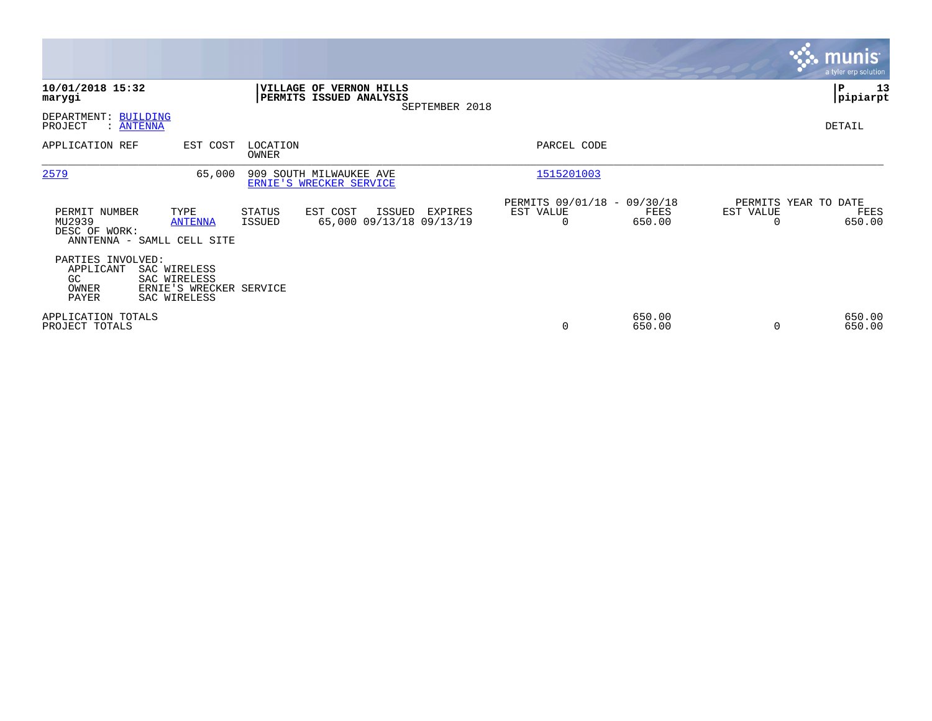|                                                                                                         |                                                                    |                                                                                      | <b>munis</b><br>a tyler erp solution                |
|---------------------------------------------------------------------------------------------------------|--------------------------------------------------------------------|--------------------------------------------------------------------------------------|-----------------------------------------------------|
| 10/01/2018 15:32<br>marygi                                                                              | VILLAGE OF VERNON HILLS<br>PERMITS ISSUED ANALYSIS                 | SEPTEMBER 2018                                                                       | IΡ<br>13<br> pipiarpt                               |
| DEPARTMENT: BUILDING<br>PROJECT<br>: <u>ANTENNA</u>                                                     |                                                                    |                                                                                      | DETAIL                                              |
| APPLICATION REF                                                                                         | EST COST<br>LOCATION<br>OWNER                                      | PARCEL CODE                                                                          |                                                     |
| 2579                                                                                                    | 65,000<br>909 SOUTH MILWAUKEE AVE<br>ERNIE'S WRECKER SERVICE       | 1515201003                                                                           |                                                     |
| PERMIT NUMBER<br>TYPE<br>MU2939<br><b>ANTENNA</b><br>DESC OF WORK:<br>ANNTENNA - SAMLL CELL SITE        | STATUS<br>EST COST<br>ISSUED<br>65,000 09/13/18 09/13/19<br>ISSUED | PERMITS 09/01/18 - 09/30/18<br>EST VALUE<br>EXPIRES<br>FEES<br>$\mathbf 0$<br>650.00 | PERMITS YEAR TO DATE<br>EST VALUE<br>FEES<br>650.00 |
| PARTIES INVOLVED:<br>APPLICANT<br>SAC WIRELESS<br>GC.<br>SAC WIRELESS<br>OWNER<br>PAYER<br>SAC WIRELESS | ERNIE'S WRECKER SERVICE                                            |                                                                                      |                                                     |
| APPLICATION TOTALS<br>PROJECT TOTALS                                                                    |                                                                    | 650.00<br>0<br>650.00                                                                | 650.00<br>650.00                                    |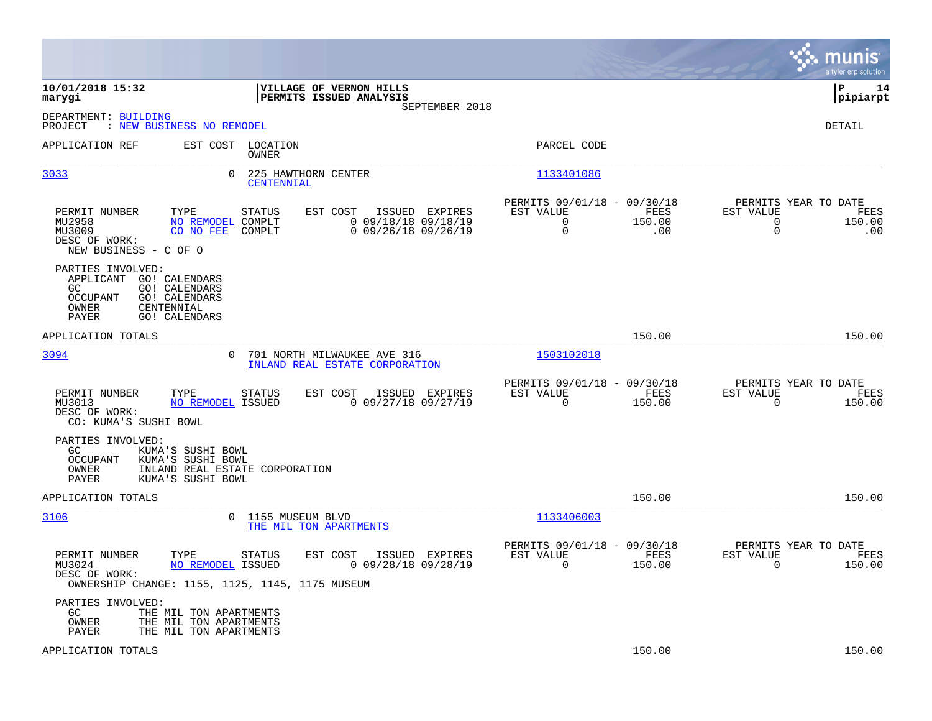|                                                                                                                                                                                      |                                                                                                                                       |                                                                                              | munis<br>a tyler erp solution                                               |
|--------------------------------------------------------------------------------------------------------------------------------------------------------------------------------------|---------------------------------------------------------------------------------------------------------------------------------------|----------------------------------------------------------------------------------------------|-----------------------------------------------------------------------------|
| 10/01/2018 15:32<br>marygi                                                                                                                                                           | VILLAGE OF VERNON HILLS<br>PERMITS ISSUED ANALYSIS                                                                                    |                                                                                              | l P<br>14<br> pipiarpt                                                      |
| DEPARTMENT: BUILDING<br>: <u>NEW BUSINESS NO REMODEL</u><br>PROJECT                                                                                                                  | SEPTEMBER 2018                                                                                                                        |                                                                                              | <b>DETAIL</b>                                                               |
| APPLICATION REF                                                                                                                                                                      | EST COST LOCATION<br>OWNER                                                                                                            | PARCEL CODE                                                                                  |                                                                             |
| 3033                                                                                                                                                                                 | 0<br>225 HAWTHORN CENTER<br>CENTENNIAL                                                                                                | 1133401086                                                                                   |                                                                             |
| PERMIT NUMBER<br>TYPE<br>MU2958<br>MU3009<br>CO NO FEE<br>DESC OF WORK:<br>NEW BUSINESS - C OF O                                                                                     | STATUS<br>EST COST<br>ISSUED EXPIRES<br>NO REMODEL COMPLT<br>$0$ 09/18/18 09/18/19<br>COMPLT<br>$0$ 09/26/18 09/26/19                 | PERMITS 09/01/18 - 09/30/18<br>EST VALUE<br>FEES<br>$\Omega$<br>150.00<br>$\mathbf 0$<br>.00 | PERMITS YEAR TO DATE<br>EST VALUE<br>FEES<br>$\Omega$<br>150.00<br>0<br>.00 |
| PARTIES INVOLVED:<br>APPLICANT GO! CALENDARS<br>GC<br><b>GO! CALENDARS</b><br><b>OCCUPANT</b><br><b>GO! CALENDARS</b><br>OWNER<br>CENTENNIAL<br><b>PAYER</b><br><b>GO! CALENDARS</b> |                                                                                                                                       |                                                                                              |                                                                             |
| APPLICATION TOTALS                                                                                                                                                                   |                                                                                                                                       | 150.00                                                                                       | 150.00                                                                      |
| 3094                                                                                                                                                                                 | 0<br>701 NORTH MILWAUKEE AVE 316<br>INLAND REAL ESTATE CORPORATION                                                                    | 1503102018                                                                                   |                                                                             |
| PERMIT NUMBER<br>TYPE<br>MU3013<br>DESC OF WORK:<br>CO: KUMA'S SUSHI BOWL                                                                                                            | EST COST<br>ISSUED EXPIRES<br>STATUS<br><b>NO REMODEL ISSUED</b><br>$0$ 09/27/18 09/27/19                                             | PERMITS 09/01/18 - 09/30/18<br>EST VALUE<br>FEES<br>$\mathbf 0$<br>150.00                    | PERMITS YEAR TO DATE<br>EST VALUE<br>FEES<br>$\mathbf 0$<br>150.00          |
| PARTIES INVOLVED:<br>GC.<br>KUMA'S SUSHI BOWL<br><b>OCCUPANT</b><br>KUMA'S SUSHI BOWL<br>OWNER<br><b>PAYER</b><br>KUMA'S SUSHI BOWL                                                  | INLAND REAL ESTATE CORPORATION                                                                                                        |                                                                                              |                                                                             |
| APPLICATION TOTALS                                                                                                                                                                   |                                                                                                                                       | 150.00                                                                                       | 150.00                                                                      |
| 3106                                                                                                                                                                                 | 1155 MUSEUM BLVD<br>0<br>THE MIL TON APARTMENTS                                                                                       | 1133406003                                                                                   |                                                                             |
| PERMIT NUMBER<br>TYPE<br>MU3024<br>DESC OF WORK:                                                                                                                                     | STATUS<br>EST COST<br>ISSUED EXPIRES<br>$0$ 09/28/18 09/28/19<br>NO REMODEL ISSUED<br>OWNERSHIP CHANGE: 1155, 1125, 1145, 1175 MUSEUM | PERMITS 09/01/18 - 09/30/18<br>EST VALUE<br>FEES<br>0<br>150.00                              | PERMITS YEAR TO DATE<br>EST VALUE<br>FEES<br>0<br>150.00                    |
| PARTIES INVOLVED:<br>GC<br>THE MIL TON APARTMENTS<br>OWNER<br>THE MIL TON APARTMENTS<br>PAYER<br>THE MIL TON APARTMENTS                                                              |                                                                                                                                       |                                                                                              |                                                                             |
| APPLICATION TOTALS                                                                                                                                                                   |                                                                                                                                       | 150.00                                                                                       | 150.00                                                                      |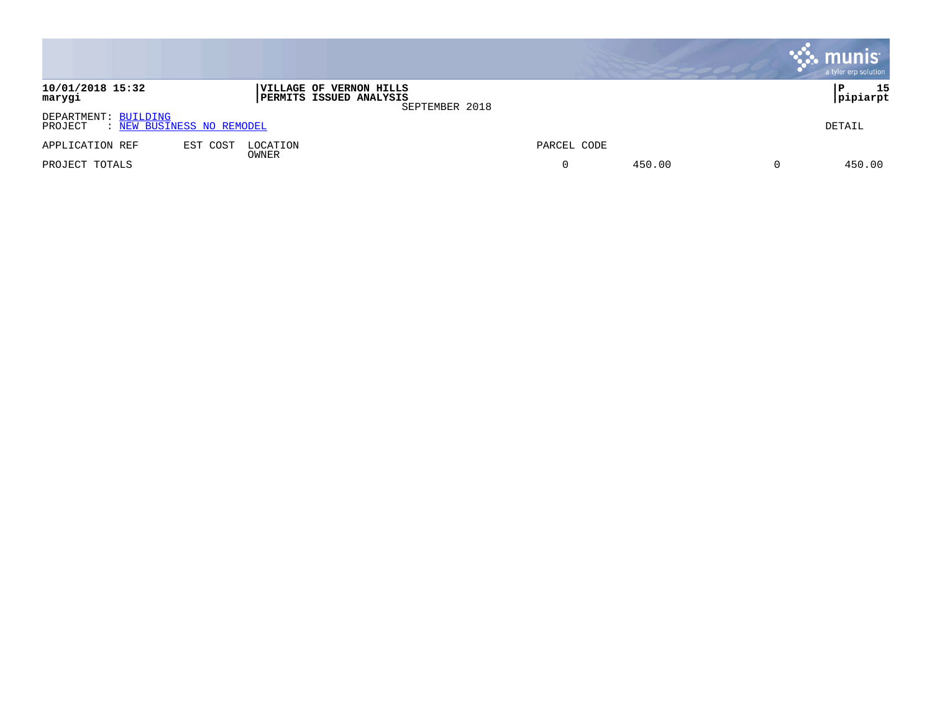|                                                              |          |                   |                                                                      |             |        | munis<br>a tyler erp solution |
|--------------------------------------------------------------|----------|-------------------|----------------------------------------------------------------------|-------------|--------|-------------------------------|
| 10/01/2018 15:32<br>marygi                                   |          |                   | VILLAGE OF VERNON HILLS<br>PERMITS ISSUED ANALYSIS<br>SEPTEMBER 2018 |             |        | 15<br>P<br>pipiarpt           |
| DEPARTMENT: BUILDING<br>: NEW BUSINESS NO REMODEL<br>PROJECT |          |                   |                                                                      |             |        | DETAIL                        |
| APPLICATION REF                                              | EST COST | LOCATION<br>OWNER |                                                                      | PARCEL CODE |        |                               |
| PROJECT TOTALS                                               |          |                   |                                                                      |             | 450.00 | 450.00                        |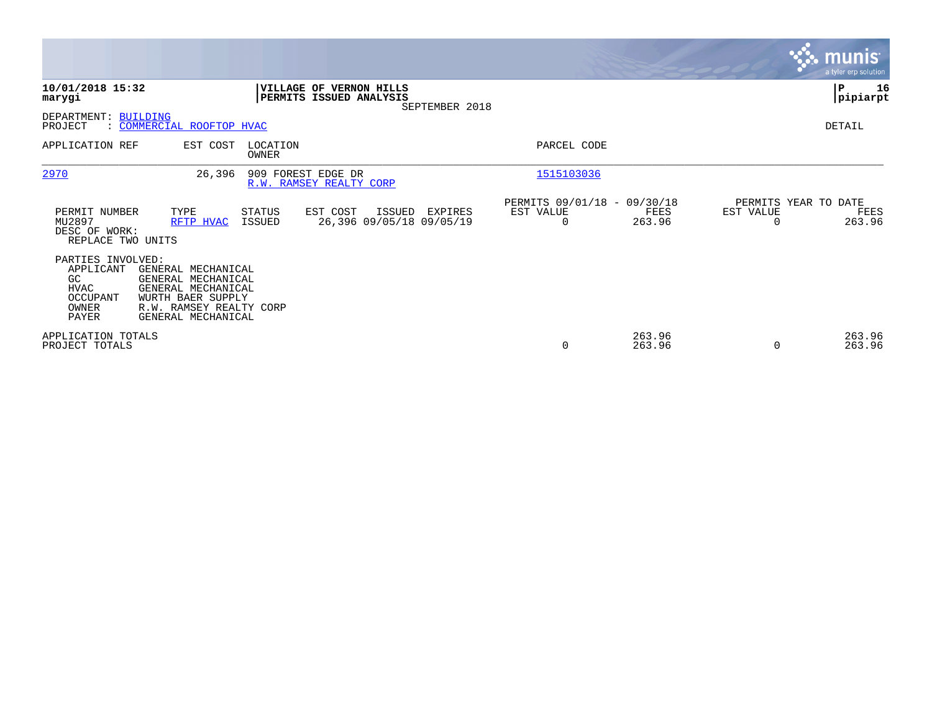|                                                                            |                                                                                                                                      |                   |                                                           |                |                                               |                  |           | <b>munis</b><br>a tyler erp solution   |
|----------------------------------------------------------------------------|--------------------------------------------------------------------------------------------------------------------------------------|-------------------|-----------------------------------------------------------|----------------|-----------------------------------------------|------------------|-----------|----------------------------------------|
| 10/01/2018 15:32<br>marygi                                                 |                                                                                                                                      |                   | <b>VILLAGE OF VERNON HILLS</b><br>PERMITS ISSUED ANALYSIS | SEPTEMBER 2018 |                                               |                  |           | ∣₽<br>16<br> pipiarpt                  |
| DEPARTMENT: BUILDING<br>PROJECT                                            | : COMMERCIAL ROOFTOP HVAC                                                                                                            |                   |                                                           |                |                                               |                  |           | DETAIL                                 |
| APPLICATION REF                                                            | EST COST                                                                                                                             | LOCATION<br>OWNER |                                                           |                | PARCEL CODE                                   |                  |           |                                        |
| 2970                                                                       | 26,396                                                                                                                               |                   | 909 FOREST EDGE DR<br>R.W. RAMSEY REALTY CORP             |                | 1515103036                                    |                  |           |                                        |
| PERMIT NUMBER<br>MU2897<br>DESC OF WORK:<br>REPLACE TWO UNITS              | TYPE<br>RFTP HVAC                                                                                                                    | STATUS<br>ISSUED  | EST COST<br>ISSUED<br>26,396 09/05/18 09/05/19            | EXPIRES        | PERMITS 09/01/18 - 09/30/18<br>EST VALUE<br>0 | FEES<br>263.96   | EST VALUE | PERMITS YEAR TO DATE<br>FEES<br>263.96 |
| PARTIES INVOLVED:<br>APPLICANT<br>GC<br>HVAC<br>OCCUPANT<br>OWNER<br>PAYER | GENERAL MECHANICAL<br>GENERAL MECHANICAL<br>GENERAL MECHANICAL<br>WURTH BAER SUPPLY<br>R.W. RAMSEY REALTY CORP<br>GENERAL MECHANICAL |                   |                                                           |                |                                               |                  |           |                                        |
| APPLICATION TOTALS<br>PROJECT TOTALS                                       |                                                                                                                                      |                   |                                                           |                | 0                                             | 263.96<br>263.96 |           | 263.96<br>263.96                       |

**Contract**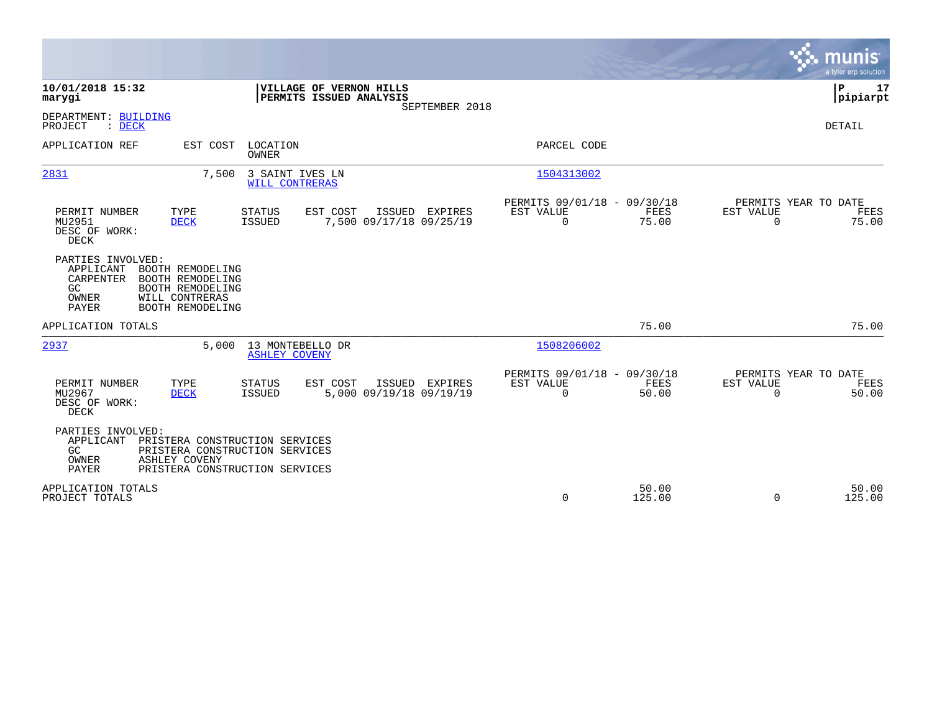|                                                                                                                                                                                       |                                                                                                      | munis<br>a tyler erp solution                                                   |
|---------------------------------------------------------------------------------------------------------------------------------------------------------------------------------------|------------------------------------------------------------------------------------------------------|---------------------------------------------------------------------------------|
| 10/01/2018 15:32<br>VILLAGE OF VERNON HILLS<br>PERMITS ISSUED ANALYSIS<br>marygi                                                                                                      | SEPTEMBER 2018                                                                                       | P<br>17<br> pipiarpt                                                            |
| DEPARTMENT: BUILDING<br>PROJECT<br>$:$ DECK                                                                                                                                           |                                                                                                      | DETAIL                                                                          |
| LOCATION<br>APPLICATION REF<br>EST COST<br><b>OWNER</b>                                                                                                                               | PARCEL CODE                                                                                          |                                                                                 |
| 2831<br>7,500<br>3 SAINT IVES LN<br><b>WILL CONTRERAS</b>                                                                                                                             | 1504313002                                                                                           |                                                                                 |
| TYPE<br>EST COST<br>PERMIT NUMBER<br><b>STATUS</b><br>MU2951<br><b>DECK</b><br><b>ISSUED</b><br>DESC OF WORK:<br>DECK                                                                 | PERMITS 09/01/18 - 09/30/18<br>ISSUED EXPIRES<br>EST VALUE<br>7,500 09/17/18 09/25/19<br>$\mathbf 0$ | PERMITS YEAR TO DATE<br>EST VALUE<br>FEES<br>FEES<br>75.00<br>$\Omega$<br>75.00 |
| PARTIES INVOLVED:<br>APPLICANT<br>BOOTH REMODELING<br>CARPENTER<br>BOOTH REMODELING<br>GC<br>BOOTH REMODELING<br>WILL CONTRERAS<br>OWNER<br>BOOTH REMODELING<br>PAYER                 |                                                                                                      |                                                                                 |
| APPLICATION TOTALS                                                                                                                                                                    |                                                                                                      | 75.00<br>75.00                                                                  |
| 2937<br>13 MONTEBELLO DR<br>5,000<br><b>ASHLEY COVENY</b>                                                                                                                             | 1508206002                                                                                           |                                                                                 |
| EST COST<br>PERMIT NUMBER<br>TYPE<br><b>STATUS</b><br>MU2967<br><b>ISSUED</b><br><b>DECK</b><br>DESC OF WORK:<br><b>DECK</b>                                                          | PERMITS 09/01/18 - 09/30/18<br>EST VALUE<br>ISSUED EXPIRES<br>5,000 09/19/18 09/19/19<br>$\Omega$    | PERMITS YEAR TO DATE<br>FEES<br>EST VALUE<br>FEES<br>50.00<br>50.00<br>$\Omega$ |
| PARTIES INVOLVED:<br>APPLICANT<br>PRISTERA CONSTRUCTION SERVICES<br>GC.<br>PRISTERA CONSTRUCTION SERVICES<br>OWNER<br><b>ASHLEY COVENY</b><br>PAYER<br>PRISTERA CONSTRUCTION SERVICES |                                                                                                      |                                                                                 |
| APPLICATION TOTALS<br>PROJECT TOTALS                                                                                                                                                  | 0                                                                                                    | 50.00<br>50.00<br>125.00<br>$\Omega$<br>125.00                                  |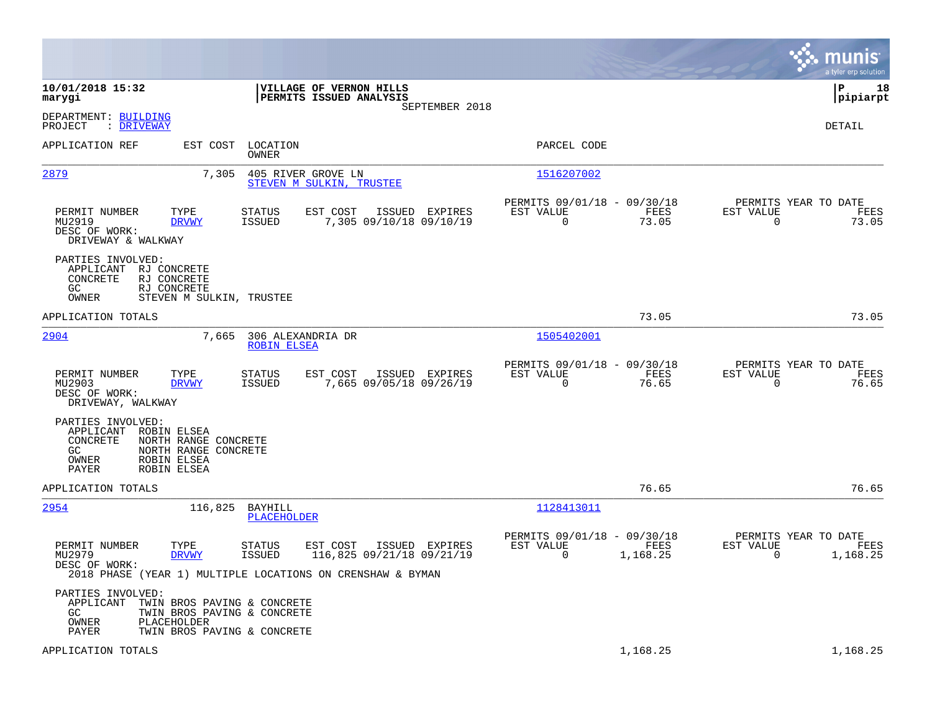|                                                                                                                                                                        |                                                                                                                                           |                                                                             | munis<br>a tyler erp solution                                        |
|------------------------------------------------------------------------------------------------------------------------------------------------------------------------|-------------------------------------------------------------------------------------------------------------------------------------------|-----------------------------------------------------------------------------|----------------------------------------------------------------------|
| 10/01/2018 15:32<br>marygi                                                                                                                                             | VILLAGE OF VERNON HILLS<br>PERMITS ISSUED ANALYSIS<br>SEPTEMBER 2018                                                                      |                                                                             | l P<br>18<br> pipiarpt                                               |
| DEPARTMENT: BUILDING<br>: <u>DRIVEWAY</u><br>PROJECT                                                                                                                   |                                                                                                                                           |                                                                             | DETAIL                                                               |
| APPLICATION REF<br>EST COST                                                                                                                                            | LOCATION<br>OWNER                                                                                                                         | PARCEL CODE                                                                 |                                                                      |
| 2879<br>7,305                                                                                                                                                          | 405 RIVER GROVE LN<br>STEVEN M SULKIN, TRUSTEE                                                                                            | 1516207002                                                                  |                                                                      |
| PERMIT NUMBER<br>TYPE<br>MU2919<br><b>DRVWY</b><br>DESC OF WORK:<br>DRIVEWAY & WALKWAY                                                                                 | EST COST<br>ISSUED EXPIRES<br>STATUS<br><b>ISSUED</b><br>7,305 09/10/18 09/10/19                                                          | PERMITS 09/01/18 - 09/30/18<br>EST VALUE<br>FEES<br>$\Omega$<br>73.05       | PERMITS YEAR TO DATE<br>EST VALUE<br>FEES<br>$\Omega$<br>73.05       |
| PARTIES INVOLVED:<br>APPLICANT<br>RJ CONCRETE<br>CONCRETE<br>RJ CONCRETE<br>GC<br>RJ CONCRETE<br>OWNER<br>STEVEN M SULKIN, TRUSTEE                                     |                                                                                                                                           |                                                                             |                                                                      |
| APPLICATION TOTALS                                                                                                                                                     |                                                                                                                                           | 73.05                                                                       | 73.05                                                                |
| 2904<br>7,665                                                                                                                                                          | 306 ALEXANDRIA DR<br><b>ROBIN ELSEA</b>                                                                                                   | 1505402001                                                                  |                                                                      |
| PERMIT NUMBER<br>TYPE<br>MU2903<br><b>DRVWY</b><br>DESC OF WORK:<br>DRIVEWAY, WALKWAY                                                                                  | EST COST<br>STATUS<br>ISSUED EXPIRES<br><b>ISSUED</b><br>7,665 09/05/18 09/26/19                                                          | PERMITS 09/01/18 - 09/30/18<br>EST VALUE<br>FEES<br>$\mathbf 0$<br>76.65    | PERMITS YEAR TO DATE<br>EST VALUE<br>FEES<br>$\mathbf 0$<br>76.65    |
| PARTIES INVOLVED:<br>APPLICANT<br>ROBIN ELSEA<br>CONCRETE<br>NORTH RANGE CONCRETE<br>GC<br>NORTH RANGE CONCRETE<br>ROBIN ELSEA<br>OWNER<br><b>ROBIN ELSEA</b><br>PAYER |                                                                                                                                           |                                                                             |                                                                      |
| APPLICATION TOTALS                                                                                                                                                     |                                                                                                                                           | 76.65                                                                       | 76.65                                                                |
| 2954<br>116,825                                                                                                                                                        | <b>BAYHILL</b><br>PLACEHOLDER                                                                                                             | 1128413011                                                                  |                                                                      |
| PERMIT NUMBER<br>TYPE<br>MU2979<br><b>DRVWY</b><br>DESC OF WORK:                                                                                                       | EST COST<br>ISSUED EXPIRES<br>STATUS<br>116,825 09/21/18 09/21/19<br>ISSUED<br>2018 PHASE (YEAR 1) MULTIPLE LOCATIONS ON CRENSHAW & BYMAN | PERMITS 09/01/18 - 09/30/18<br>EST VALUE<br>FEES<br>$\mathbf 0$<br>1,168.25 | PERMITS YEAR TO DATE<br>EST VALUE<br>FEES<br>$\mathbf 0$<br>1,168.25 |
| PARTIES INVOLVED:<br>APPLICANT<br>TWIN BROS PAVING & CONCRETE<br>GC.<br>TWIN BROS PAVING & CONCRETE<br>OWNER<br>PLACEHOLDER<br>PAYER<br>TWIN BROS PAVING & CONCRETE    |                                                                                                                                           |                                                                             |                                                                      |
| APPLICATION TOTALS                                                                                                                                                     |                                                                                                                                           | 1,168.25                                                                    | 1,168.25                                                             |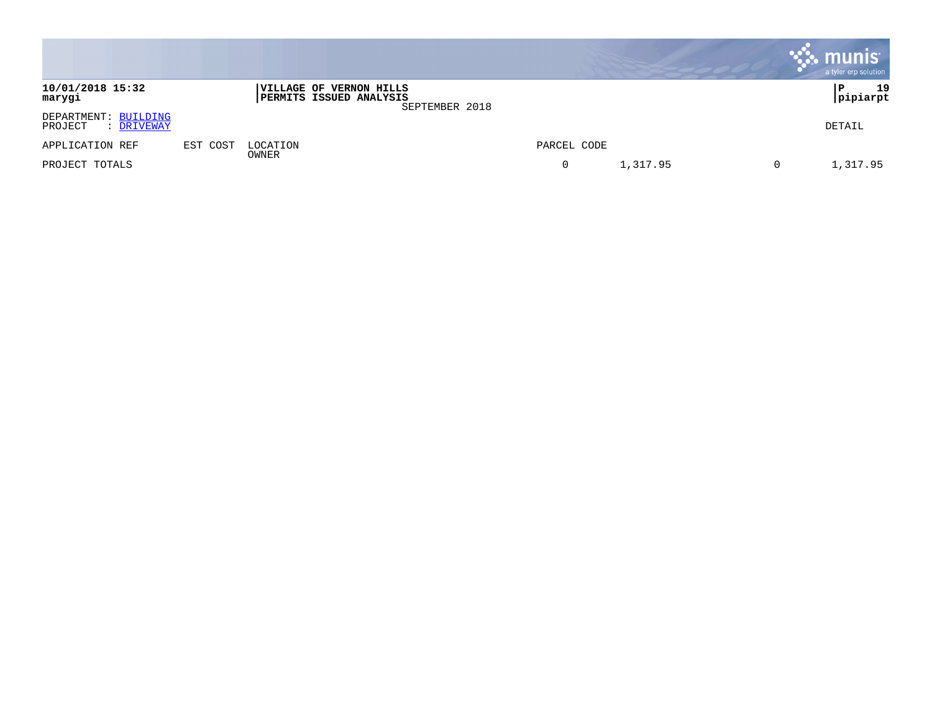|                                               |          |                                                           |                |             |          | munis<br>a tyler erp solution |
|-----------------------------------------------|----------|-----------------------------------------------------------|----------------|-------------|----------|-------------------------------|
| 10/01/2018 15:32<br>marygi                    |          | VILLAGE OF VERNON HILLS<br><b>PERMITS ISSUED ANALYSIS</b> | SEPTEMBER 2018 |             |          | 19<br>l P<br>pipiarpt         |
| DEPARTMENT: BUILDING<br>PROJECT<br>: DRIVEWAY |          |                                                           |                |             |          | DETAIL                        |
| APPLICATION REF                               | EST COST | LOCATION                                                  |                | PARCEL CODE |          |                               |
| PROJECT TOTALS                                |          | OWNER                                                     |                | 0           | 1,317.95 | 1,317.95                      |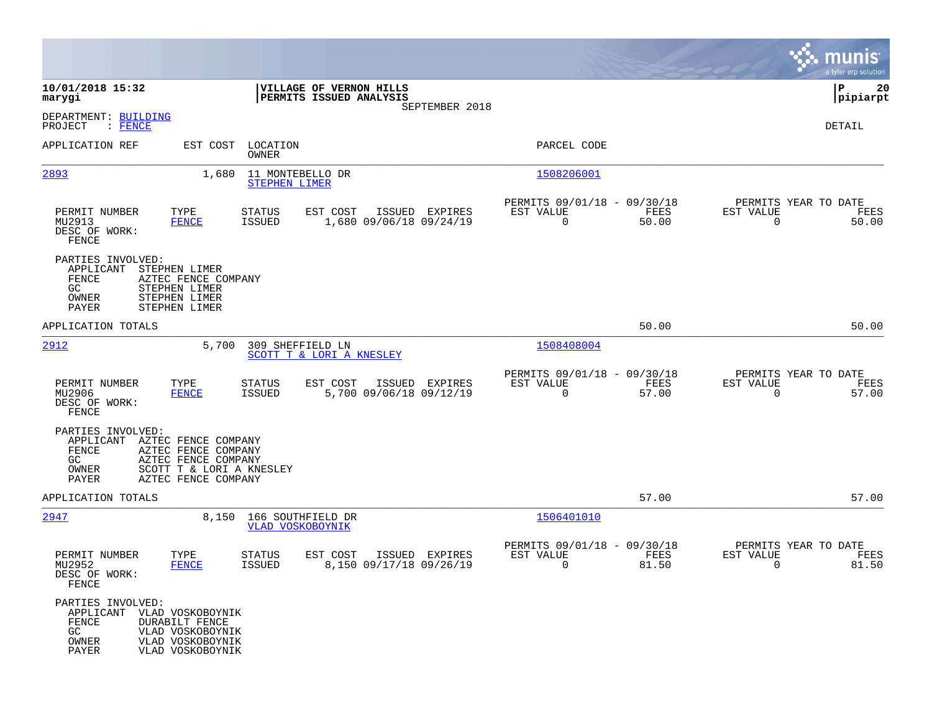|                                                                                  |                                                                                                                      |                                          |                                                    |                |                                                            |               |                                                  | munis<br>a tyler erp solution |
|----------------------------------------------------------------------------------|----------------------------------------------------------------------------------------------------------------------|------------------------------------------|----------------------------------------------------|----------------|------------------------------------------------------------|---------------|--------------------------------------------------|-------------------------------|
| 10/01/2018 15:32<br>marygi                                                       |                                                                                                                      |                                          | VILLAGE OF VERNON HILLS<br>PERMITS ISSUED ANALYSIS |                |                                                            |               |                                                  | 20<br>  P<br> pipiarpt        |
| DEPARTMENT: BUILDING<br>$\colon$ FENCE<br>PROJECT                                |                                                                                                                      |                                          |                                                    | SEPTEMBER 2018 |                                                            |               |                                                  | DETAIL                        |
| APPLICATION REF                                                                  | EST COST                                                                                                             | LOCATION<br>OWNER                        |                                                    |                | PARCEL CODE                                                |               |                                                  |                               |
| 2893                                                                             | 1,680                                                                                                                | 11 MONTEBELLO DR<br><b>STEPHEN LIMER</b> |                                                    |                | 1508206001                                                 |               |                                                  |                               |
| PERMIT NUMBER<br>MU2913<br>DESC OF WORK:<br>FENCE                                | TYPE<br><b>FENCE</b>                                                                                                 | STATUS<br><b>ISSUED</b>                  | EST COST<br>1,680 09/06/18 09/24/19                | ISSUED EXPIRES | PERMITS 09/01/18 - 09/30/18<br>EST VALUE<br>$\overline{0}$ | FEES<br>50.00 | PERMITS YEAR TO DATE<br>EST VALUE<br>$\mathbf 0$ | FEES<br>50.00                 |
| PARTIES INVOLVED:<br>APPLICANT<br>FENCE<br>GC<br>OWNER<br>PAYER                  | STEPHEN LIMER<br>AZTEC FENCE COMPANY<br>STEPHEN LIMER<br>STEPHEN LIMER<br>STEPHEN LIMER                              |                                          |                                                    |                |                                                            |               |                                                  |                               |
| APPLICATION TOTALS                                                               |                                                                                                                      |                                          |                                                    |                |                                                            | 50.00         |                                                  | 50.00                         |
| 2912                                                                             | 5,700                                                                                                                | 309 SHEFFIELD LN                         | SCOTT T & LORI A KNESLEY                           |                | 1508408004                                                 |               |                                                  |                               |
| PERMIT NUMBER<br>MU2906<br>DESC OF WORK:<br>FENCE                                | TYPE<br><b>FENCE</b>                                                                                                 | STATUS<br>ISSUED                         | EST COST<br>5,700 09/06/18 09/12/19                | ISSUED EXPIRES | PERMITS 09/01/18 - 09/30/18<br>EST VALUE<br>$\mathbf 0$    | FEES<br>57.00 | PERMITS YEAR TO DATE<br>EST VALUE<br>$\mathbf 0$ | FEES<br>57.00                 |
| PARTIES INVOLVED:<br>APPLICANT<br>FENCE<br>GC<br>OWNER<br>PAYER                  | AZTEC FENCE COMPANY<br>AZTEC FENCE COMPANY<br>AZTEC FENCE COMPANY<br>SCOTT T & LORI A KNESLEY<br>AZTEC FENCE COMPANY |                                          |                                                    |                |                                                            |               |                                                  |                               |
| APPLICATION TOTALS                                                               |                                                                                                                      |                                          |                                                    |                |                                                            | 57.00         |                                                  | 57.00                         |
| 2947                                                                             | 8,150                                                                                                                | 166 SOUTHFIELD DR<br>VLAD VOSKOBOYNIK    |                                                    |                | 1506401010                                                 |               |                                                  |                               |
| PERMIT NUMBER<br>MU2952<br>DESC OF WORK:<br>FENCE                                | TYPE<br><b>FENCE</b>                                                                                                 | <b>STATUS</b><br><b>ISSUED</b>           | EST COST<br>8,150 09/17/18 09/26/19                | ISSUED EXPIRES | PERMITS 09/01/18 - 09/30/18<br>EST VALUE<br>0              | FEES<br>81.50 | PERMITS YEAR TO DATE<br>EST VALUE<br>0           | FEES<br>81.50                 |
| PARTIES INVOLVED:<br>APPLICANT VLAD VOSKOBOYNIK<br>FENCE<br>GC<br>OWNER<br>PAYER | DURABILT FENCE<br>VLAD VOSKOBOYNIK<br>VLAD VOSKOBOYNIK<br>VLAD VOSKOBOYNIK                                           |                                          |                                                    |                |                                                            |               |                                                  |                               |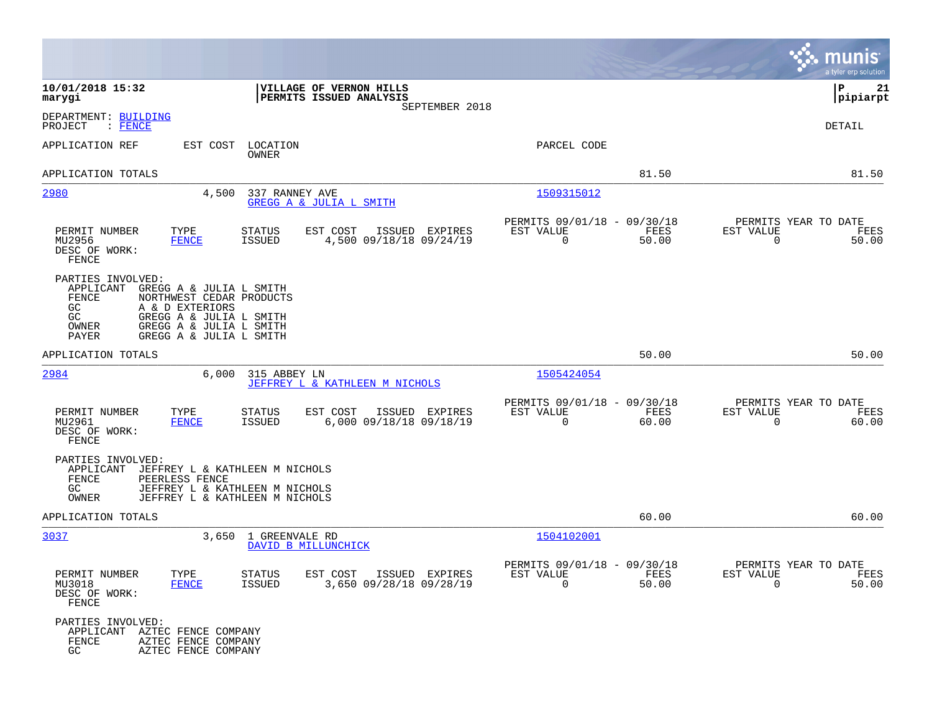|                                                                                                                                                                                                                                  |                                                         |               | munis<br>a tyler erp solution                    |                 |
|----------------------------------------------------------------------------------------------------------------------------------------------------------------------------------------------------------------------------------|---------------------------------------------------------|---------------|--------------------------------------------------|-----------------|
| 10/01/2018 15:32<br>VILLAGE OF VERNON HILLS<br>PERMITS ISSUED ANALYSIS<br>marygi<br>SEPTEMBER 2018                                                                                                                               |                                                         |               | ΙP                                               | 21<br> pipiarpt |
| DEPARTMENT: BUILDING<br>: FENCE<br>PROJECT                                                                                                                                                                                       |                                                         |               | DETAIL                                           |                 |
| EST COST<br>LOCATION<br>APPLICATION REF<br>OWNER                                                                                                                                                                                 | PARCEL CODE                                             |               |                                                  |                 |
| APPLICATION TOTALS                                                                                                                                                                                                               |                                                         | 81.50         |                                                  | 81.50           |
| 2980<br>4,500<br>337 RANNEY AVE<br>GREGG A & JULIA L SMITH                                                                                                                                                                       | 1509315012                                              |               |                                                  |                 |
| PERMIT NUMBER<br>TYPE<br>EST COST<br>ISSUED EXPIRES<br><b>STATUS</b><br>MU2956<br>4,500 09/18/18 09/24/19<br><b>FENCE</b><br><b>ISSUED</b><br>DESC OF WORK:<br>FENCE                                                             | PERMITS 09/01/18 - 09/30/18<br>EST VALUE<br>$\mathbf 0$ | FEES<br>50.00 | PERMITS YEAR TO DATE<br>EST VALUE<br>$\mathbf 0$ | FEES<br>50.00   |
| PARTIES INVOLVED:<br>APPLICANT<br>GREGG A & JULIA L SMITH<br>FENCE<br>NORTHWEST CEDAR PRODUCTS<br>GC<br>A & D EXTERIORS<br>GC<br>GREGG A & JULIA L SMITH<br>GREGG A & JULIA L SMITH<br>OWNER<br>PAYER<br>GREGG A & JULIA L SMITH |                                                         |               |                                                  |                 |
| APPLICATION TOTALS                                                                                                                                                                                                               |                                                         | 50.00         |                                                  | 50.00           |
| 2984<br>6,000<br>315 ABBEY LN<br>JEFFREY L & KATHLEEN M NICHOLS                                                                                                                                                                  | 1505424054                                              |               |                                                  |                 |
| PERMIT NUMBER<br>TYPE<br><b>STATUS</b><br>EST COST<br>ISSUED EXPIRES<br>6,000 09/18/18 09/18/19<br>MU2961<br><b>FENCE</b><br><b>ISSUED</b><br>DESC OF WORK:<br>FENCE                                                             | PERMITS 09/01/18 - 09/30/18<br>EST VALUE<br>$\mathbf 0$ | FEES<br>60.00 | PERMITS YEAR TO DATE<br>EST VALUE<br>$\mathbf 0$ | FEES<br>60.00   |
| PARTIES INVOLVED:<br>APPLICANT<br>JEFFREY L & KATHLEEN M NICHOLS<br>FENCE<br>PEERLESS FENCE<br>GC<br>JEFFREY L & KATHLEEN M NICHOLS<br>OWNER<br>JEFFREY L & KATHLEEN M NICHOLS                                                   |                                                         |               |                                                  |                 |
| APPLICATION TOTALS                                                                                                                                                                                                               |                                                         | 60.00         |                                                  | 60.00           |
| 3037<br>1 GREENVALE RD<br>3,650<br>DAVID B MILLUNCHICK                                                                                                                                                                           | 1504102001                                              |               |                                                  |                 |
| PERMIT NUMBER<br>TYPE<br>EST COST<br>ISSUED EXPIRES<br>STATUS<br>MU3018<br><b>FENCE</b><br><b>ISSUED</b><br>3,650 09/28/18 09/28/19<br>DESC OF WORK:<br>FENCE                                                                    | PERMITS 09/01/18 - 09/30/18<br>EST VALUE<br>$\mathbf 0$ | FEES<br>50.00 | PERMITS YEAR TO DATE<br>EST VALUE<br>$\mathbf 0$ | FEES<br>50.00   |
| PARTIES INVOLVED:<br>APPLICANT<br>AZTEC FENCE COMPANY<br>FENCE<br>AZTEC FENCE COMPANY<br>GC<br>AZTEC FENCE COMPANY                                                                                                               |                                                         |               |                                                  |                 |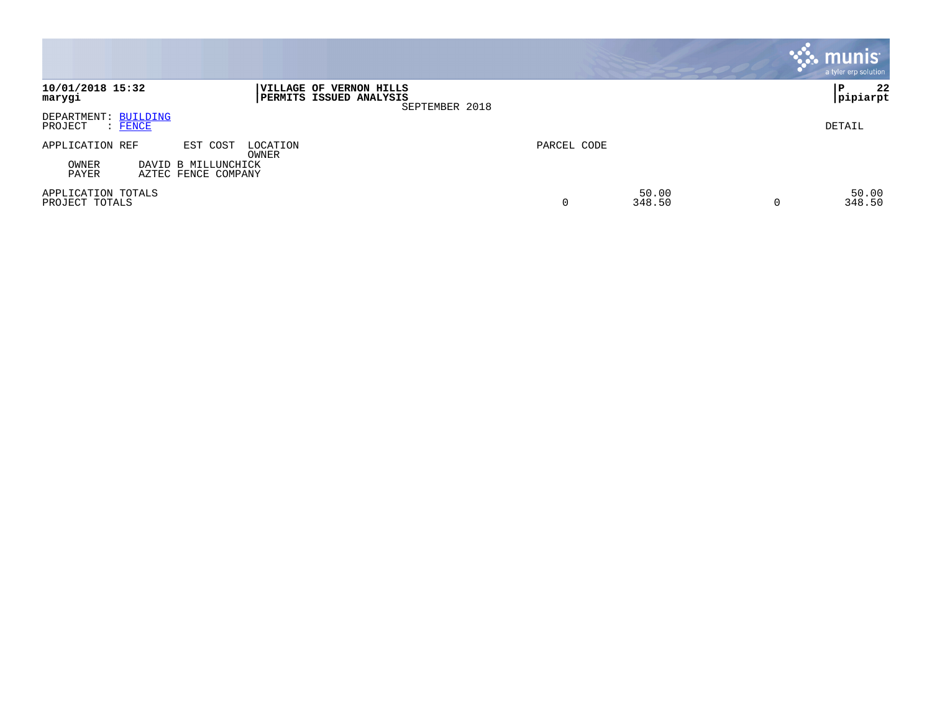|                                                                                                    |             |                 |   | munis <sup>®</sup><br>a tyler erp solution |
|----------------------------------------------------------------------------------------------------|-------------|-----------------|---|--------------------------------------------|
| 10/01/2018 15:32<br>VILLAGE OF VERNON HILLS<br>PERMITS ISSUED ANALYSIS<br>marygi<br>SEPTEMBER 2018 |             |                 |   | 22<br>P<br> pipiarpt                       |
| DEPARTMENT: BUILDING<br>PROJECT<br>$:$ FENCE                                                       |             |                 |   | DETAIL                                     |
| APPLICATION REF<br>EST COST<br>LOCATION<br>OWNER                                                   | PARCEL CODE |                 |   |                                            |
| OWNER<br>DAVID B MILLUNCHICK<br>PAYER<br>AZTEC FENCE COMPANY                                       |             |                 |   |                                            |
| APPLICATION TOTALS<br>PROJECT TOTALS                                                               | 0           | 50.00<br>348.50 | 0 | 50.00<br>348.50                            |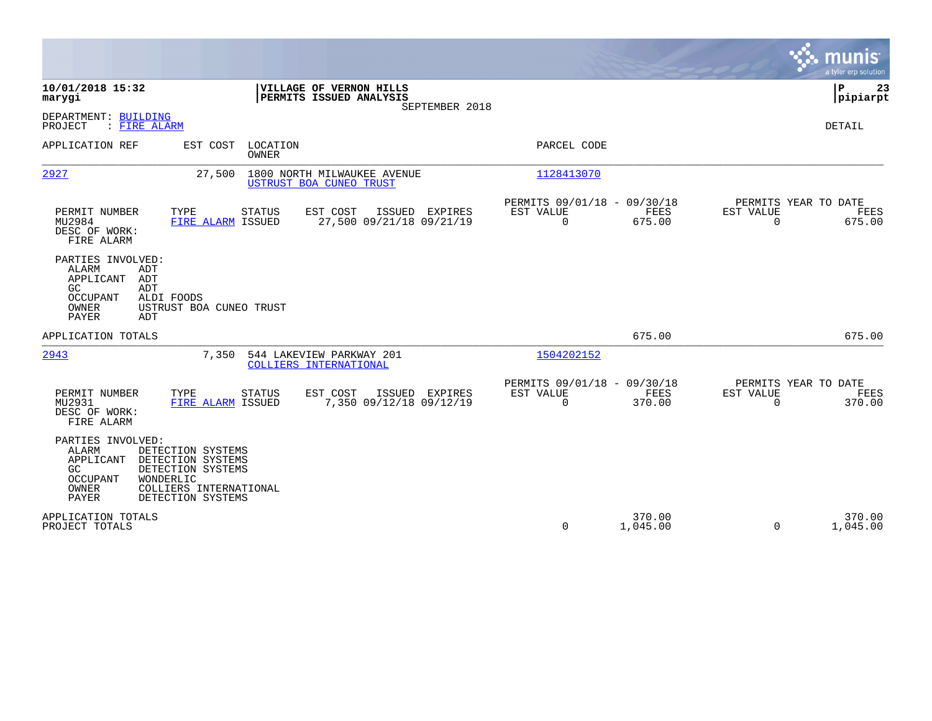|                                                                                                                               |                                                                                                            |                                                        |                          |                                               |                          | munis<br>a tyler erp solution          |
|-------------------------------------------------------------------------------------------------------------------------------|------------------------------------------------------------------------------------------------------------|--------------------------------------------------------|--------------------------|-----------------------------------------------|--------------------------|----------------------------------------|
| 10/01/2018 15:32<br>marygi                                                                                                    |                                                                                                            | VILLAGE OF VERNON HILLS<br>PERMITS ISSUED ANALYSIS     |                          |                                               |                          | Þ<br>23<br> pipiarpt                   |
| DEPARTMENT: BUILDING<br>: FIRE ALARM<br>PROJECT                                                                               |                                                                                                            | SEPTEMBER 2018                                         |                          |                                               |                          | <b>DETAIL</b>                          |
| APPLICATION REF                                                                                                               | EST COST<br>LOCATION<br><b>OWNER</b>                                                                       |                                                        | PARCEL CODE              |                                               |                          |                                        |
| 2927                                                                                                                          | 27,500                                                                                                     | 1800 NORTH MILWAUKEE AVENUE<br>USTRUST BOA CUNEO TRUST | 1128413070               |                                               |                          |                                        |
| PERMIT NUMBER<br>MU2984<br>DESC OF WORK:<br>FIRE ALARM                                                                        | TYPE<br><b>STATUS</b><br>FIRE ALARM ISSUED                                                                 | EST COST<br>ISSUED EXPIRES<br>27,500 09/21/18 09/21/19 | EST VALUE<br>$\mathbf 0$ | PERMITS 09/01/18 - 09/30/18<br>FEES<br>675.00 | EST VALUE<br>$\mathbf 0$ | PERMITS YEAR TO DATE<br>FEES<br>675.00 |
| PARTIES INVOLVED:<br>ALARM<br>ADT<br>APPLICANT<br>ADT<br>GC.<br>ADT<br><b>OCCUPANT</b><br>ALDI FOODS<br>OWNER<br>PAYER<br>ADT | USTRUST BOA CUNEO TRUST                                                                                    |                                                        |                          |                                               |                          |                                        |
| APPLICATION TOTALS                                                                                                            |                                                                                                            |                                                        |                          | 675.00                                        |                          | 675.00                                 |
| 2943                                                                                                                          | 7,350                                                                                                      | 544 LAKEVIEW PARKWAY 201<br>COLLIERS INTERNATIONAL     | 1504202152               |                                               |                          |                                        |
| PERMIT NUMBER<br>MU2931<br>DESC OF WORK:<br>FIRE ALARM                                                                        | TYPE<br><b>STATUS</b><br>FIRE ALARM ISSUED                                                                 | EST COST<br>ISSUED EXPIRES<br>7,350 09/12/18 09/12/19  | EST VALUE<br>$\Omega$    | PERMITS 09/01/18 - 09/30/18<br>FEES<br>370.00 | EST VALUE<br>$\Omega$    | PERMITS YEAR TO DATE<br>FEES<br>370.00 |
| PARTIES INVOLVED:<br><b>ALARM</b><br>APPLICANT<br>GC<br>WONDERLIC<br>OCCUPANT<br>OWNER<br>PAYER                               | DETECTION SYSTEMS<br>DETECTION SYSTEMS<br>DETECTION SYSTEMS<br>COLLIERS INTERNATIONAL<br>DETECTION SYSTEMS |                                                        |                          |                                               |                          |                                        |
| APPLICATION TOTALS<br>PROJECT TOTALS                                                                                          |                                                                                                            |                                                        | 0                        | 370.00<br>1,045.00                            | $\Omega$                 | 370.00<br>1,045.00                     |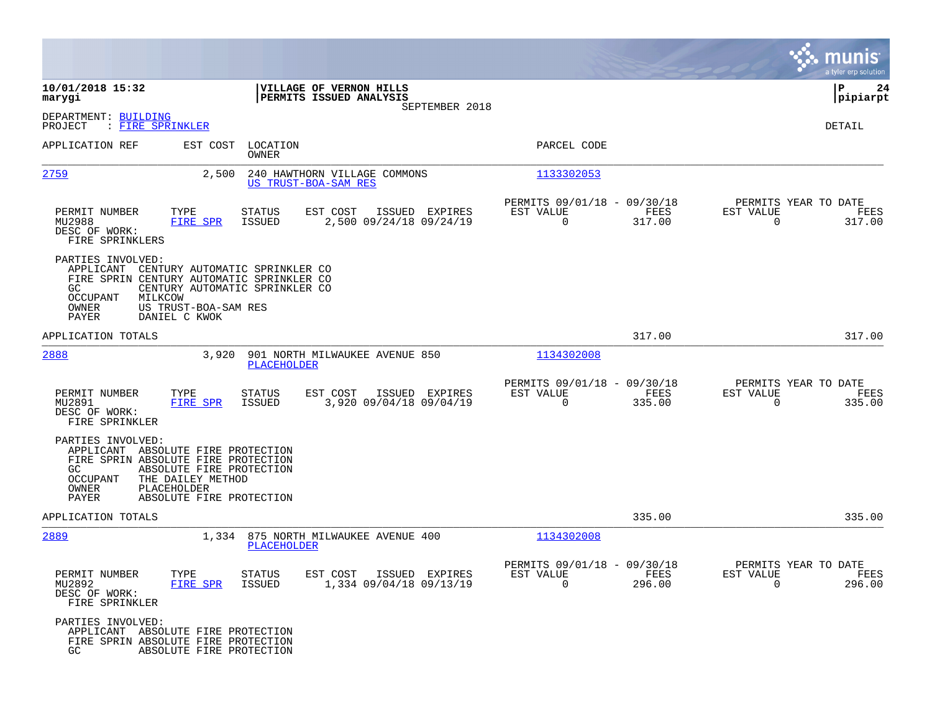|                                                                                                                                     |                                                                                                           |                                |                                                      |                |                                                      |                       |                                                  | munis<br>a tyler erp solution |
|-------------------------------------------------------------------------------------------------------------------------------------|-----------------------------------------------------------------------------------------------------------|--------------------------------|------------------------------------------------------|----------------|------------------------------------------------------|-----------------------|--------------------------------------------------|-------------------------------|
| 10/01/2018 15:32<br>marygi                                                                                                          |                                                                                                           |                                | VILLAGE OF VERNON HILLS<br>PERMITS ISSUED ANALYSIS   |                |                                                      |                       |                                                  | P<br>24<br> pipiarpt          |
| DEPARTMENT: BUILDING<br>: <u>FIRE SPRINKLER</u><br>PROJECT                                                                          |                                                                                                           |                                |                                                      | SEPTEMBER 2018 |                                                      |                       |                                                  | <b>DETAIL</b>                 |
| APPLICATION REF                                                                                                                     | EST COST                                                                                                  | LOCATION<br><b>OWNER</b>       |                                                      |                | PARCEL CODE                                          |                       |                                                  |                               |
| 2759                                                                                                                                | 2,500                                                                                                     |                                | 240 HAWTHORN VILLAGE COMMONS<br>US TRUST-BOA-SAM RES |                | 1133302053                                           |                       |                                                  |                               |
| PERMIT NUMBER<br>MU2988<br>DESC OF WORK:<br>FIRE SPRINKLERS                                                                         | TYPE<br><b>FIRE SPR</b>                                                                                   | <b>STATUS</b><br><b>ISSUED</b> | EST COST<br>2,500 09/24/18 09/24/19                  | ISSUED EXPIRES | PERMITS 09/01/18 - 09/30/18<br>EST VALUE<br>$\Omega$ | FEES<br>317.00        | PERMITS YEAR TO DATE<br>EST VALUE<br>$\Omega$    | FEES<br>317.00                |
| PARTIES INVOLVED:<br>APPLICANT<br>FIRE SPRIN CENTURY AUTOMATIC SPRINKLER CO<br>GC.<br><b>OCCUPANT</b><br>MILKCOW<br>OWNER<br>PAYER  | CENTURY AUTOMATIC SPRINKLER CO<br>CENTURY AUTOMATIC SPRINKLER CO<br>US TRUST-BOA-SAM RES<br>DANIEL C KWOK |                                |                                                      |                |                                                      |                       |                                                  |                               |
| APPLICATION TOTALS                                                                                                                  |                                                                                                           |                                |                                                      |                |                                                      | 317.00                |                                                  | 317.00                        |
| 2888                                                                                                                                | 3,920                                                                                                     | <b>PLACEHOLDER</b>             | 901 NORTH MILWAUKEE AVENUE 850                       |                | 1134302008                                           |                       |                                                  |                               |
| PERMIT NUMBER<br>MU2891<br>DESC OF WORK:<br>FIRE SPRINKLER                                                                          | TYPE<br><b>FIRE SPR</b>                                                                                   | <b>STATUS</b><br>ISSUED        | EST COST<br>3,920 09/04/18 09/04/19                  | ISSUED EXPIRES | PERMITS 09/01/18 - 09/30/18<br>EST VALUE<br>$\Omega$ | <b>FEES</b><br>335.00 | PERMITS YEAR TO DATE<br>EST VALUE<br>$\Omega$    | FEES<br>335.00                |
| PARTIES INVOLVED:<br>APPLICANT ABSOLUTE FIRE PROTECTION<br>FIRE SPRIN ABSOLUTE FIRE PROTECTION<br>GC.<br>OCCUPANT<br>OWNER<br>PAYER | ABSOLUTE FIRE PROTECTION<br>THE DAILEY METHOD<br>PLACEHOLDER<br>ABSOLUTE FIRE PROTECTION                  |                                |                                                      |                |                                                      |                       |                                                  |                               |
| APPLICATION TOTALS                                                                                                                  |                                                                                                           |                                |                                                      |                |                                                      | 335.00                |                                                  | 335.00                        |
| 2889                                                                                                                                |                                                                                                           | PLACEHOLDER                    | 1,334 875 NORTH MILWAUKEE AVENUE 400                 |                | 1134302008                                           |                       |                                                  |                               |
| PERMIT NUMBER<br>MU2892<br>DESC OF WORK:<br>FIRE SPRINKLER                                                                          | TYPE<br>FIRE SPR                                                                                          | <b>STATUS</b><br><b>ISSUED</b> | EST COST<br>1,334 09/04/18 09/13/19                  | ISSUED EXPIRES | PERMITS 09/01/18 - 09/30/18<br>EST VALUE<br>0        | FEES<br>296.00        | PERMITS YEAR TO DATE<br>EST VALUE<br>$\mathbf 0$ | FEES<br>296.00                |
| PARTIES INVOLVED:<br>APPLICANT ABSOLUTE FIRE PROTECTION<br>FIRE SPRIN ABSOLUTE FIRE PROTECTION<br>GC.                               | ABSOLUTE FIRE PROTECTION                                                                                  |                                |                                                      |                |                                                      |                       |                                                  |                               |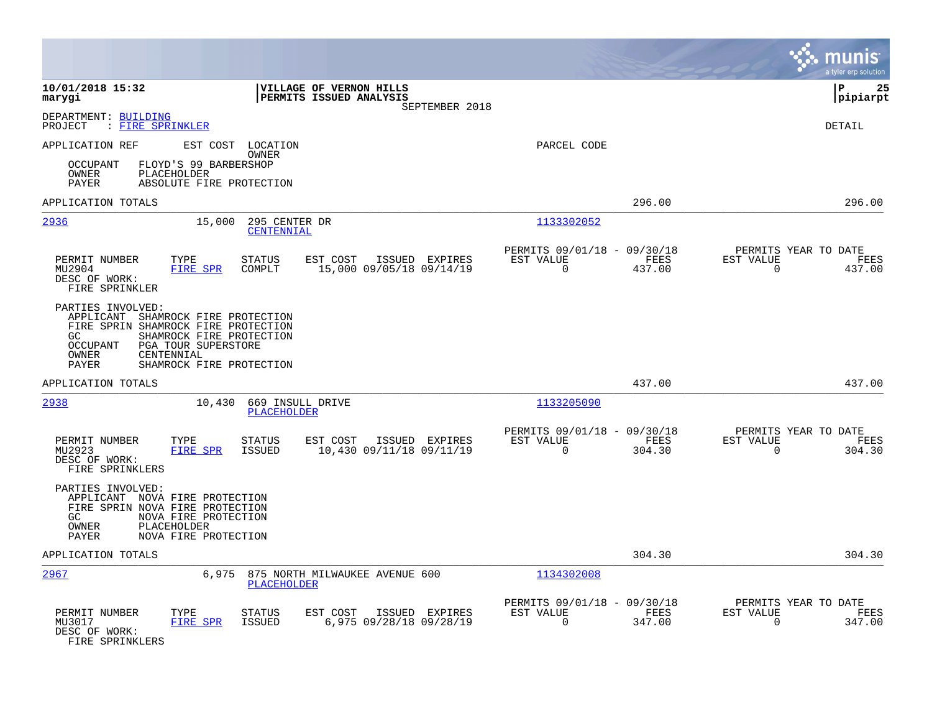|                                                                                                                                                                                                                                                  |                                                                        | munis<br>a tyler erp solution                                   |
|--------------------------------------------------------------------------------------------------------------------------------------------------------------------------------------------------------------------------------------------------|------------------------------------------------------------------------|-----------------------------------------------------------------|
| 10/01/2018 15:32<br>VILLAGE OF VERNON HILLS<br>PERMITS ISSUED ANALYSIS<br>marygi<br>SEPTEMBER 2018                                                                                                                                               |                                                                        | l P<br>25<br> pipiarpt                                          |
| DEPARTMENT: BUILDING<br>: FIRE SPRINKLER<br>PROJECT                                                                                                                                                                                              |                                                                        | <b>DETAIL</b>                                                   |
| APPLICATION REF<br>EST COST<br>LOCATION                                                                                                                                                                                                          | PARCEL CODE                                                            |                                                                 |
| <b>OWNER</b><br>OCCUPANT<br>FLOYD'S 99 BARBERSHOP<br>OWNER<br>PLACEHOLDER<br><b>PAYER</b><br>ABSOLUTE FIRE PROTECTION                                                                                                                            |                                                                        |                                                                 |
| APPLICATION TOTALS                                                                                                                                                                                                                               | 296.00                                                                 | 296.00                                                          |
| 2936<br>15,000<br>295 CENTER DR<br>CENTENNIAL                                                                                                                                                                                                    | 1133302052                                                             |                                                                 |
| PERMIT NUMBER<br>TYPE<br><b>STATUS</b><br>EST COST<br>ISSUED EXPIRES<br>15,000 09/05/18 09/14/19<br><b>FIRE SPR</b><br>COMPLT<br>MU2904<br>DESC OF WORK:<br>FIRE SPRINKLER                                                                       | PERMITS 09/01/18 - 09/30/18<br>FEES<br>EST VALUE<br>$\Omega$<br>437.00 | PERMITS YEAR TO DATE<br>EST VALUE<br>FEES<br>$\Omega$<br>437.00 |
| PARTIES INVOLVED:<br>APPLICANT<br>SHAMROCK FIRE PROTECTION<br>FIRE SPRIN SHAMROCK FIRE PROTECTION<br>GC<br>SHAMROCK FIRE PROTECTION<br><b>OCCUPANT</b><br>PGA TOUR SUPERSTORE<br>OWNER<br>CENTENNIAL<br><b>PAYER</b><br>SHAMROCK FIRE PROTECTION |                                                                        |                                                                 |
| APPLICATION TOTALS                                                                                                                                                                                                                               | 437.00                                                                 | 437.00                                                          |
| 2938<br>669 INSULL DRIVE<br>10,430<br>PLACEHOLDER                                                                                                                                                                                                | 1133205090                                                             |                                                                 |
| PERMIT NUMBER<br>TYPE<br><b>STATUS</b><br>EST COST<br>ISSUED EXPIRES<br>MU2923<br><b>FIRE SPR</b><br><b>ISSUED</b><br>10,430 09/11/18 09/11/19<br>DESC OF WORK:<br>FIRE SPRINKLERS                                                               | PERMITS 09/01/18 - 09/30/18<br>EST VALUE<br>FEES<br>0<br>304.30        | PERMITS YEAR TO DATE<br>EST VALUE<br>FEES<br>$\Omega$<br>304.30 |
| PARTIES INVOLVED:<br>APPLICANT NOVA FIRE PROTECTION<br>FIRE SPRIN NOVA FIRE PROTECTION<br>NOVA FIRE PROTECTION<br>GC.<br>PLACEHOLDER<br>OWNER<br>PAYER<br>NOVA FIRE PROTECTION                                                                   |                                                                        |                                                                 |
| APPLICATION TOTALS                                                                                                                                                                                                                               | 304.30                                                                 | 304.30                                                          |
| <u>2967</u><br>6,975 875 NORTH MILWAUKEE AVENUE 600<br>PLACEHOLDER                                                                                                                                                                               | 1134302008                                                             |                                                                 |
| PERMIT NUMBER<br>TYPE<br>EST COST<br>ISSUED EXPIRES<br>STATUS<br>6,975 09/28/18 09/28/19<br>MU3017<br>FIRE SPR<br>ISSUED<br>DESC OF WORK:<br>FIRE SPRINKLERS                                                                                     | PERMITS 09/01/18 - 09/30/18<br>EST VALUE<br>FEES<br>$\Omega$<br>347.00 | PERMITS YEAR TO DATE<br>EST VALUE<br>FEES<br>347.00<br>0        |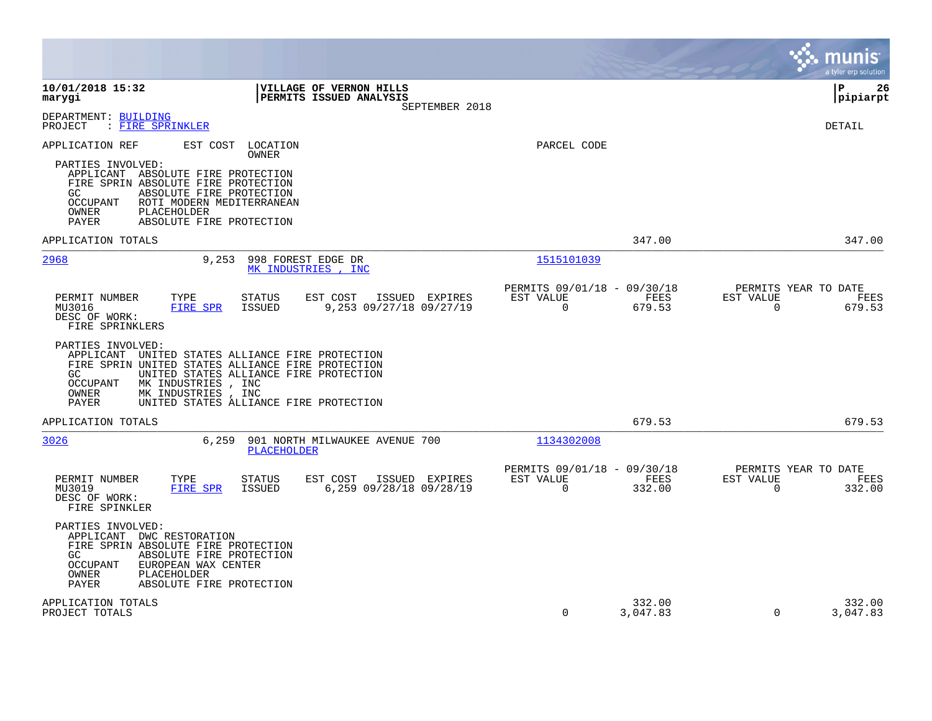|                                                                                                                                                                                                                                                                                                         |                                                                           | munis<br>a tyler erp solution                                      |
|---------------------------------------------------------------------------------------------------------------------------------------------------------------------------------------------------------------------------------------------------------------------------------------------------------|---------------------------------------------------------------------------|--------------------------------------------------------------------|
| 10/01/2018 15:32<br><b>VILLAGE OF VERNON HILLS</b><br>marygi<br><b>PERMITS ISSUED ANALYSIS</b><br>SEPTEMBER 2018                                                                                                                                                                                        |                                                                           | l P<br>26<br> pipiarpt                                             |
| DEPARTMENT: BUILDING<br>: <u>FIRE SPRINKLER</u><br>PROJECT                                                                                                                                                                                                                                              |                                                                           | DETAIL                                                             |
| EST COST<br>APPLICATION REF<br>LOCATION<br>OWNER<br>PARTIES INVOLVED:<br>APPLICANT ABSOLUTE FIRE PROTECTION<br>FIRE SPRIN ABSOLUTE FIRE PROTECTION<br>GC<br>ABSOLUTE FIRE PROTECTION<br>OCCUPANT<br>ROTI MODERN MEDITERRANEAN<br>PLACEHOLDER<br>OWNER<br>PAYER<br>ABSOLUTE FIRE PROTECTION              | PARCEL CODE                                                               |                                                                    |
| APPLICATION TOTALS                                                                                                                                                                                                                                                                                      | 347.00                                                                    | 347.00                                                             |
| 2968<br>9,253<br>998 FOREST EDGE DR<br>MK INDUSTRIES, INC                                                                                                                                                                                                                                               | 1515101039                                                                |                                                                    |
| PERMIT NUMBER<br>TYPE<br><b>STATUS</b><br>EST COST<br>ISSUED EXPIRES<br>9,253 09/27/18 09/27/19<br>MU3016<br><b>FIRE SPR</b><br><b>ISSUED</b><br>DESC OF WORK:<br>FIRE SPRINKLERS                                                                                                                       | PERMITS 09/01/18 - 09/30/18<br>EST VALUE<br>FEES<br>$\mathbf 0$<br>679.53 | PERMITS YEAR TO DATE<br>EST VALUE<br>FEES<br>679.53<br>$\mathbf 0$ |
| PARTIES INVOLVED:<br>APPLICANT UNITED STATES ALLIANCE FIRE PROTECTION<br>FIRE SPRIN UNITED STATES ALLIANCE FIRE PROTECTION<br>UNITED STATES ALLIANCE FIRE PROTECTION<br>GC.<br>OCCUPANT<br>MK INDUSTRIES<br>, INC<br>MK INDUSTRIES<br>OWNER<br>, INC<br>UNITED STATES ALLIANCE FIRE PROTECTION<br>PAYER |                                                                           |                                                                    |
| APPLICATION TOTALS                                                                                                                                                                                                                                                                                      | 679.53                                                                    | 679.53                                                             |
| 6,259<br>3026<br>901 NORTH MILWAUKEE AVENUE 700<br><b>PLACEHOLDER</b>                                                                                                                                                                                                                                   | 1134302008                                                                |                                                                    |
| PERMIT NUMBER<br>TYPE<br><b>STATUS</b><br>EST COST<br>ISSUED EXPIRES<br>MU3019<br>FIRE SPR<br>ISSUED<br>6,259 09/28/18 09/28/19<br>DESC OF WORK:<br>FIRE SPINKLER                                                                                                                                       | PERMITS 09/01/18 - 09/30/18<br>EST VALUE<br>FEES<br>$\Omega$<br>332.00    | PERMITS YEAR TO DATE<br>EST VALUE<br>FEES<br>$\mathbf 0$<br>332.00 |
| PARTIES INVOLVED:<br>APPLICANT DWC RESTORATION<br>FIRE SPRIN ABSOLUTE FIRE PROTECTION<br>GC<br>ABSOLUTE FIRE PROTECTION<br>EUROPEAN WAX CENTER<br>OCCUPANT<br>OWNER<br>PLACEHOLDER<br>PAYER<br>ABSOLUTE FIRE PROTECTION                                                                                 |                                                                           |                                                                    |
| APPLICATION TOTALS<br>PROJECT TOTALS                                                                                                                                                                                                                                                                    | 332.00<br>$\Omega$<br>3,047.83                                            | 332.00<br>$\Omega$<br>3,047.83                                     |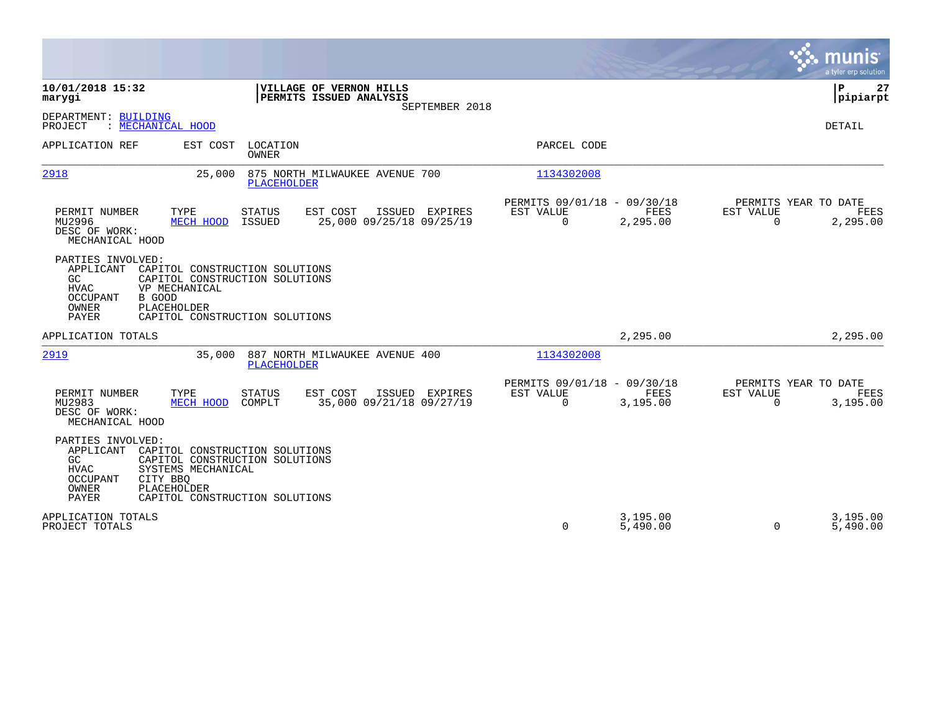|                                                                                                                                                                                                                                                  |                                                                                 | munis<br>a tyler erp solution                                     |
|--------------------------------------------------------------------------------------------------------------------------------------------------------------------------------------------------------------------------------------------------|---------------------------------------------------------------------------------|-------------------------------------------------------------------|
| 10/01/2018 15:32<br>VILLAGE OF VERNON HILLS<br>PERMITS ISSUED ANALYSIS<br>marygi<br>SEPTEMBER 2018                                                                                                                                               |                                                                                 | ΙP<br>27<br> pipiarpt                                             |
| DEPARTMENT: BUILDING<br>: MECHANICAL HOOD<br>PROJECT                                                                                                                                                                                             |                                                                                 | <b>DETAIL</b>                                                     |
| LOCATION<br>APPLICATION REF<br>EST COST<br><b>OWNER</b>                                                                                                                                                                                          | PARCEL CODE                                                                     |                                                                   |
| 2918<br>25,000<br>875 NORTH MILWAUKEE AVENUE 700<br><b>PLACEHOLDER</b>                                                                                                                                                                           | 1134302008                                                                      |                                                                   |
| PERMIT NUMBER<br>TYPE<br><b>STATUS</b><br>EST COST<br>ISSUED EXPIRES<br>25,000 09/25/18 09/25/19<br>MU2996<br>ISSUED<br>MECH HOOD<br>DESC OF WORK:<br>MECHANICAL HOOD                                                                            | PERMITS 09/01/18 - 09/30/18<br>EST VALUE<br>FEES<br>0<br>2,295.00               | PERMITS YEAR TO DATE<br>EST VALUE<br>FEES<br>2,295.00<br>$\Omega$ |
| PARTIES INVOLVED:<br>APPLICANT<br>CAPITOL CONSTRUCTION SOLUTIONS<br>GC<br>CAPITOL CONSTRUCTION SOLUTIONS<br><b>HVAC</b><br>VP MECHANICAL<br>B GOOD<br>OCCUPANT<br>PLACEHOLDER<br>OWNER<br><b>PAYER</b><br>CAPITOL CONSTRUCTION SOLUTIONS         |                                                                                 |                                                                   |
| APPLICATION TOTALS                                                                                                                                                                                                                               | 2,295.00                                                                        | 2,295.00                                                          |
| 2919<br>887 NORTH MILWAUKEE AVENUE 400<br>35,000<br><b>PLACEHOLDER</b>                                                                                                                                                                           | 1134302008                                                                      |                                                                   |
| PERMIT NUMBER<br>EST COST<br><b>ISSUED</b><br>TYPE<br><b>STATUS</b><br>EXPIRES<br>35,000 09/21/18 09/27/19<br>MU2983<br>MECH HOOD<br>COMPLT<br>DESC OF WORK:<br>MECHANICAL HOOD                                                                  | PERMITS 09/01/18 - 09/30/18<br>EST VALUE<br><b>FEES</b><br>$\Omega$<br>3,195.00 | PERMITS YEAR TO DATE<br>EST VALUE<br>FEES<br>$\Omega$<br>3,195.00 |
| PARTIES INVOLVED:<br>APPLICANT<br>CAPITOL CONSTRUCTION SOLUTIONS<br>GC.<br>CAPITOL CONSTRUCTION SOLUTIONS<br><b>HVAC</b><br>SYSTEMS MECHANICAL<br>OCCUPANT<br>CITY BBO<br>OWNER<br>PLACEHOLDER<br><b>PAYER</b><br>CAPITOL CONSTRUCTION SOLUTIONS |                                                                                 |                                                                   |
| APPLICATION TOTALS<br>PROJECT TOTALS                                                                                                                                                                                                             | 3,195.00<br>0<br>5,490.00                                                       | 3,195.00<br>5,490.00<br>$\Omega$                                  |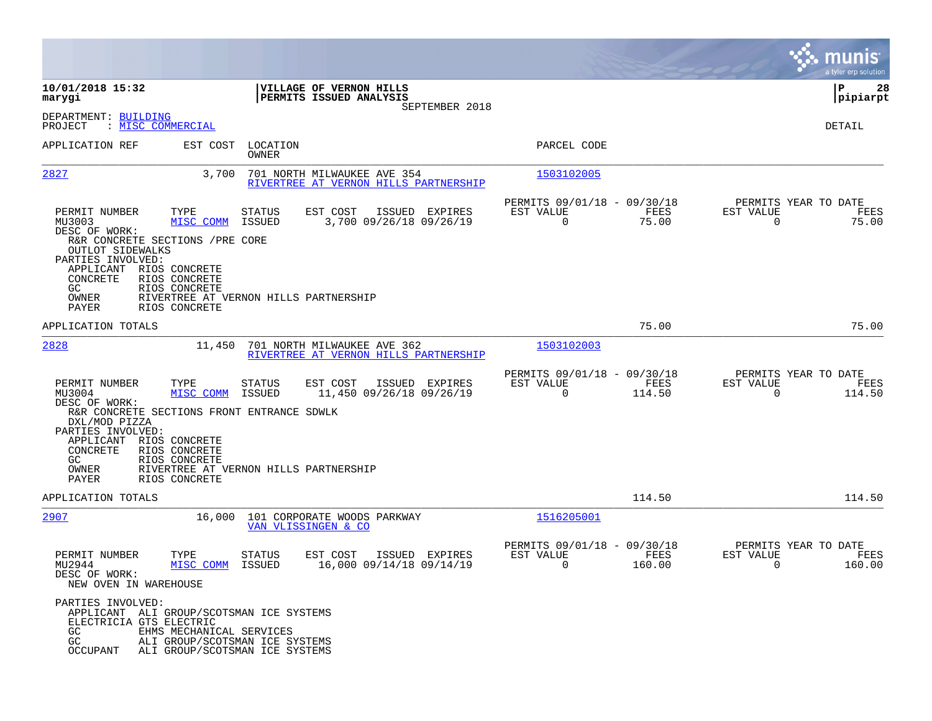|                                                                                                                                                       |                                                                                                           |                         |                                                                      |                                                         |                |                                               | munis<br>a tyler erp solution |
|-------------------------------------------------------------------------------------------------------------------------------------------------------|-----------------------------------------------------------------------------------------------------------|-------------------------|----------------------------------------------------------------------|---------------------------------------------------------|----------------|-----------------------------------------------|-------------------------------|
| 10/01/2018 15:32<br>marygi                                                                                                                            |                                                                                                           |                         | VILLAGE OF VERNON HILLS<br>PERMITS ISSUED ANALYSIS<br>SEPTEMBER 2018 |                                                         |                |                                               | 28<br>ΙP<br> pipiarpt         |
| DEPARTMENT: BUILDING<br>: MISC COMMERCIAL<br>PROJECT                                                                                                  |                                                                                                           |                         |                                                                      |                                                         |                |                                               | DETAIL                        |
| APPLICATION REF                                                                                                                                       | EST COST                                                                                                  | LOCATION<br>OWNER       |                                                                      | PARCEL CODE                                             |                |                                               |                               |
| 2827                                                                                                                                                  | 3,700                                                                                                     |                         | 701 NORTH MILWAUKEE AVE 354<br>RIVERTREE AT VERNON HILLS PARTNERSHIP | 1503102005                                              |                |                                               |                               |
| PERMIT NUMBER<br>MU3003<br>DESC OF WORK:<br>R&R CONCRETE SECTIONS / PRE CORE<br>OUTLOT SIDEWALKS<br>PARTIES INVOLVED:<br>APPLICANT<br>CONCRETE<br>GC. | TYPE<br>MISC COMM<br>RIOS CONCRETE<br>RIOS CONCRETE<br>RIOS CONCRETE                                      | STATUS<br>ISSUED        | EST COST<br>ISSUED EXPIRES<br>3,700 09/26/18 09/26/19                | PERMITS 09/01/18 - 09/30/18<br>EST VALUE<br>$\Omega$    | FEES<br>75.00  | PERMITS YEAR TO DATE<br>EST VALUE<br>$\Omega$ | FEES<br>75.00                 |
| OWNER<br>PAYER                                                                                                                                        | RIVERTREE AT VERNON HILLS PARTNERSHIP<br>RIOS CONCRETE                                                    |                         |                                                                      |                                                         |                |                                               |                               |
| APPLICATION TOTALS                                                                                                                                    |                                                                                                           |                         |                                                                      |                                                         | 75.00          |                                               | 75.00                         |
| 2828                                                                                                                                                  | 11,450                                                                                                    |                         | 701 NORTH MILWAUKEE AVE 362<br>RIVERTREE AT VERNON HILLS PARTNERSHIP | 1503102003                                              |                |                                               |                               |
| PERMIT NUMBER<br>MU3004<br>DESC OF WORK:                                                                                                              | TYPE<br>MISC COMM                                                                                         | <b>STATUS</b><br>ISSUED | EST COST<br>ISSUED EXPIRES<br>11,450 09/26/18 09/26/19               | PERMITS 09/01/18 - 09/30/18<br>EST VALUE<br>$\mathbf 0$ | FEES<br>114.50 | PERMITS YEAR TO DATE<br>EST VALUE<br>$\Omega$ | FEES<br>114.50                |
| R&R CONCRETE SECTIONS FRONT ENTRANCE SDWLK<br>DXL/MOD PIZZA<br>PARTIES INVOLVED:<br>APPLICANT<br>CONCRETE<br>GC.<br>OWNER<br>PAYER                    | RIOS CONCRETE<br>RIOS CONCRETE<br>RIOS CONCRETE<br>RIVERTREE AT VERNON HILLS PARTNERSHIP<br>RIOS CONCRETE |                         |                                                                      |                                                         |                |                                               |                               |
| APPLICATION TOTALS                                                                                                                                    |                                                                                                           |                         |                                                                      |                                                         | 114.50         |                                               | 114.50                        |
| 2907                                                                                                                                                  | 16,000                                                                                                    |                         | 101 CORPORATE WOODS PARKWAY<br>VAN VLISSINGEN & CO                   | 1516205001                                              |                |                                               |                               |
| PERMIT NUMBER<br>MU2944<br>DESC OF WORK:<br>NEW OVEN IN WAREHOUSE                                                                                     | TYPE<br>MISC COMM                                                                                         | STATUS<br>ISSUED        | ISSUED EXPIRES<br>EST COST<br>16,000 09/14/18 09/14/19               | PERMITS 09/01/18 - 09/30/18<br>EST VALUE<br>0           | FEES<br>160.00 | PERMITS YEAR TO DATE<br>EST VALUE<br>0        | FEES<br>160.00                |
| PARTIES INVOLVED:<br>APPLICANT ALI GROUP/SCOTSMAN ICE SYSTEMS<br>ELECTRICIA GTS ELECTRIC<br>GC<br>GC<br>OCCUPANT ALI GROUP/SCOTSMAN ICE SYSTEMS       | EHMS MECHANICAL SERVICES<br>ALI GROUP/SCOTSMAN ICE SYSTEMS                                                |                         |                                                                      |                                                         |                |                                               |                               |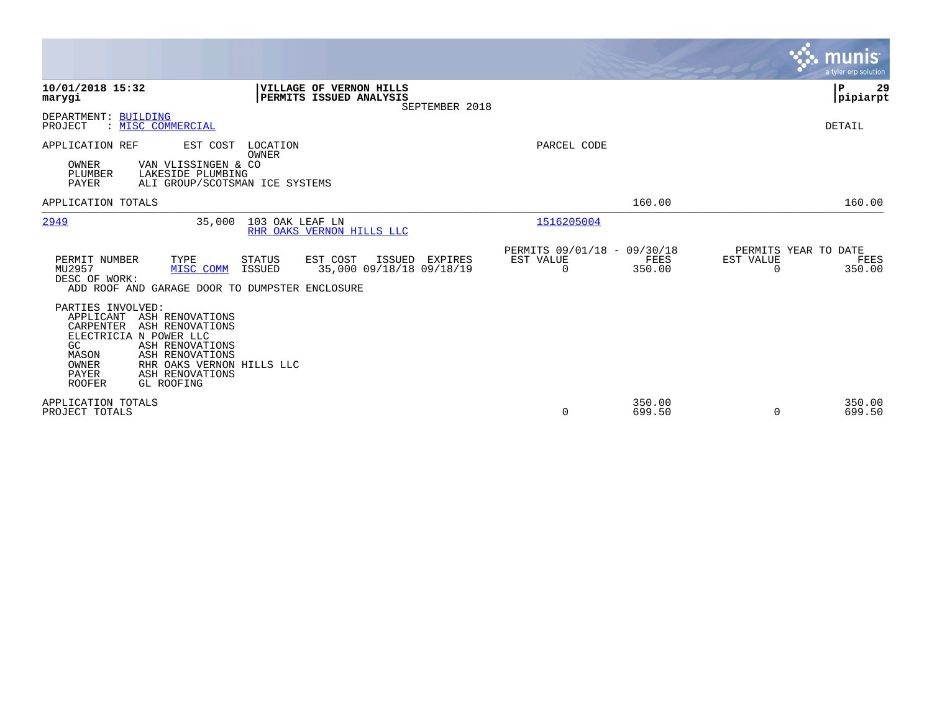|                                                                                                                                                                                                                                                                   |                                               | <b>munis</b><br>a tyler erp solution                                       |
|-------------------------------------------------------------------------------------------------------------------------------------------------------------------------------------------------------------------------------------------------------------------|-----------------------------------------------|----------------------------------------------------------------------------|
| 10/01/2018 15:32<br>VILLAGE OF VERNON HILLS<br>PERMITS ISSUED ANALYSIS<br>marygi<br>SEPTEMBER 2018                                                                                                                                                                |                                               | l P<br>29<br> pipiarpt                                                     |
| DEPARTMENT: BUILDING<br>: MISC COMMERCIAL<br>PROJECT                                                                                                                                                                                                              |                                               | DETAIL                                                                     |
| APPLICATION REF<br>EST COST<br>LOCATION<br>OWNER<br>OWNER<br>VAN VLISSINGEN & CO<br>PLUMBER<br>LAKESIDE PLUMBING<br>PAYER<br>ALI GROUP/SCOTSMAN ICE SYSTEMS                                                                                                       | PARCEL CODE                                   |                                                                            |
| APPLICATION TOTALS                                                                                                                                                                                                                                                | 160.00                                        | 160.00                                                                     |
| 2949<br>35,000<br>103 OAK LEAF LN<br>RHR OAKS VERNON HILLS LLC                                                                                                                                                                                                    | 1516205004                                    |                                                                            |
| PERMIT NUMBER<br>EST COST<br>TYPE<br>STATUS<br>ISSUED<br>EXPIRES<br>MU2957<br><b>ISSUED</b><br>35,000 09/18/18 09/18/19<br>MISC COMM<br>DESC OF WORK:<br>ADD ROOF AND GARAGE DOOR TO DUMPSTER ENCLOSURE                                                           | PERMITS 09/01/18 - 09/30/18<br>EST VALUE<br>0 | PERMITS YEAR TO DATE<br>FEES<br>EST VALUE<br>FEES<br>350.00<br>0<br>350.00 |
| PARTIES INVOLVED:<br>APPLICANT<br>ASH RENOVATIONS<br>CARPENTER<br>ASH RENOVATIONS<br>ELECTRICIA N POWER LLC<br>ASH RENOVATIONS<br>GC<br>MASON<br>ASH RENOVATIONS<br>OWNER<br>RHR OAKS VERNON HILLS LLC<br>PAYER<br>ASH RENOVATIONS<br><b>ROOFER</b><br>GL ROOFING |                                               |                                                                            |
| APPLICATION TOTALS<br>PROJECT TOTALS                                                                                                                                                                                                                              | 350.00<br>699.50<br>0                         | 350.00<br>699.50<br>$\Omega$                                               |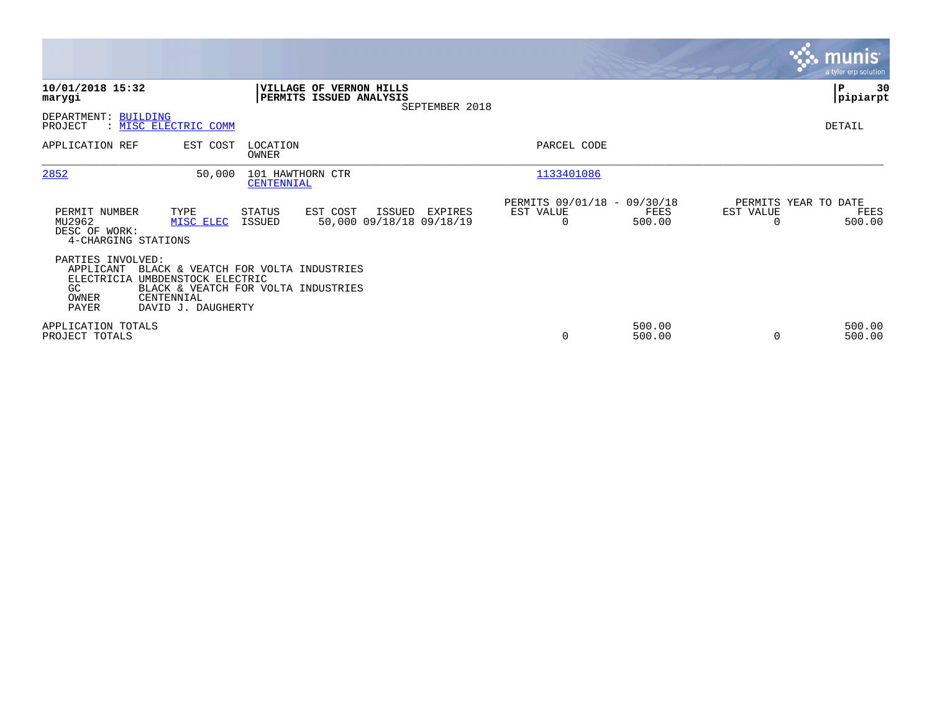|                                                                      |                                                                                                                                        |                                |                                                           |                |                                                      |                  |                                   | <b>munis</b><br>a tyler erp solution |
|----------------------------------------------------------------------|----------------------------------------------------------------------------------------------------------------------------------------|--------------------------------|-----------------------------------------------------------|----------------|------------------------------------------------------|------------------|-----------------------------------|--------------------------------------|
| 10/01/2018 15:32<br>marygi                                           |                                                                                                                                        |                                | <b>VILLAGE OF VERNON HILLS</b><br>PERMITS ISSUED ANALYSIS | SEPTEMBER 2018 |                                                      |                  |                                   | ∣P<br>30<br> pipiarpt                |
| DEPARTMENT: BUILDING<br>PROJECT                                      | : MISC ELECTRIC COMM                                                                                                                   |                                |                                                           |                |                                                      |                  |                                   | DETAIL                               |
| APPLICATION REF                                                      | EST COST                                                                                                                               | LOCATION<br>OWNER              |                                                           |                | PARCEL CODE                                          |                  |                                   |                                      |
| 2852                                                                 | 50,000                                                                                                                                 | 101 HAWTHORN CTR<br>CENTENNIAL |                                                           |                | 1133401086                                           |                  |                                   |                                      |
| PERMIT NUMBER<br>MU2962<br>DESC OF WORK:<br>4-CHARGING STATIONS      | TYPE<br>MISC ELEC                                                                                                                      | STATUS<br>ISSUED               | EST COST<br>ISSUED<br>50,000 09/18/18 09/18/19            | EXPIRES        | PERMITS 09/01/18 - 09/30/18<br>EST VALUE<br>$\Omega$ | FEES<br>500.00   | PERMITS YEAR TO DATE<br>EST VALUE | FEES<br>500.00                       |
| PARTIES INVOLVED:<br>APPLICANT<br>ELECTRICIA<br>GC<br>OWNER<br>PAYER | BLACK & VEATCH FOR VOLTA INDUSTRIES<br>UMBDENSTOCK ELECTRIC<br>BLACK & VEATCH FOR VOLTA INDUSTRIES<br>CENTENNIAL<br>DAVID J. DAUGHERTY |                                |                                                           |                |                                                      |                  |                                   |                                      |
| APPLICATION TOTALS<br>PROJECT TOTALS                                 |                                                                                                                                        |                                |                                                           |                | 0                                                    | 500.00<br>500.00 |                                   | 500.00<br>500.00                     |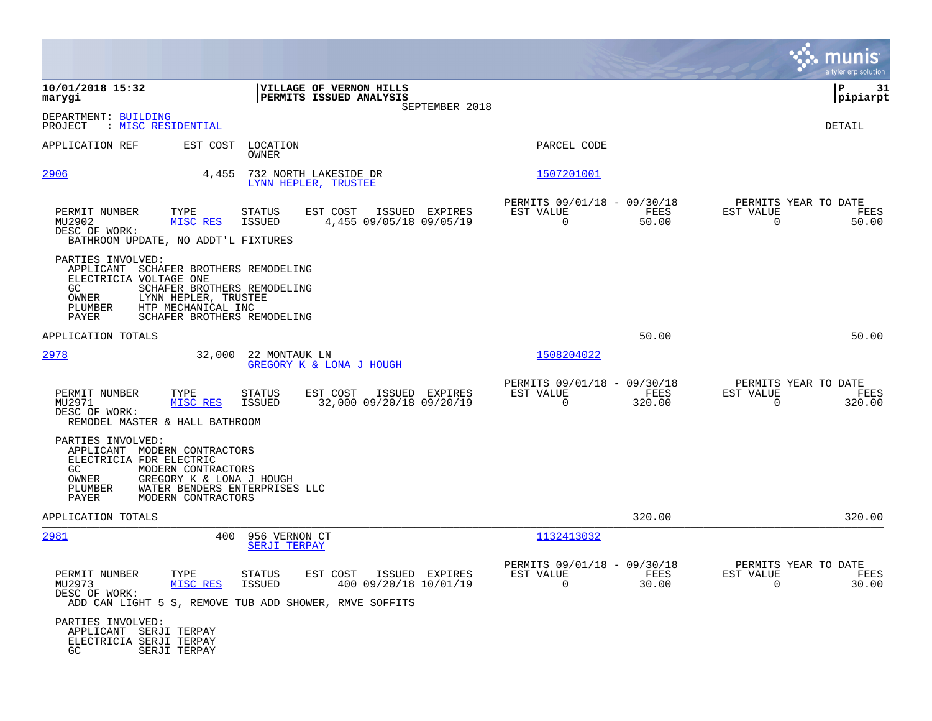|                                                                                                                                                                                                                                               |                                                                                                                                          |                                                                               | munis<br>a tyler erp solution                                     |
|-----------------------------------------------------------------------------------------------------------------------------------------------------------------------------------------------------------------------------------------------|------------------------------------------------------------------------------------------------------------------------------------------|-------------------------------------------------------------------------------|-------------------------------------------------------------------|
| 10/01/2018 15:32<br>marygi                                                                                                                                                                                                                    | VILLAGE OF VERNON HILLS<br>PERMITS ISSUED ANALYSIS                                                                                       |                                                                               | ΙP<br>31<br>pipiarpt                                              |
| DEPARTMENT: BUILDING<br>: MISC RESIDENTIAL<br>PROJECT                                                                                                                                                                                         | SEPTEMBER 2018                                                                                                                           |                                                                               | DETAIL                                                            |
| APPLICATION REF<br>EST COST                                                                                                                                                                                                                   | LOCATION<br><b>OWNER</b>                                                                                                                 | PARCEL CODE                                                                   |                                                                   |
| 2906<br>4,455                                                                                                                                                                                                                                 | 732 NORTH LAKESIDE DR<br>LYNN HEPLER, TRUSTEE                                                                                            | 1507201001                                                                    |                                                                   |
| PERMIT NUMBER<br>TYPE<br>MU2902<br>MISC RES<br>DESC OF WORK:<br>BATHROOM UPDATE, NO ADDT'L FIXTURES                                                                                                                                           | <b>STATUS</b><br>EST COST<br>ISSUED EXPIRES<br><b>ISSUED</b><br>4,455 09/05/18 09/05/19                                                  | PERMITS 09/01/18 - 09/30/18<br>EST VALUE<br>FEES<br>50.00<br>$\Omega$         | PERMITS YEAR TO DATE<br>EST VALUE<br>FEES<br>$\mathbf 0$<br>50.00 |
| PARTIES INVOLVED:<br>APPLICANT<br>SCHAFER BROTHERS REMODELING<br>ELECTRICIA VOLTAGE ONE<br>GC<br>SCHAFER BROTHERS REMODELING<br>OWNER<br>LYNN HEPLER, TRUSTEE<br>HTP MECHANICAL INC<br>PLUMBER<br><b>PAYER</b><br>SCHAFER BROTHERS REMODELING |                                                                                                                                          |                                                                               |                                                                   |
| APPLICATION TOTALS                                                                                                                                                                                                                            |                                                                                                                                          | 50.00                                                                         | 50.00                                                             |
| 2978<br>32,000                                                                                                                                                                                                                                | 22 MONTAUK LN<br>GREGORY K & LONA J HOUGH                                                                                                | 1508204022                                                                    |                                                                   |
| PERMIT NUMBER<br>TYPE<br>MU2971<br>MISC RES<br>DESC OF WORK:<br>REMODEL MASTER & HALL BATHROOM                                                                                                                                                | STATUS<br>EST COST<br>ISSUED EXPIRES<br><b>ISSUED</b><br>32,000 09/20/18 09/20/19                                                        | PERMITS 09/01/18 - 09/30/18<br>EST VALUE<br><b>FEES</b><br>$\Omega$<br>320.00 | PERMITS YEAR TO DATE<br>EST VALUE<br>FEES<br>$\Omega$<br>320.00   |
| PARTIES INVOLVED:<br>APPLICANT MODERN CONTRACTORS<br>ELECTRICIA FDR ELECTRIC<br>GC.<br>MODERN CONTRACTORS<br>OWNER<br>GREGORY K & LONA J HOUGH<br>PLUMBER<br>WATER BENDERS ENTERPRISES LLC<br>PAYER<br>MODERN CONTRACTORS                     |                                                                                                                                          |                                                                               |                                                                   |
| APPLICATION TOTALS                                                                                                                                                                                                                            |                                                                                                                                          | 320.00                                                                        | 320.00                                                            |
| 2981<br>400                                                                                                                                                                                                                                   | 956 VERNON CT<br>SERJI TERPAY                                                                                                            | 1132413032                                                                    |                                                                   |
| PERMIT NUMBER<br>TYPE<br>MISC RES<br>MU2973<br>DESC OF WORK:                                                                                                                                                                                  | STATUS<br>EST COST<br>ISSUED EXPIRES<br><b>ISSUED</b><br>400 09/20/18 10/01/19<br>ADD CAN LIGHT 5 S, REMOVE TUB ADD SHOWER, RMVE SOFFITS | PERMITS 09/01/18 - 09/30/18<br>EST VALUE<br>FEES<br>$\mathbf 0$<br>30.00      | PERMITS YEAR TO DATE<br>EST VALUE<br>FEES<br>$\mathbf 0$<br>30.00 |
| PARTIES INVOLVED:<br>APPLICANT<br>SERJI TERPAY<br>ELECTRICIA SERJI TERPAY<br>GC.<br>SERJI TERPAY                                                                                                                                              |                                                                                                                                          |                                                                               |                                                                   |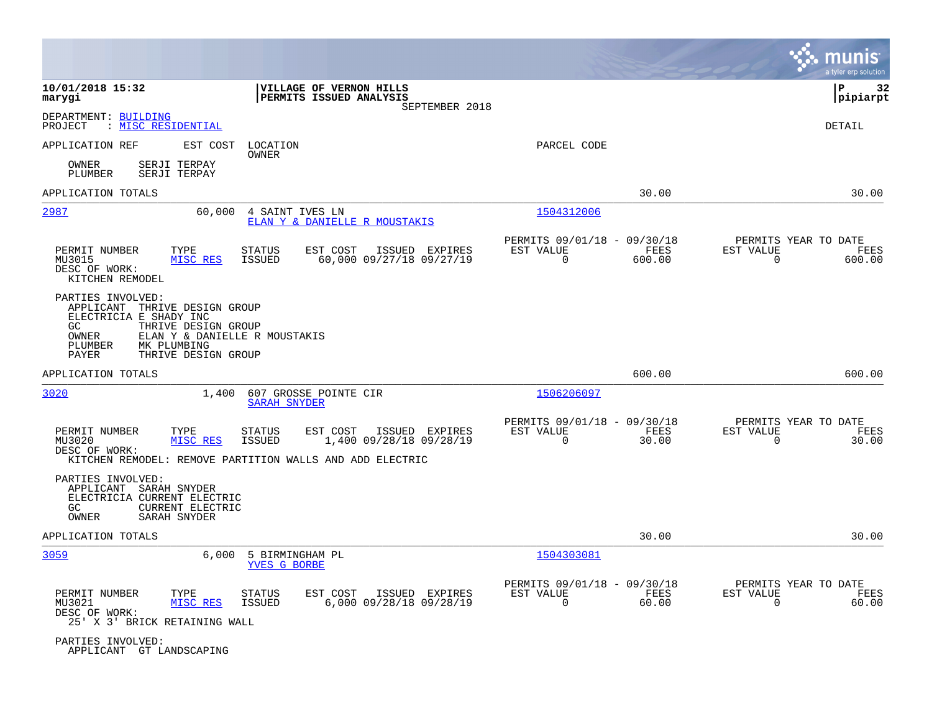|                                                                                                                                                                                                                  |                                                                                                                                              |                                                                           | munis<br>a tyler erp solution                            |
|------------------------------------------------------------------------------------------------------------------------------------------------------------------------------------------------------------------|----------------------------------------------------------------------------------------------------------------------------------------------|---------------------------------------------------------------------------|----------------------------------------------------------|
| 10/01/2018 15:32<br>marygi                                                                                                                                                                                       | VILLAGE OF VERNON HILLS<br>PERMITS ISSUED ANALYSIS<br>SEPTEMBER 2018                                                                         |                                                                           | ΙP<br>32<br> pipiarpt                                    |
| DEPARTMENT: BUILDING<br>: MISC RESIDENTIAL<br>PROJECT                                                                                                                                                            |                                                                                                                                              |                                                                           | DETAIL                                                   |
| APPLICATION REF<br>EST COST                                                                                                                                                                                      | LOCATION<br>OWNER                                                                                                                            | PARCEL CODE                                                               |                                                          |
| SERJI TERPAY<br>OWNER<br>SERJI TERPAY<br>PLUMBER                                                                                                                                                                 |                                                                                                                                              |                                                                           |                                                          |
| APPLICATION TOTALS                                                                                                                                                                                               |                                                                                                                                              | 30.00                                                                     | 30.00                                                    |
| 2987<br>60,000                                                                                                                                                                                                   | 4 SAINT IVES LN<br>ELAN Y & DANIELLE R MOUSTAKIS                                                                                             | 1504312006                                                                |                                                          |
| PERMIT NUMBER<br>TYPE<br>MU3015<br>MISC RES<br>DESC OF WORK:<br>KITCHEN REMODEL                                                                                                                                  | STATUS<br>EST COST<br>ISSUED EXPIRES<br>60,000 09/27/18 09/27/19<br><b>ISSUED</b>                                                            | PERMITS 09/01/18 - 09/30/18<br>EST VALUE<br>FEES<br>$\mathbf 0$<br>600.00 | PERMITS YEAR TO DATE<br>EST VALUE<br>FEES<br>600.00<br>0 |
| PARTIES INVOLVED:<br>APPLICANT<br>THRIVE DESIGN GROUP<br>ELECTRICIA E SHADY INC<br>GC<br>THRIVE DESIGN GROUP<br>OWNER<br>ELAN Y & DANIELLE R MOUSTAKIS<br>PLUMBER<br>MK PLUMBING<br>THRIVE DESIGN GROUP<br>PAYER |                                                                                                                                              |                                                                           |                                                          |
| APPLICATION TOTALS                                                                                                                                                                                               |                                                                                                                                              | 600.00                                                                    | 600.00                                                   |
| 3020<br>1,400                                                                                                                                                                                                    | 607 GROSSE POINTE CIR<br><b>SARAH SNYDER</b>                                                                                                 | 1506206097                                                                |                                                          |
| PERMIT NUMBER<br>TYPE<br>MISC RES<br>MU3020<br>DESC OF WORK:                                                                                                                                                     | EST COST<br>STATUS<br>ISSUED EXPIRES<br>1,400 09/28/18 09/28/19<br><b>ISSUED</b><br>KITCHEN REMODEL: REMOVE PARTITION WALLS AND ADD ELECTRIC | PERMITS 09/01/18 - 09/30/18<br>EST VALUE<br>FEES<br>$\mathbf 0$<br>30.00  | PERMITS YEAR TO DATE<br>EST VALUE<br>FEES<br>30.00<br>0  |
| PARTIES INVOLVED:<br>SARAH SNYDER<br>APPLICANT<br>ELECTRICIA CURRENT ELECTRIC<br>GC.<br>CURRENT ELECTRIC<br>OWNER<br>SARAH SNYDER                                                                                |                                                                                                                                              |                                                                           |                                                          |
| APPLICATION TOTALS                                                                                                                                                                                               |                                                                                                                                              | 30.00                                                                     | 30.00                                                    |
| 3059<br>6,000                                                                                                                                                                                                    | 5 BIRMINGHAM PL<br>YVES G BORBE                                                                                                              | 1504303081                                                                |                                                          |
| PERMIT NUMBER<br>TYPE<br>MISC RES<br>MU3021<br>DESC OF WORK:<br>25' X 3' BRICK RETAINING WALL                                                                                                                    | <b>STATUS</b><br>EST COST<br>ISSUED EXPIRES<br><b>ISSUED</b><br>6,000 09/28/18 09/28/19                                                      | PERMITS 09/01/18 - 09/30/18<br>FEES<br>EST VALUE<br>0<br>60.00            | PERMITS YEAR TO DATE<br>EST VALUE<br>FEES<br>60.00<br>0  |
| PARTIES INVOLVED:<br>APPLICANT GT LANDSCAPING                                                                                                                                                                    |                                                                                                                                              |                                                                           |                                                          |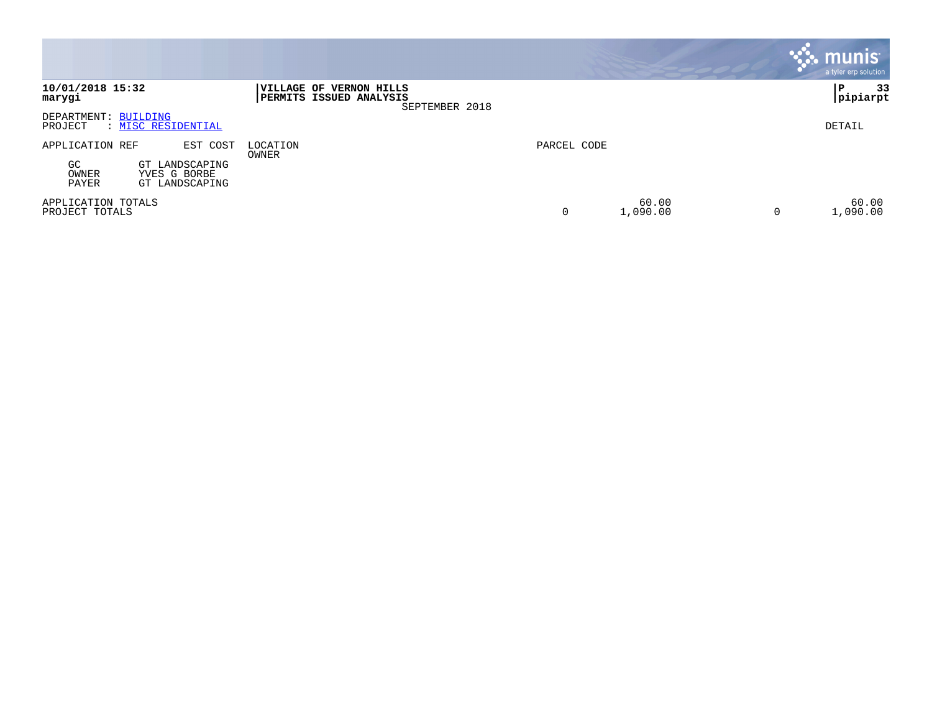|                                                                          |                                                                                    |             |                   |          | munis<br>a tyler erp solution |
|--------------------------------------------------------------------------|------------------------------------------------------------------------------------|-------------|-------------------|----------|-------------------------------|
| 10/01/2018 15:32<br>marygi                                               | <b>VILLAGE OF VERNON HILLS</b><br><b>PERMITS ISSUED ANALYSIS</b><br>SEPTEMBER 2018 |             |                   |          | 33<br>P<br> pipiarpt          |
| DEPARTMENT: BUILDING<br>PROJECT<br>: MISC RESIDENTIAL                    |                                                                                    |             |                   |          | DETAIL                        |
| APPLICATION REF<br>EST COST                                              | LOCATION<br>OWNER                                                                  | PARCEL CODE |                   |          |                               |
| GC<br>GT LANDSCAPING<br>OWNER<br>YVES G BORBE<br>PAYER<br>GT LANDSCAPING |                                                                                    |             |                   |          |                               |
| APPLICATION TOTALS<br>PROJECT TOTALS                                     |                                                                                    | 0           | 60.00<br>1,090.00 | $\Omega$ | 60.00<br>1,090.00             |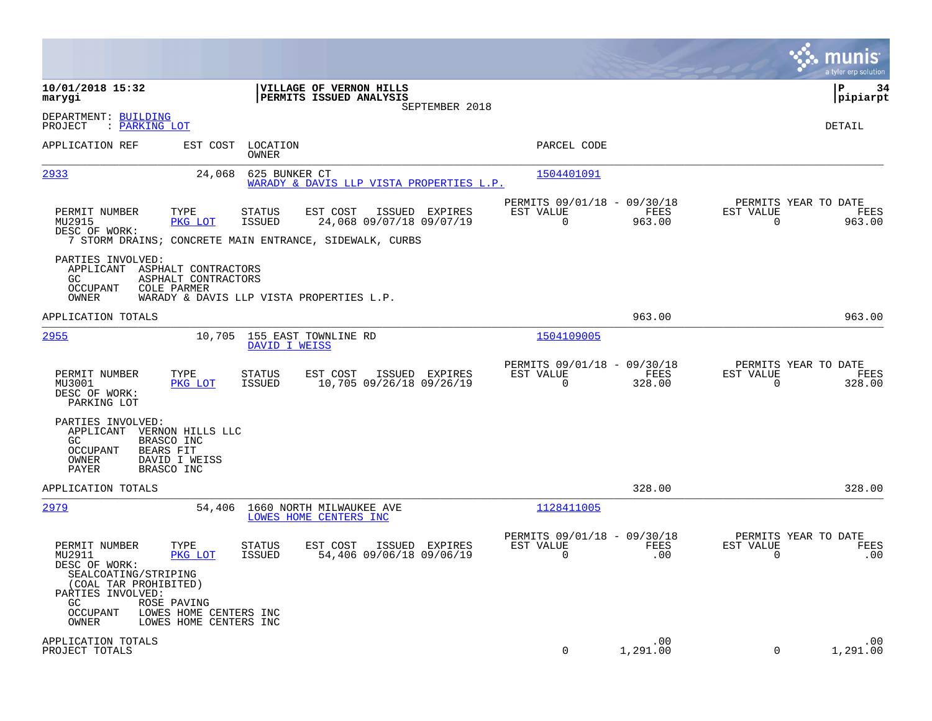|                                                                                                                                                                                                                                  |                                                                                                                                              |                                                         |                 | munis<br>a tyler erp solution                                      |
|----------------------------------------------------------------------------------------------------------------------------------------------------------------------------------------------------------------------------------|----------------------------------------------------------------------------------------------------------------------------------------------|---------------------------------------------------------|-----------------|--------------------------------------------------------------------|
| 10/01/2018 15:32<br>marygi                                                                                                                                                                                                       | VILLAGE OF VERNON HILLS<br>PERMITS ISSUED ANALYSIS                                                                                           |                                                         |                 | IΡ<br>34<br> pipiarpt                                              |
| DEPARTMENT: BUILDING<br>: PARKING LOT<br>PROJECT                                                                                                                                                                                 | SEPTEMBER 2018                                                                                                                               |                                                         |                 | DETAIL                                                             |
| APPLICATION REF                                                                                                                                                                                                                  | EST COST LOCATION<br><b>OWNER</b>                                                                                                            | PARCEL CODE                                             |                 |                                                                    |
| 2933<br>24,068                                                                                                                                                                                                                   | 625 BUNKER CT<br>WARADY & DAVIS LLP VISTA PROPERTIES L.P.                                                                                    | 1504401091                                              |                 |                                                                    |
| PERMIT NUMBER<br>TYPE<br>MU2915<br>PKG LOT<br>DESC OF WORK:                                                                                                                                                                      | EST COST<br>STATUS<br>ISSUED EXPIRES<br><b>ISSUED</b><br>24,068 09/07/18 09/07/19<br>7 STORM DRAINS; CONCRETE MAIN ENTRANCE, SIDEWALK, CURBS | PERMITS 09/01/18 - 09/30/18<br>EST VALUE<br>$\Omega$    | FEES<br>963.00  | PERMITS YEAR TO DATE<br>EST VALUE<br>FEES<br>$\Omega$<br>963.00    |
| PARTIES INVOLVED:<br>APPLICANT ASPHALT CONTRACTORS<br>ASPHALT CONTRACTORS<br>GC.<br><b>COLE PARMER</b><br>OCCUPANT<br>OWNER                                                                                                      | WARADY & DAVIS LLP VISTA PROPERTIES L.P.                                                                                                     |                                                         |                 |                                                                    |
| APPLICATION TOTALS                                                                                                                                                                                                               |                                                                                                                                              |                                                         | 963.00          | 963.00                                                             |
| <u>2955</u>                                                                                                                                                                                                                      | 10,705 155 EAST TOWNLINE RD<br>DAVID I WEISS                                                                                                 | 1504109005                                              |                 |                                                                    |
| PERMIT NUMBER<br>TYPE<br>MU3001<br>PKG LOT<br>DESC OF WORK:<br>PARKING LOT                                                                                                                                                       | EST COST<br><b>STATUS</b><br>ISSUED EXPIRES<br>10,705 09/26/18 09/26/19<br>ISSUED                                                            | PERMITS 09/01/18 - 09/30/18<br>EST VALUE<br>$\mathbf 0$ | FEES<br>328.00  | PERMITS YEAR TO DATE<br>EST VALUE<br>FEES<br>$\mathbf 0$<br>328.00 |
| PARTIES INVOLVED:<br>APPLICANT<br>VERNON HILLS LLC<br>BRASCO INC<br>GC.<br><b>OCCUPANT</b><br>BEARS FIT<br><b>OWNER</b><br>DAVID I WEISS<br>BRASCO INC<br>PAYER                                                                  |                                                                                                                                              |                                                         |                 |                                                                    |
| APPLICATION TOTALS                                                                                                                                                                                                               |                                                                                                                                              |                                                         | 328.00          | 328.00                                                             |
| 2979<br>54,406                                                                                                                                                                                                                   | 1660 NORTH MILWAUKEE AVE<br>LOWES HOME CENTERS INC                                                                                           | 1128411005                                              |                 |                                                                    |
| PERMIT NUMBER<br>TYPE<br>MU2911<br>PKG LOT<br>DESC OF WORK:<br>SEALCOATING/STRIPING<br>(COAL TAR PROHIBITED)<br>PARTIES INVOLVED:<br>GC.<br>ROSE PAVING<br>OCCUPANT<br>LOWES HOME CENTERS INC<br>OWNER<br>LOWES HOME CENTERS INC | EST COST<br>ISSUED EXPIRES<br>STATUS<br>54,406 09/06/18 09/06/19<br>ISSUED                                                                   | PERMITS 09/01/18 - 09/30/18<br>EST VALUE<br>$\Omega$    | FEES<br>.00     | PERMITS YEAR TO DATE<br>EST VALUE<br>FEES<br>$\mathbf 0$<br>.00    |
| APPLICATION TOTALS<br>PROJECT TOTALS                                                                                                                                                                                             |                                                                                                                                              | $\overline{0}$                                          | .00<br>1,291.00 | .00<br>1,291.00<br>$\overline{0}$                                  |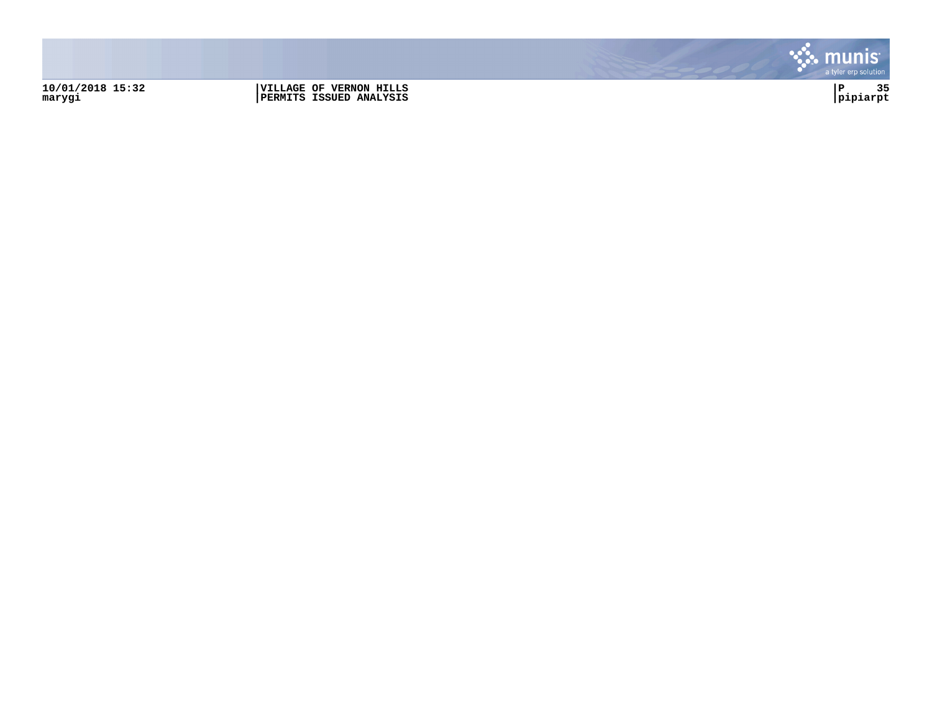**10/01/2018 15:32 |VILLAGE OF VERNON HILLS |P 35 marygi |PERMITS ISSUED ANALYSIS |pipiarpt**

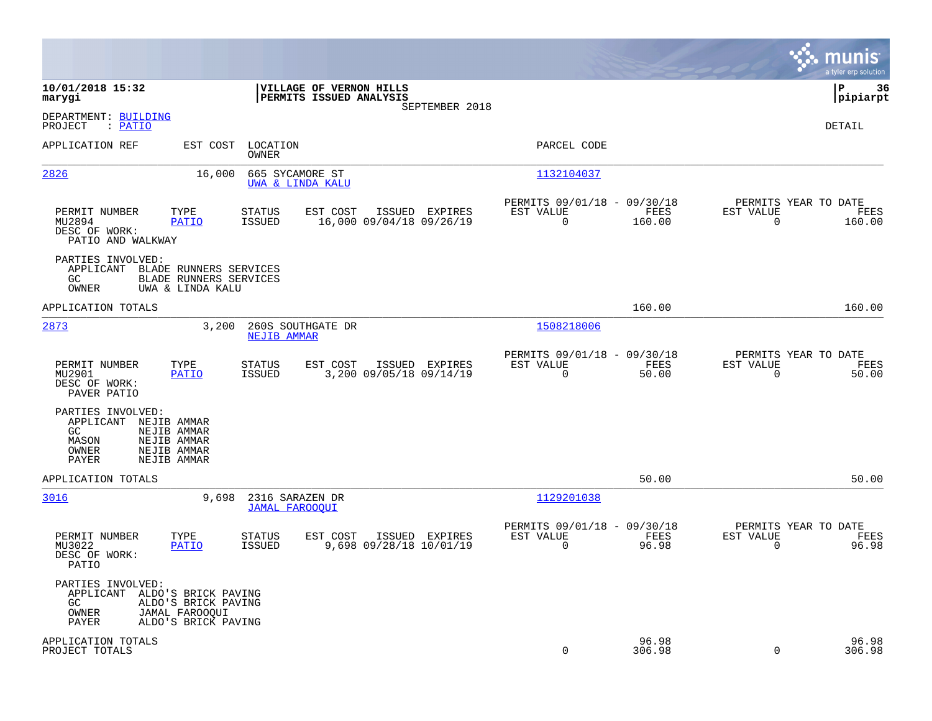|                                                                                 |                                                                                     |                                          |                                                    |                                            |                                                         |                 |                          | munis<br>a tyler erp solution          |
|---------------------------------------------------------------------------------|-------------------------------------------------------------------------------------|------------------------------------------|----------------------------------------------------|--------------------------------------------|---------------------------------------------------------|-----------------|--------------------------|----------------------------------------|
| 10/01/2018 15:32<br>marygi                                                      |                                                                                     |                                          | VILLAGE OF VERNON HILLS<br>PERMITS ISSUED ANALYSIS | SEPTEMBER 2018                             |                                                         |                 |                          | P<br>36<br> pipiarpt                   |
| DEPARTMENT: BUILDING<br>PROJECT<br>: <u>PATIO</u>                               |                                                                                     |                                          |                                                    |                                            |                                                         |                 |                          | <b>DETAIL</b>                          |
| APPLICATION REF                                                                 | EST COST                                                                            | LOCATION<br>OWNER                        |                                                    |                                            | PARCEL CODE                                             |                 |                          |                                        |
| 2826                                                                            | 16,000                                                                              | 665 SYCAMORE ST<br>UWA & LINDA KALU      |                                                    |                                            | 1132104037                                              |                 |                          |                                        |
| PERMIT NUMBER<br>MU2894<br>DESC OF WORK:<br>PATIO AND WALKWAY                   | TYPE<br><b>PATIO</b>                                                                | STATUS<br><b>ISSUED</b>                  | EST COST                                           | ISSUED EXPIRES<br>16,000 09/04/18 09/26/19 | PERMITS 09/01/18 - 09/30/18<br>EST VALUE<br>$\mathbf 0$ | FEES<br>160.00  | EST VALUE<br>$\Omega$    | PERMITS YEAR TO DATE<br>FEES<br>160.00 |
| PARTIES INVOLVED:<br>APPLICANT<br>GC.<br>OWNER                                  | BLADE RUNNERS SERVICES<br>BLADE RUNNERS SERVICES<br>UWA & LINDA KALU                |                                          |                                                    |                                            |                                                         |                 |                          |                                        |
| APPLICATION TOTALS                                                              |                                                                                     |                                          |                                                    |                                            |                                                         | 160.00          |                          | 160.00                                 |
| 2873                                                                            | 3,200                                                                               | 260S SOUTHGATE DR<br><b>NEJIB AMMAR</b>  |                                                    |                                            | 1508218006                                              |                 |                          |                                        |
| PERMIT NUMBER<br>MU2901<br>DESC OF WORK:<br>PAVER PATIO                         | TYPE<br><b>PATIO</b>                                                                | STATUS<br><b>ISSUED</b>                  | EST COST                                           | ISSUED EXPIRES<br>3,200 09/05/18 09/14/19  | PERMITS 09/01/18 - 09/30/18<br>EST VALUE<br>$\mathbf 0$ | FEES<br>50.00   | EST VALUE<br>$\Omega$    | PERMITS YEAR TO DATE<br>FEES<br>50.00  |
| PARTIES INVOLVED:<br>APPLICANT<br>NEJIB AMMAR<br>GC.<br>MASON<br>OWNER<br>PAYER | NEJIB AMMAR<br>NEJIB AMMAR<br>NEJIB AMMAR<br>NEJIB AMMAR                            |                                          |                                                    |                                            |                                                         |                 |                          |                                        |
| APPLICATION TOTALS                                                              |                                                                                     |                                          |                                                    |                                            |                                                         | 50.00           |                          | 50.00                                  |
| 3016                                                                            | 9,698                                                                               | 2316 SARAZEN DR<br><b>JAMAL FAROOOUI</b> |                                                    |                                            | 1129201038                                              |                 |                          |                                        |
| PERMIT NUMBER<br>MU3022<br>DESC OF WORK:<br>PATIO                               | TYPE<br>PATIO                                                                       | STATUS<br>ISSUED                         | EST COST                                           | ISSUED EXPIRES<br>9,698 09/28/18 10/01/19  | PERMITS 09/01/18 - 09/30/18<br>EST VALUE<br>$\mathbf 0$ | FEES<br>96.98   | EST VALUE<br>$\mathbf 0$ | PERMITS YEAR TO DATE<br>FEES<br>96.98  |
| PARTIES INVOLVED:<br>APPLICANT<br>GC.<br>OWNER<br>PAYER                         | ALDO'S BRICK PAVING<br>ALDO'S BRICK PAVING<br>JAMAL FAROOQUI<br>ALDO'S BRICK PAVING |                                          |                                                    |                                            |                                                         |                 |                          |                                        |
| APPLICATION TOTALS<br>PROJECT TOTALS                                            |                                                                                     |                                          |                                                    |                                            | 0                                                       | 96.98<br>306.98 | 0                        | 96.98<br>306.98                        |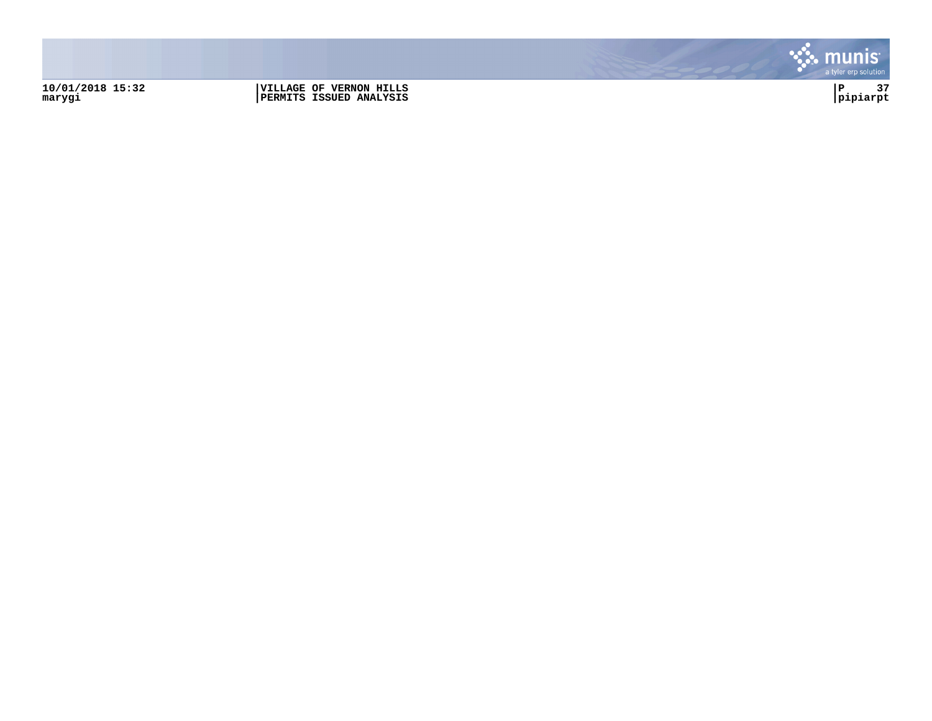**10/01/2018 15:32 |VILLAGE OF VERNON HILLS |P 37 marygi |PERMITS ISSUED ANALYSIS |pipiarpt**

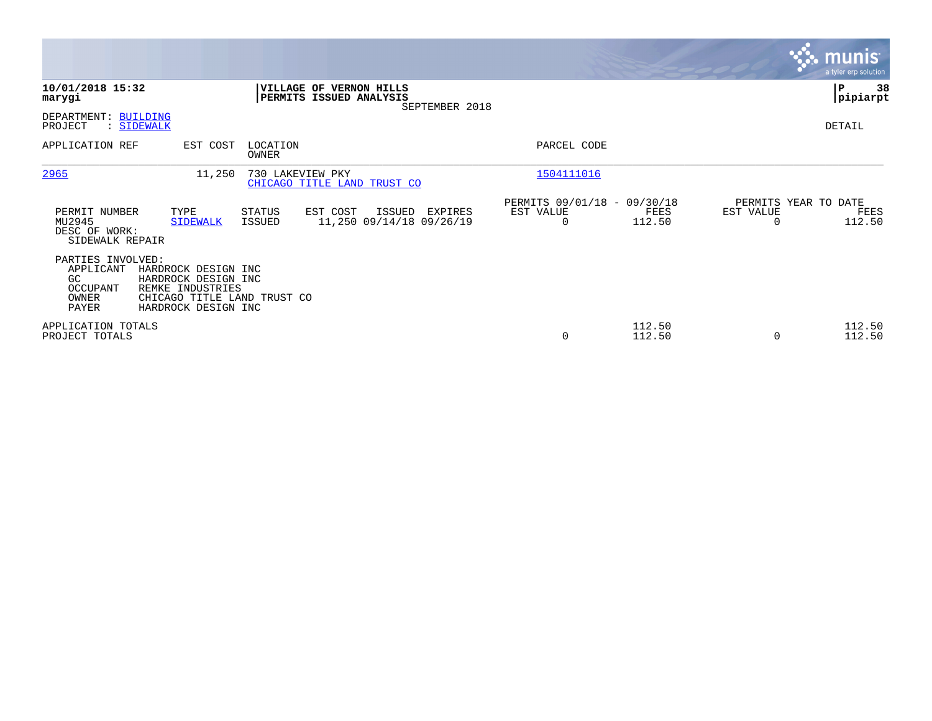|                                                                            |                                                                                                                      |                   |                                                           |                |                                               |                  |                                   | <b>munis</b><br>a tyler erp solution |
|----------------------------------------------------------------------------|----------------------------------------------------------------------------------------------------------------------|-------------------|-----------------------------------------------------------|----------------|-----------------------------------------------|------------------|-----------------------------------|--------------------------------------|
| 10/01/2018 15:32<br>marygi                                                 |                                                                                                                      |                   | <b>VILLAGE OF VERNON HILLS</b><br>PERMITS ISSUED ANALYSIS | SEPTEMBER 2018 |                                               |                  |                                   | l P<br>38<br> pipiarpt               |
| DEPARTMENT: BUILDING<br>PROJECT                                            | : SIDEWALK                                                                                                           |                   |                                                           |                |                                               |                  |                                   | DETAIL                               |
| APPLICATION REF                                                            | EST COST                                                                                                             | LOCATION<br>OWNER |                                                           |                | PARCEL CODE                                   |                  |                                   |                                      |
| 2965                                                                       | 11,250                                                                                                               |                   | 730 LAKEVIEW PKY<br>CHICAGO TITLE LAND TRUST CO           |                | 1504111016                                    |                  |                                   |                                      |
| PERMIT NUMBER<br>MU2945<br>DESC OF WORK:<br>SIDEWALK REPAIR                | TYPE<br><b>SIDEWALK</b>                                                                                              | STATUS<br>ISSUED  | EST COST<br>ISSUED<br>11,250 09/14/18 09/26/19            | EXPIRES        | PERMITS 09/01/18 - 09/30/18<br>EST VALUE<br>0 | FEES<br>112.50   | PERMITS YEAR TO DATE<br>EST VALUE | FEES<br>112.50                       |
| PARTIES INVOLVED:<br>APPLICANT<br>GC.<br>OCCUPANT<br>OWNER<br><b>PAYER</b> | HARDROCK DESIGN INC<br>HARDROCK DESIGN INC<br>REMKE INDUSTRIES<br>CHICAGO TITLE LAND TRUST CO<br>HARDROCK DESIGN INC |                   |                                                           |                |                                               |                  |                                   |                                      |
| APPLICATION TOTALS<br>PROJECT TOTALS                                       |                                                                                                                      |                   |                                                           |                | $\mathbf 0$                                   | 112.50<br>112.50 |                                   | 112.50<br>112.50                     |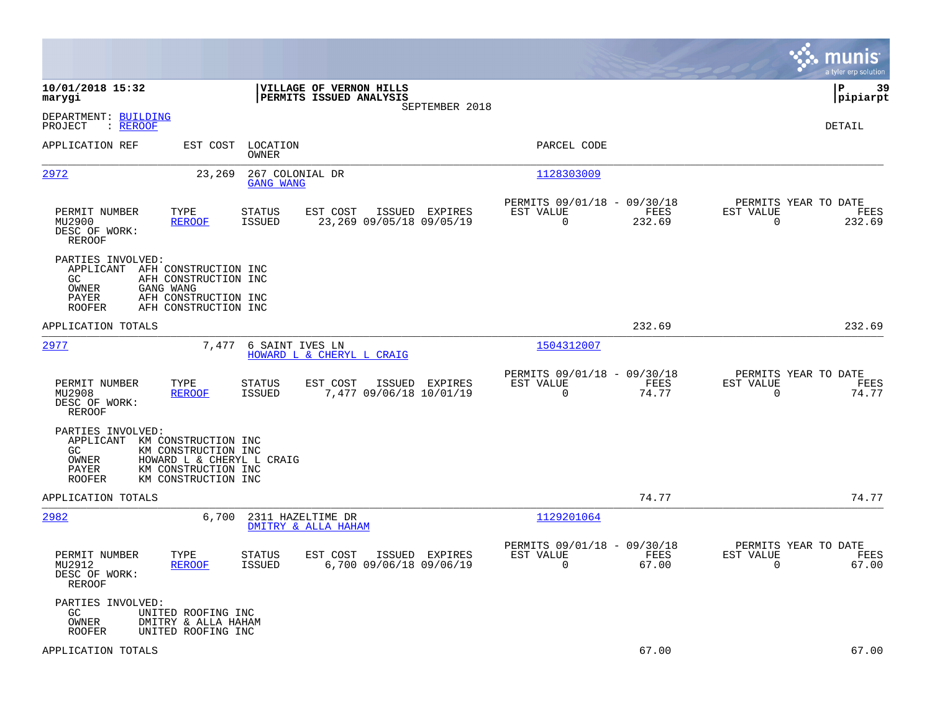|                                                                                                            |                                                                                                                       |                                              |                                                    |                                            |                                                      |                |                                                  | munis<br>a tyler erp solution |
|------------------------------------------------------------------------------------------------------------|-----------------------------------------------------------------------------------------------------------------------|----------------------------------------------|----------------------------------------------------|--------------------------------------------|------------------------------------------------------|----------------|--------------------------------------------------|-------------------------------|
| 10/01/2018 15:32<br>marygi                                                                                 |                                                                                                                       |                                              | VILLAGE OF VERNON HILLS<br>PERMITS ISSUED ANALYSIS | SEPTEMBER 2018                             |                                                      |                |                                                  | ΙP<br>-39<br> pipiarpt        |
| DEPARTMENT: BUILDING<br>: <u>REROOF</u><br>PROJECT                                                         |                                                                                                                       |                                              |                                                    |                                            |                                                      |                |                                                  | DETAIL                        |
| APPLICATION REF                                                                                            | EST COST                                                                                                              | LOCATION<br>OWNER                            |                                                    |                                            | PARCEL CODE                                          |                |                                                  |                               |
| 2972                                                                                                       | 23,269                                                                                                                | 267 COLONIAL DR<br><b>GANG WANG</b>          |                                                    |                                            | 1128303009                                           |                |                                                  |                               |
| PERMIT NUMBER<br>MU2900<br>DESC OF WORK:<br>REROOF                                                         | TYPE<br><b>REROOF</b>                                                                                                 | STATUS<br><b>ISSUED</b>                      | EST COST                                           | ISSUED EXPIRES<br>23,269 09/05/18 09/05/19 | PERMITS 09/01/18 - 09/30/18<br>EST VALUE<br>$\Omega$ | FEES<br>232.69 | PERMITS YEAR TO DATE<br>EST VALUE<br>$\Omega$    | FEES<br>232.69                |
| PARTIES INVOLVED:<br>APPLICANT AFH CONSTRUCTION INC<br>GC.<br>OWNER<br>GANG WANG<br>PAYER<br><b>ROOFER</b> | AFH CONSTRUCTION INC<br>AFH CONSTRUCTION INC<br>AFH CONSTRUCTION INC                                                  |                                              |                                                    |                                            |                                                      |                |                                                  |                               |
| APPLICATION TOTALS                                                                                         |                                                                                                                       |                                              |                                                    |                                            |                                                      | 232.69         |                                                  | 232.69                        |
| 2977                                                                                                       | 7,477                                                                                                                 | 6 SAINT IVES LN<br>HOWARD L & CHERYL L CRAIG |                                                    |                                            | 1504312007                                           |                |                                                  |                               |
| PERMIT NUMBER<br>MU2908<br>DESC OF WORK:<br><b>REROOF</b>                                                  | TYPE<br><b>REROOF</b>                                                                                                 | STATUS<br><b>ISSUED</b>                      | EST COST                                           | ISSUED EXPIRES<br>7,477 09/06/18 10/01/19  | PERMITS 09/01/18 - 09/30/18<br>EST VALUE<br>$\Omega$ | FEES<br>74.77  | PERMITS YEAR TO DATE<br>EST VALUE<br>$\mathbf 0$ | FEES<br>74.77                 |
| PARTIES INVOLVED:<br>APPLICANT<br>GC<br>OWNER<br>PAYER<br>ROOFER                                           | KM CONSTRUCTION INC<br>KM CONSTRUCTION INC<br>HOWARD L & CHERYL L CRAIG<br>KM CONSTRUCTION INC<br>KM CONSTRUCTION INC |                                              |                                                    |                                            |                                                      |                |                                                  |                               |
| APPLICATION TOTALS                                                                                         |                                                                                                                       |                                              |                                                    |                                            |                                                      | 74.77          |                                                  | 74.77                         |
| 2982                                                                                                       | 6,700                                                                                                                 | 2311 HAZELTIME DR<br>DMITRY & ALLA HAHAM     |                                                    |                                            | 1129201064                                           |                |                                                  |                               |
| PERMIT NUMBER<br>MU2912<br>DESC OF WORK:<br><b>REROOF</b>                                                  | TYPE<br><b>REROOF</b>                                                                                                 | STATUS<br><b>ISSUED</b>                      | EST COST                                           | ISSUED EXPIRES<br>6,700 09/06/18 09/06/19  | PERMITS 09/01/18 - 09/30/18<br>EST VALUE<br>$\Omega$ | FEES<br>67.00  | PERMITS YEAR TO DATE<br>EST VALUE<br>0           | FEES<br>67.00                 |
| PARTIES INVOLVED:<br>GC.<br>OWNER<br><b>ROOFER</b>                                                         | UNITED ROOFING INC<br>DMITRY & ALLA HAHAM<br>UNITED ROOFING INC                                                       |                                              |                                                    |                                            |                                                      |                |                                                  |                               |
| APPLICATION TOTALS                                                                                         |                                                                                                                       |                                              |                                                    |                                            |                                                      | 67.00          |                                                  | 67.00                         |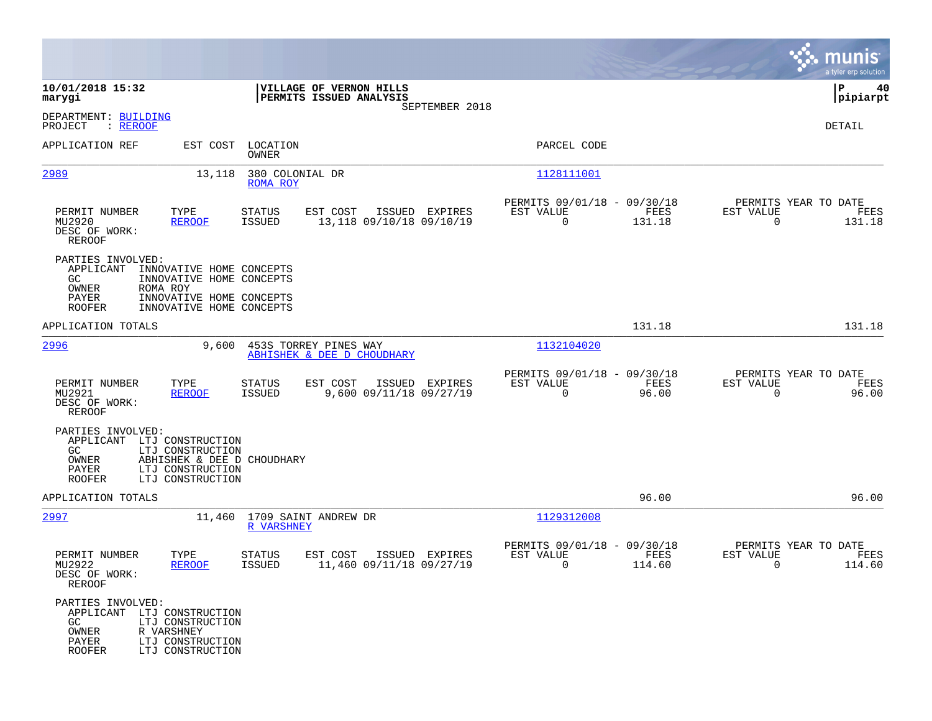|                                                                                          |                                                                                                            |                                                     |                                                    |                                            |                                                      |                       |                                               | munis<br>a tyler erp solution |
|------------------------------------------------------------------------------------------|------------------------------------------------------------------------------------------------------------|-----------------------------------------------------|----------------------------------------------------|--------------------------------------------|------------------------------------------------------|-----------------------|-----------------------------------------------|-------------------------------|
| 10/01/2018 15:32<br>marygi                                                               |                                                                                                            |                                                     | VILLAGE OF VERNON HILLS<br>PERMITS ISSUED ANALYSIS |                                            |                                                      |                       |                                               | 40<br>IΡ<br> pipiarpt         |
| DEPARTMENT: BUILDING<br>PROJECT<br>: REROOF                                              |                                                                                                            |                                                     |                                                    | SEPTEMBER 2018                             |                                                      |                       |                                               | DETAIL                        |
| APPLICATION REF                                                                          |                                                                                                            | EST COST LOCATION<br>OWNER                          |                                                    |                                            | PARCEL CODE                                          |                       |                                               |                               |
| 2989                                                                                     | 13,118                                                                                                     | 380 COLONIAL DR<br>ROMA ROY                         |                                                    |                                            | 1128111001                                           |                       |                                               |                               |
| PERMIT NUMBER<br>MU2920<br>DESC OF WORK:<br><b>REROOF</b>                                | TYPE<br><b>REROOF</b>                                                                                      | STATUS<br><b>ISSUED</b>                             | EST COST                                           | ISSUED EXPIRES<br>13,118 09/10/18 09/10/19 | PERMITS 09/01/18 - 09/30/18<br>EST VALUE<br>$\Omega$ | FEES<br>131.18        | PERMITS YEAR TO DATE<br>EST VALUE<br>$\Omega$ | FEES<br>131.18                |
| PARTIES INVOLVED:<br>APPLICANT<br>GC.<br>OWNER                                           | INNOVATIVE HOME CONCEPTS<br>INNOVATIVE HOME CONCEPTS<br>ROMA ROY                                           |                                                     |                                                    |                                            |                                                      |                       |                                               |                               |
| PAYER<br><b>ROOFER</b>                                                                   | INNOVATIVE HOME CONCEPTS<br>INNOVATIVE HOME CONCEPTS                                                       |                                                     |                                                    |                                            |                                                      |                       |                                               |                               |
| APPLICATION TOTALS                                                                       |                                                                                                            |                                                     |                                                    |                                            |                                                      | 131.18                |                                               | 131.18                        |
| 2996                                                                                     | 9,600                                                                                                      | 453S TORREY PINES WAY<br>ABHISHEK & DEE D CHOUDHARY |                                                    |                                            | 1132104020                                           |                       |                                               |                               |
| PERMIT NUMBER<br>MU2921<br>DESC OF WORK:<br><b>REROOF</b>                                | TYPE<br><b>REROOF</b>                                                                                      | <b>STATUS</b><br><b>ISSUED</b>                      | EST COST                                           | ISSUED EXPIRES<br>9,600 09/11/18 09/27/19  | PERMITS 09/01/18 - 09/30/18<br>EST VALUE<br>$\Omega$ | FEES<br>96.00         | PERMITS YEAR TO DATE<br>EST VALUE<br>$\Omega$ | FEES<br>96.00                 |
| PARTIES INVOLVED:<br>APPLICANT<br>GC<br>OWNER<br>PAYER<br><b>ROOFER</b>                  | LTJ CONSTRUCTION<br>LTJ CONSTRUCTION<br>ABHISHEK & DEE D CHOUDHARY<br>LTJ CONSTRUCTION<br>LTJ CONSTRUCTION |                                                     |                                                    |                                            |                                                      |                       |                                               |                               |
| APPLICATION TOTALS                                                                       |                                                                                                            |                                                     |                                                    |                                            |                                                      | 96.00                 |                                               | 96.00                         |
| 2997                                                                                     |                                                                                                            | 11,460 1709 SAINT ANDREW DR<br>R VARSHNEY           |                                                    |                                            | 1129312008                                           |                       |                                               |                               |
| PERMIT NUMBER<br>MU2922<br>DESC OF WORK:<br><b>REROOF</b>                                | TYPE<br><b>REROOF</b>                                                                                      | <b>STATUS</b><br>ISSUED                             | EST COST                                           | ISSUED EXPIRES<br>11,460 09/11/18 09/27/19 | PERMITS 09/01/18 - 09/30/18<br>EST VALUE<br>0        | <b>FEES</b><br>114.60 | PERMITS YEAR TO DATE<br>EST VALUE<br>0        | FEES<br>114.60                |
| PARTIES INVOLVED:<br>APPLICANT LTJ CONSTRUCTION<br>GC<br>OWNER<br>PAYER<br><b>ROOFER</b> | LTJ CONSTRUCTION<br>R VARSHNEY<br>LTJ CONSTRUCTION<br>LTJ CONSTRUCTION                                     |                                                     |                                                    |                                            |                                                      |                       |                                               |                               |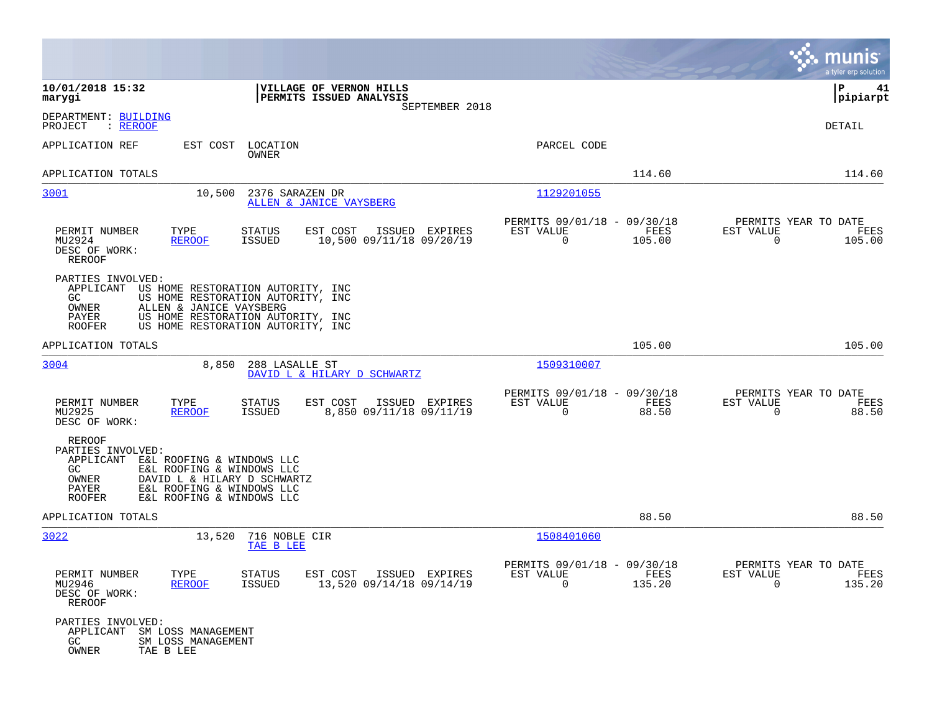|                                                                                    |                                                                                                                                                                             |                                |                                                    |                                            |                                                         |                |                                                  | munis<br>a tyler erp solution |
|------------------------------------------------------------------------------------|-----------------------------------------------------------------------------------------------------------------------------------------------------------------------------|--------------------------------|----------------------------------------------------|--------------------------------------------|---------------------------------------------------------|----------------|--------------------------------------------------|-------------------------------|
| 10/01/2018 15:32<br>marygi                                                         |                                                                                                                                                                             |                                | VILLAGE OF VERNON HILLS<br>PERMITS ISSUED ANALYSIS | SEPTEMBER 2018                             |                                                         |                |                                                  | 41<br>IΡ<br> pipiarpt         |
| DEPARTMENT: BUILDING<br>PROJECT<br>: REROOF                                        |                                                                                                                                                                             |                                |                                                    |                                            |                                                         |                |                                                  | DETAIL                        |
| APPLICATION REF                                                                    | EST COST                                                                                                                                                                    | LOCATION<br>OWNER              |                                                    |                                            | PARCEL CODE                                             |                |                                                  |                               |
| APPLICATION TOTALS                                                                 |                                                                                                                                                                             |                                |                                                    |                                            |                                                         | 114.60         |                                                  | 114.60                        |
| <u>3001</u>                                                                        | 10,500                                                                                                                                                                      | 2376 SARAZEN DR                | ALLEN & JANICE VAYSBERG                            |                                            | 1129201055                                              |                |                                                  |                               |
| PERMIT NUMBER<br>MU2924<br>DESC OF WORK:<br><b>REROOF</b>                          | TYPE<br><b>REROOF</b>                                                                                                                                                       | <b>STATUS</b><br>ISSUED        | EST COST                                           | ISSUED EXPIRES<br>10,500 09/11/18 09/20/19 | PERMITS 09/01/18 - 09/30/18<br>EST VALUE<br>$\mathbf 0$ | FEES<br>105.00 | PERMITS YEAR TO DATE<br>EST VALUE<br>$\mathbf 0$ | FEES<br>105.00                |
| PARTIES INVOLVED:<br>APPLICANT<br>GC.<br>OWNER<br>PAYER<br><b>ROOFER</b>           | US HOME RESTORATION AUTORITY, INC<br>US HOME RESTORATION AUTORITY, INC<br>ALLEN & JANICE VAYSBERG<br>US HOME RESTORATION AUTORITY, INC<br>US HOME RESTORATION AUTORITY, INC |                                |                                                    |                                            |                                                         |                |                                                  |                               |
| APPLICATION TOTALS                                                                 |                                                                                                                                                                             |                                |                                                    |                                            |                                                         | 105.00         |                                                  | 105.00                        |
| 3004                                                                               | 8,850                                                                                                                                                                       | 288 LASALLE ST                 | DAVID L & HILARY D SCHWARTZ                        |                                            | 1509310007                                              |                |                                                  |                               |
| PERMIT NUMBER<br>MU2925<br>DESC OF WORK:                                           | TYPE<br><b>REROOF</b>                                                                                                                                                       | <b>STATUS</b><br><b>ISSUED</b> | EST COST                                           | ISSUED EXPIRES<br>8,850 09/11/18 09/11/19  | PERMITS 09/01/18 - 09/30/18<br>EST VALUE<br>$\mathbf 0$ | FEES<br>88.50  | PERMITS YEAR TO DATE<br>EST VALUE<br>$\mathbf 0$ | FEES<br>88.50                 |
| REROOF<br>PARTIES INVOLVED:<br>APPLICANT<br>GC.<br>OWNER<br>PAYER<br><b>ROOFER</b> | E&L ROOFING & WINDOWS LLC<br>E&L ROOFING & WINDOWS LLC<br>DAVID L & HILARY D SCHWARTZ<br>E&L ROOFING & WINDOWS LLC<br>E&L ROOFING & WINDOWS LLC                             |                                |                                                    |                                            |                                                         |                |                                                  |                               |
| APPLICATION TOTALS                                                                 |                                                                                                                                                                             |                                |                                                    |                                            |                                                         | 88.50          |                                                  | 88.50                         |
| 3022                                                                               | 13,520                                                                                                                                                                      | 716 NOBLE CIR<br>TAE B LEE     |                                                    |                                            | 1508401060                                              |                |                                                  |                               |
| PERMIT NUMBER<br>MU2946<br>DESC OF WORK:<br>REROOF                                 | TYPE<br><u>REROOF</u>                                                                                                                                                       | STATUS<br>ISSUED               | EST COST ISSUED EXPIRES                            | 13,520 09/14/18 09/14/19                   | PERMITS 09/01/18 - 09/30/18<br>EST VALUE<br>$\Omega$    | FEES<br>135.20 | PERMITS YEAR TO DATE<br>EST VALUE<br>$\Omega$    | FEES<br>135.20                |
| PARTIES INVOLVED:<br>APPLICANT<br>GC<br>OWNER                                      | SM LOSS MANAGEMENT<br>SM LOSS MANAGEMENT<br>TAE B LEE                                                                                                                       |                                |                                                    |                                            |                                                         |                |                                                  |                               |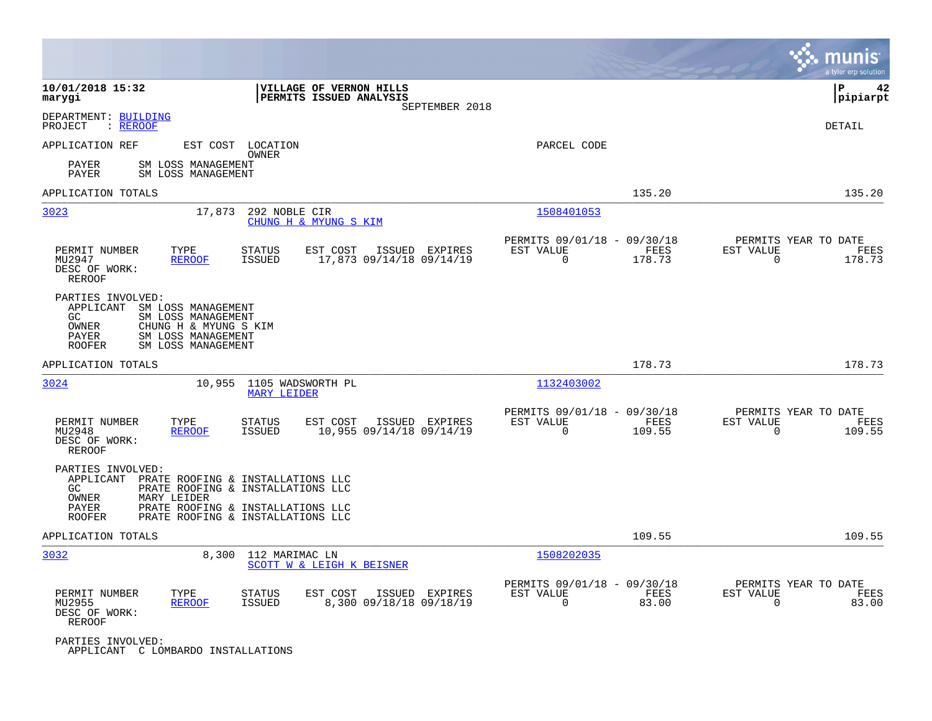|                                                                              |                                                                                                               |                                                    |                |                                                         |                       |                                                  | munis<br>a tyler erp solution |
|------------------------------------------------------------------------------|---------------------------------------------------------------------------------------------------------------|----------------------------------------------------|----------------|---------------------------------------------------------|-----------------------|--------------------------------------------------|-------------------------------|
| 10/01/2018 15:32<br>marygi                                                   |                                                                                                               | VILLAGE OF VERNON HILLS<br>PERMITS ISSUED ANALYSIS | SEPTEMBER 2018 |                                                         |                       |                                                  | lР<br>42<br> pipiarpt         |
| DEPARTMENT: BUILDING<br>PROJECT<br>: REROOF                                  |                                                                                                               |                                                    |                |                                                         |                       |                                                  | DETAIL                        |
| APPLICATION REF                                                              | EST COST LOCATION<br>OWNER                                                                                    |                                                    |                | PARCEL CODE                                             |                       |                                                  |                               |
| PAYER<br>PAYER                                                               | SM LOSS MANAGEMENT<br>SM LOSS MANAGEMENT                                                                      |                                                    |                |                                                         |                       |                                                  |                               |
| APPLICATION TOTALS                                                           |                                                                                                               |                                                    |                |                                                         | 135.20                |                                                  | 135.20                        |
| 3023                                                                         | 17,873<br>292 NOBLE CIR                                                                                       | CHUNG H & MYUNG S KIM                              |                | 1508401053                                              |                       |                                                  |                               |
| PERMIT NUMBER<br>MU2947<br>DESC OF WORK:<br>REROOF                           | TYPE<br>STATUS<br><b>ISSUED</b><br><b>REROOF</b>                                                              | EST COST<br>17,873 09/14/18 09/14/19               | ISSUED EXPIRES | PERMITS 09/01/18 - 09/30/18<br>EST VALUE<br>$\mathbf 0$ | FEES<br>178.73        | PERMITS YEAR TO DATE<br>EST VALUE<br>0           | FEES<br>178.73                |
| PARTIES INVOLVED:<br>APPLICANT<br>GC.<br>OWNER<br>PAYER<br><b>ROOFER</b>     | SM LOSS MANAGEMENT<br>SM LOSS MANAGEMENT<br>CHUNG H & MYUNG S KIM<br>SM LOSS MANAGEMENT<br>SM LOSS MANAGEMENT |                                                    |                |                                                         |                       |                                                  |                               |
| APPLICATION TOTALS                                                           |                                                                                                               |                                                    |                |                                                         | 178.73                |                                                  | 178.73                        |
| 3024                                                                         | 10,955 1105 WADSWORTH PL<br><b>MARY LEIDER</b>                                                                |                                                    |                | 1132403002                                              |                       |                                                  |                               |
| PERMIT NUMBER<br>MU2948<br>DESC OF WORK:<br><b>REROOF</b>                    | TYPE<br><b>STATUS</b><br><b>ISSUED</b><br><b>REROOF</b>                                                       | EST COST<br>10,955 09/14/18 09/14/19               | ISSUED EXPIRES | PERMITS 09/01/18 - 09/30/18<br>EST VALUE<br>$\mathbf 0$ | <b>FEES</b><br>109.55 | PERMITS YEAR TO DATE<br>EST VALUE<br>$\mathbf 0$ | FEES<br>109.55                |
| PARTIES INVOLVED:<br>APPLICANT<br>GC<br>OWNER<br>MARY LEIDER<br><b>PAYER</b> | PRATE ROOFING & INSTALLATIONS LLC<br>PRATE ROOFING & INSTALLATIONS LLC<br>PRATE ROOFING & INSTALLATIONS LLC   |                                                    |                |                                                         |                       |                                                  |                               |
| <b>ROOFER</b>                                                                | PRATE ROOFING & INSTALLATIONS LLC                                                                             |                                                    |                |                                                         |                       |                                                  |                               |
| APPLICATION TOTALS                                                           |                                                                                                               |                                                    |                |                                                         | 109.55                |                                                  | 109.55                        |
| 3032                                                                         | 8,300<br>112 MARIMAC LN                                                                                       | SCOTT W & LEIGH K BEISNER                          |                | 1508202035                                              |                       |                                                  |                               |
| PERMIT NUMBER<br>MU2955<br>DESC OF WORK:<br>REROOF                           | TYPE<br>STATUS<br><b>REROOF</b><br><b>ISSUED</b>                                                              | EST COST<br>8,300 09/18/18 09/18/19                | ISSUED EXPIRES | PERMITS 09/01/18 - 09/30/18<br>EST VALUE<br>$\mathbf 0$ | FEES<br>83.00         | PERMITS YEAR TO DATE<br>EST VALUE<br>$\mathbf 0$ | FEES<br>83.00                 |
| PARTIES INVOLVED:                                                            |                                                                                                               |                                                    |                |                                                         |                       |                                                  |                               |

APPLICANT C LOMBARDO INSTALLATIONS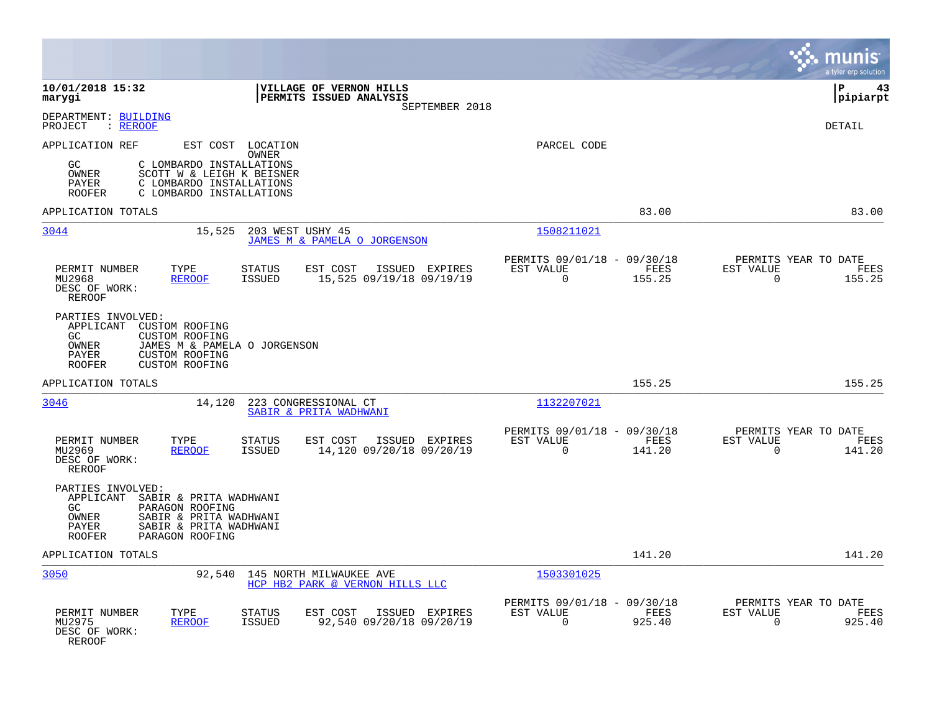|                                                                                                                                                                                                       |                                                                                          |                                                                           | munis<br>a tyler erp solution                                         |
|-------------------------------------------------------------------------------------------------------------------------------------------------------------------------------------------------------|------------------------------------------------------------------------------------------|---------------------------------------------------------------------------|-----------------------------------------------------------------------|
| 10/01/2018 15:32<br>marygi                                                                                                                                                                            | VILLAGE OF VERNON HILLS<br>PERMITS ISSUED ANALYSIS<br>SEPTEMBER 2018                     |                                                                           | l P<br>43<br> pipiarpt                                                |
| DEPARTMENT: BUILDING<br>PROJECT<br>: <u>REROOF</u>                                                                                                                                                    |                                                                                          |                                                                           | DETAIL                                                                |
| APPLICATION REF<br>GC.<br>C LOMBARDO INSTALLATIONS<br>OWNER<br>SCOTT W & LEIGH K BEISNER<br>PAYER<br>C LOMBARDO INSTALLATIONS<br><b>ROOFER</b><br>C LOMBARDO INSTALLATIONS                            | EST COST LOCATION<br>OWNER                                                               | PARCEL CODE                                                               |                                                                       |
| APPLICATION TOTALS                                                                                                                                                                                    |                                                                                          | 83.00                                                                     | 83.00                                                                 |
| 3044<br>15,525                                                                                                                                                                                        | 203 WEST USHY 45<br>JAMES M & PAMELA O JORGENSON                                         | 1508211021                                                                |                                                                       |
| TYPE<br>PERMIT NUMBER<br><b>REROOF</b><br>MU2968<br>DESC OF WORK:<br><b>REROOF</b>                                                                                                                    | <b>STATUS</b><br>EST COST<br>ISSUED EXPIRES<br><b>ISSUED</b><br>15,525 09/19/18 09/19/19 | PERMITS 09/01/18 - 09/30/18<br>EST VALUE<br>FEES<br>$\mathbf 0$<br>155.25 | PERMITS YEAR TO DATE<br>EST VALUE<br>FEES<br>$\overline{0}$<br>155.25 |
| PARTIES INVOLVED:<br>APPLICANT<br>CUSTOM ROOFING<br>GC.<br><b>CUSTOM ROOFING</b><br>OWNER<br>JAMES M & PAMELA O JORGENSON<br>PAYER<br><b>CUSTOM ROOFING</b><br><b>ROOFER</b><br><b>CUSTOM ROOFING</b> |                                                                                          |                                                                           |                                                                       |
| APPLICATION TOTALS                                                                                                                                                                                    |                                                                                          | 155.25                                                                    | 155.25                                                                |
| 3046<br>14,120                                                                                                                                                                                        | 223 CONGRESSIONAL CT<br>SABIR & PRITA WADHWANI                                           | 1132207021                                                                |                                                                       |
| PERMIT NUMBER<br>TYPE<br>MU2969<br><b>REROOF</b><br>DESC OF WORK:<br><b>REROOF</b>                                                                                                                    | <b>STATUS</b><br>EST COST<br>ISSUED EXPIRES<br><b>ISSUED</b><br>14,120 09/20/18 09/20/19 | PERMITS 09/01/18 - 09/30/18<br>EST VALUE<br>FEES<br>$\mathbf 0$<br>141.20 | PERMITS YEAR TO DATE<br>EST VALUE<br>FEES<br>$\mathbf 0$<br>141.20    |
| PARTIES INVOLVED:<br>APPLICANT SABIR & PRITA WADHWANI<br>GC.<br>PARAGON ROOFING<br>OWNER<br>SABIR & PRITA WADHWANI<br>PAYER<br>SABIR & PRITA WADHWANI<br><b>ROOFER</b><br>PARAGON ROOFING             |                                                                                          |                                                                           |                                                                       |
| APPLICATION TOTALS                                                                                                                                                                                    |                                                                                          | 141.20                                                                    | 141.20                                                                |
| 3050<br>92,540                                                                                                                                                                                        | 145 NORTH MILWAUKEE AVE<br>HCP HB2 PARK @ VERNON HILLS LLC                               | 1503301025                                                                |                                                                       |
| PERMIT NUMBER<br>TYPE<br>MU2975<br><b>REROOF</b><br>DESC OF WORK:<br>REROOF                                                                                                                           | <b>STATUS</b><br>EST COST<br>ISSUED EXPIRES<br>92,540 09/20/18 09/20/19<br><b>ISSUED</b> | PERMITS 09/01/18 - 09/30/18<br>EST VALUE<br>FEES<br>$\Omega$<br>925.40    | PERMITS YEAR TO DATE<br>EST VALUE<br>FEES<br>925.40<br>$\Omega$       |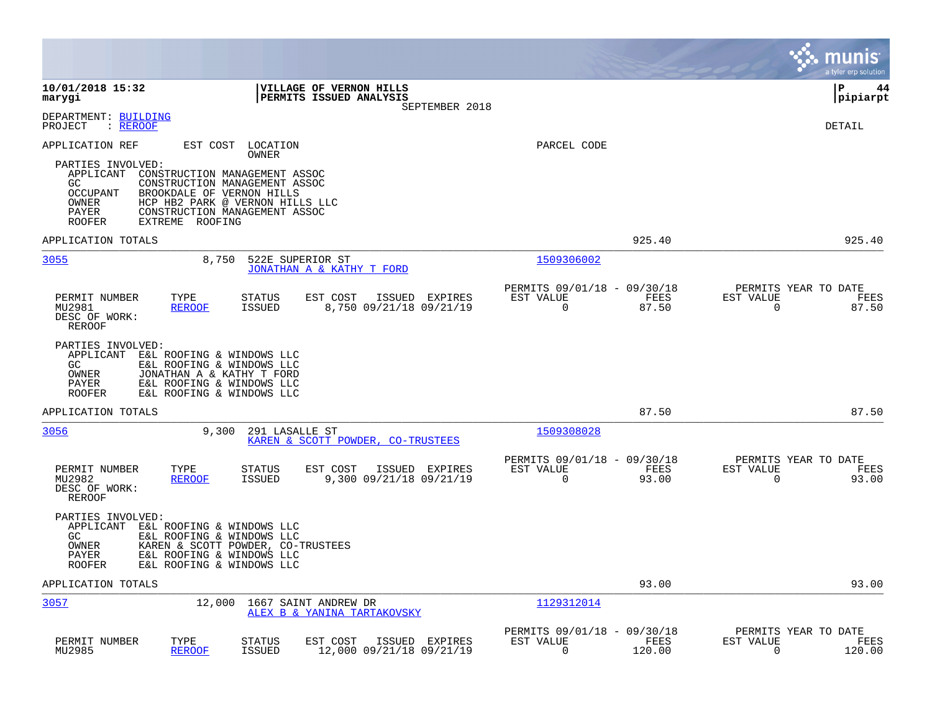|                                                                                                                                                                                                                                                                            |                                                                       | munis<br>a tyler erp solution                                     |
|----------------------------------------------------------------------------------------------------------------------------------------------------------------------------------------------------------------------------------------------------------------------------|-----------------------------------------------------------------------|-------------------------------------------------------------------|
| 10/01/2018 15:32<br><b>VILLAGE OF VERNON HILLS</b><br><b>PERMITS ISSUED ANALYSIS</b><br>marygi<br>SEPTEMBER 2018                                                                                                                                                           |                                                                       | l P<br>44<br> pipiarpt                                            |
| DEPARTMENT: BUILDING<br>: REROOF<br>PROJECT                                                                                                                                                                                                                                |                                                                       | <b>DETAIL</b>                                                     |
| APPLICATION REF<br>EST COST<br>LOCATION<br>OWNER                                                                                                                                                                                                                           | PARCEL CODE                                                           |                                                                   |
| PARTIES INVOLVED:<br>APPLICANT<br>CONSTRUCTION MANAGEMENT ASSOC<br>GC.<br>CONSTRUCTION MANAGEMENT ASSOC<br>OCCUPANT<br>BROOKDALE OF VERNON HILLS<br>OWNER<br>HCP HB2 PARK @ VERNON HILLS LLC<br>CONSTRUCTION MANAGEMENT ASSOC<br>PAYER<br><b>ROOFER</b><br>EXTREME ROOFING |                                                                       |                                                                   |
| APPLICATION TOTALS                                                                                                                                                                                                                                                         | 925.40                                                                | 925.40                                                            |
| 3055<br>8,750<br>522E SUPERIOR ST<br>JONATHAN A & KATHY T FORD                                                                                                                                                                                                             | 1509306002                                                            |                                                                   |
| PERMIT NUMBER<br>TYPE<br>EST COST<br>ISSUED EXPIRES<br>STATUS<br><b>ISSUED</b><br>8,750 09/21/18 09/21/19<br>MU2981<br><b>REROOF</b><br>DESC OF WORK:<br><b>REROOF</b>                                                                                                     | PERMITS 09/01/18 - 09/30/18<br>EST VALUE<br>FEES<br>$\Omega$<br>87.50 | PERMITS YEAR TO DATE<br>EST VALUE<br>FEES<br>$\Omega$<br>87.50    |
| PARTIES INVOLVED:<br>APPLICANT E&L ROOFING & WINDOWS LLC<br>GC.<br>E&L ROOFING & WINDOWS LLC<br>OWNER<br>JONATHAN A & KATHY T FORD<br>PAYER<br>E&L ROOFING & WINDOWS LLC<br>E&L ROOFING & WINDOWS LLC<br><b>ROOFER</b>                                                     |                                                                       |                                                                   |
| APPLICATION TOTALS                                                                                                                                                                                                                                                         | 87.50                                                                 | 87.50                                                             |
| 3056<br>9,300<br>291 LASALLE ST<br>KAREN & SCOTT POWDER, CO-TRUSTEES                                                                                                                                                                                                       | 1509308028                                                            |                                                                   |
| PERMIT NUMBER<br>TYPE<br>ISSUED EXPIRES<br>STATUS<br>EST COST<br>MU2982<br><b>REROOF</b><br><b>ISSUED</b><br>9,300 09/21/18 09/21/19<br>DESC OF WORK:<br>REROOF                                                                                                            | PERMITS 09/01/18 - 09/30/18<br>EST VALUE<br>FEES<br>0<br>93.00        | PERMITS YEAR TO DATE<br>EST VALUE<br>FEES<br>$\mathbf 0$<br>93.00 |
| PARTIES INVOLVED:<br>APPLICANT<br>E&L ROOFING & WINDOWS LLC<br>GC<br>E&L ROOFING & WINDOWS LLC<br>KAREN & SCOTT POWDER, CO-TRUSTEES<br>OWNER<br>PAYER<br>E&L ROOFING & WINDOWS LLC<br>E&L ROOFING & WINDOWS LLC<br><b>ROOFER</b>                                           |                                                                       |                                                                   |
| APPLICATION TOTALS                                                                                                                                                                                                                                                         | 93.00                                                                 | 93.00                                                             |
| 3057<br>12,000<br>1667 SAINT ANDREW DR<br>ALEX B & YANINA TARTAKOVSKY                                                                                                                                                                                                      | 1129312014                                                            |                                                                   |
| PERMIT NUMBER<br>TYPE<br>EST COST<br><b>STATUS</b><br>ISSUED EXPIRES<br>MU2985<br><b>REROOF</b><br><b>ISSUED</b><br>12,000 09/21/18 09/21/19                                                                                                                               | PERMITS 09/01/18 - 09/30/18<br>EST VALUE<br>FEES<br>0<br>120.00       | PERMITS YEAR TO DATE<br>EST VALUE<br>FEES<br>0<br>120.00          |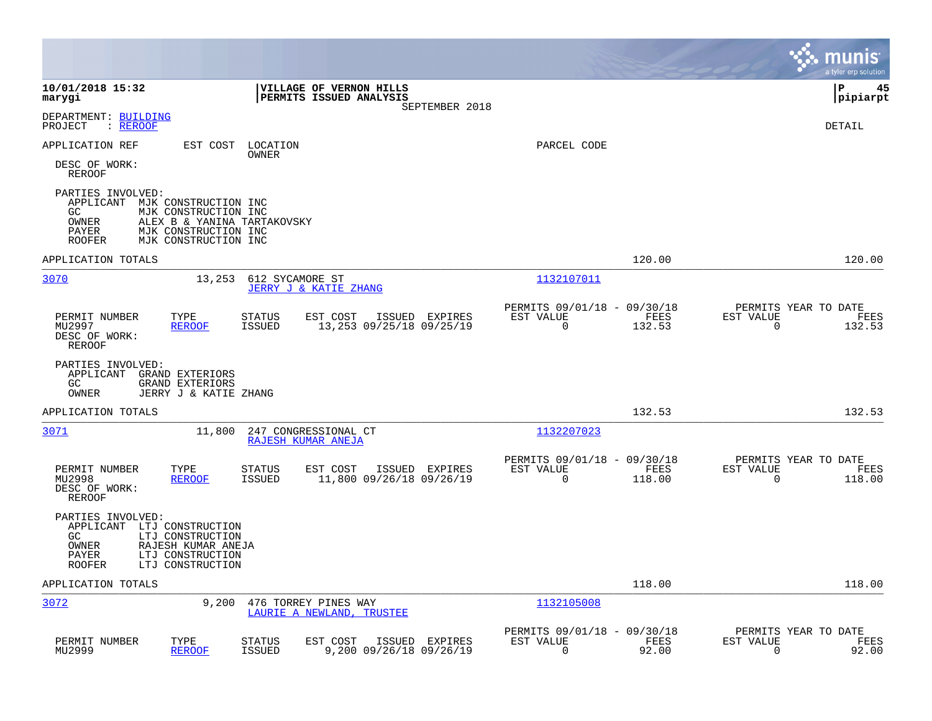|                                                                                                                                                                                                        |                                                                                          |                                                                           | munis<br>a tyler erp solution                                      |
|--------------------------------------------------------------------------------------------------------------------------------------------------------------------------------------------------------|------------------------------------------------------------------------------------------|---------------------------------------------------------------------------|--------------------------------------------------------------------|
| 10/01/2018 15:32<br>marygi                                                                                                                                                                             | <b>VILLAGE OF VERNON HILLS</b><br><b>PERMITS ISSUED ANALYSIS</b><br>SEPTEMBER 2018       |                                                                           | l P<br>45<br> pipiarpt                                             |
| DEPARTMENT: BUILDING<br>: REROOF<br>PROJECT                                                                                                                                                            |                                                                                          |                                                                           | <b>DETAIL</b>                                                      |
| APPLICATION REF<br>EST COST                                                                                                                                                                            | LOCATION<br>OWNER                                                                        | PARCEL CODE                                                               |                                                                    |
| DESC OF WORK:<br><b>REROOF</b>                                                                                                                                                                         |                                                                                          |                                                                           |                                                                    |
| PARTIES INVOLVED:<br>APPLICANT<br>MJK CONSTRUCTION INC<br>GC<br>MJK CONSTRUCTION INC<br>OWNER<br>ALEX B & YANINA TARTAKOVSKY<br>PAYER<br>MJK CONSTRUCTION INC<br>MJK CONSTRUCTION INC<br><b>ROOFER</b> |                                                                                          |                                                                           |                                                                    |
| APPLICATION TOTALS                                                                                                                                                                                     |                                                                                          | 120.00                                                                    | 120.00                                                             |
| 3070<br>13,253                                                                                                                                                                                         | 612 SYCAMORE ST<br>JERRY J & KATIE ZHANG                                                 | 1132107011                                                                |                                                                    |
| TYPE<br>PERMIT NUMBER<br>MU2997<br><b>REROOF</b><br>DESC OF WORK:<br><b>REROOF</b>                                                                                                                     | EST COST<br>ISSUED EXPIRES<br><b>STATUS</b><br><b>ISSUED</b><br>13,253 09/25/18 09/25/19 | PERMITS 09/01/18 - 09/30/18<br>EST VALUE<br>FEES<br>$\mathbf 0$<br>132.53 | PERMITS YEAR TO DATE<br>EST VALUE<br>FEES<br>$\mathbf 0$<br>132.53 |
| PARTIES INVOLVED:<br>APPLICANT GRAND EXTERIORS<br>GC.<br>GRAND EXTERIORS<br>OWNER<br>JERRY J & KATIE ZHANG                                                                                             |                                                                                          |                                                                           |                                                                    |
| APPLICATION TOTALS                                                                                                                                                                                     |                                                                                          | 132.53                                                                    | 132.53                                                             |
| 3071<br>11,800                                                                                                                                                                                         | 247 CONGRESSIONAL CT<br>RAJESH KUMAR ANEJA                                               | 1132207023                                                                |                                                                    |
| PERMIT NUMBER<br>TYPE<br>MU2998<br><b>REROOF</b><br>DESC OF WORK:<br><b>REROOF</b>                                                                                                                     | ISSUED EXPIRES<br><b>STATUS</b><br>EST COST<br>ISSUED<br>11,800 09/26/18 09/26/19        | PERMITS 09/01/18 - 09/30/18<br>EST VALUE<br>FEES<br>$\Omega$<br>118.00    | PERMITS YEAR TO DATE<br>EST VALUE<br>FEES<br>$\mathbf 0$<br>118.00 |
| PARTIES INVOLVED:<br>APPLICANT LTJ CONSTRUCTION<br>GC.<br>LTJ CONSTRUCTION<br>OWNER<br>RAJESH KUMAR ANEJA<br>PAYER<br>LTJ CONSTRUCTION<br><b>ROOFER</b><br>LTJ CONSTRUCTION                            |                                                                                          |                                                                           |                                                                    |
| APPLICATION TOTALS                                                                                                                                                                                     |                                                                                          | 118.00                                                                    | 118.00                                                             |
| 3072<br>9,200                                                                                                                                                                                          | 476 TORREY PINES WAY<br>LAURIE A NEWLAND, TRUSTEE                                        | 1132105008                                                                |                                                                    |
| PERMIT NUMBER<br>TYPE<br>MU2999<br><b>REROOF</b>                                                                                                                                                       | <b>STATUS</b><br>EST COST<br>ISSUED EXPIRES<br>9,200 09/26/18 09/26/19<br><b>ISSUED</b>  | PERMITS 09/01/18 - 09/30/18<br>EST VALUE<br>FEES<br>92.00<br>$\Omega$     | PERMITS YEAR TO DATE<br>EST VALUE<br>FEES<br>$\Omega$<br>92.00     |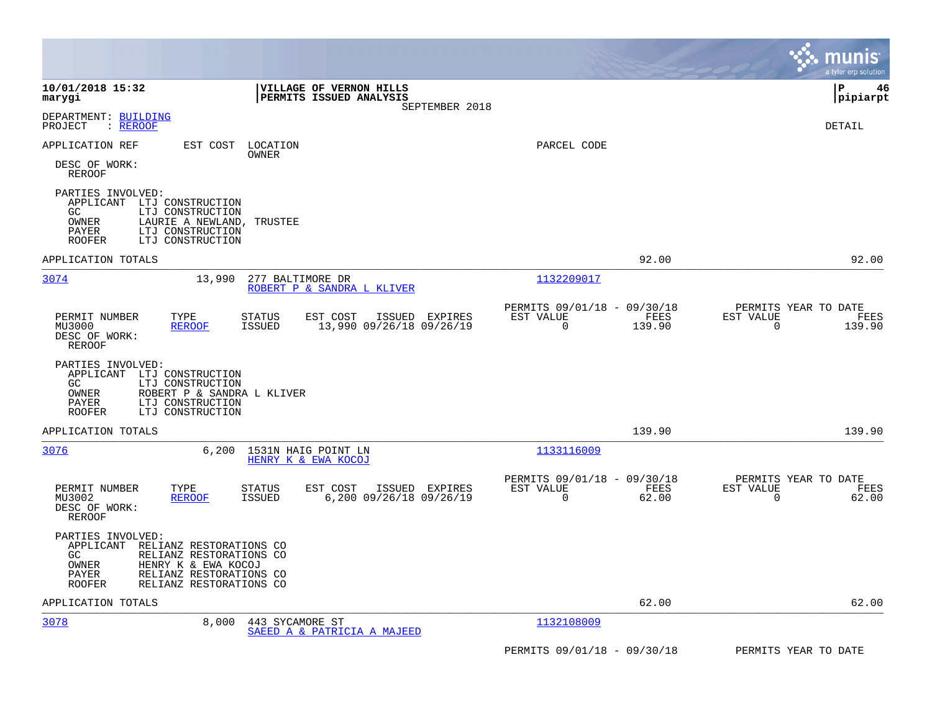|                                                                                                                                                                                                             |                                                                                                                  | munis<br>a tyler erp solution          |
|-------------------------------------------------------------------------------------------------------------------------------------------------------------------------------------------------------------|------------------------------------------------------------------------------------------------------------------|----------------------------------------|
| 10/01/2018 15:32<br>VILLAGE OF VERNON HILLS<br>PERMITS ISSUED ANALYSIS<br>marygi                                                                                                                            | SEPTEMBER 2018                                                                                                   | P<br>46<br> pipiarpt                   |
| DEPARTMENT: BUILDING<br>: REROOF<br>PROJECT                                                                                                                                                                 |                                                                                                                  | DETAIL                                 |
| APPLICATION REF<br>EST COST<br>LOCATION<br>OWNER                                                                                                                                                            | PARCEL CODE                                                                                                      |                                        |
| DESC OF WORK:<br><b>REROOF</b>                                                                                                                                                                              |                                                                                                                  |                                        |
| PARTIES INVOLVED:<br>APPLICANT<br>LTJ CONSTRUCTION<br>GC<br>LTJ CONSTRUCTION<br>OWNER<br>LAURIE A NEWLAND, TRUSTEE<br>PAYER<br>LTJ CONSTRUCTION<br><b>ROOFER</b><br>LTJ CONSTRUCTION                        |                                                                                                                  |                                        |
| APPLICATION TOTALS                                                                                                                                                                                          | 92.00                                                                                                            | 92.00                                  |
| 3074<br>13,990<br>277 BALTIMORE DR<br>ROBERT P & SANDRA L KLIVER                                                                                                                                            | 1132209017                                                                                                       |                                        |
| PERMIT NUMBER<br>TYPE<br>EST COST<br>ISSUED<br><b>STATUS</b><br>13,990 09/26/18 09/26/19<br>MU3000<br>ISSUED<br><b>REROOF</b><br>DESC OF WORK:<br><b>REROOF</b>                                             | PERMITS 09/01/18 - 09/30/18<br>EXPIRES<br>EST VALUE<br>FEES<br>EST VALUE<br>$\mathbf 0$<br>139.90<br>$\mathbf 0$ | PERMITS YEAR TO DATE<br>FEES<br>139.90 |
| PARTIES INVOLVED:<br>LTJ CONSTRUCTION<br>APPLICANT<br>GC.<br>LTJ CONSTRUCTION<br>OWNER<br>ROBERT P & SANDRA L KLIVER<br>PAYER<br>LTJ CONSTRUCTION<br><b>ROOFER</b><br>LTJ CONSTRUCTION                      |                                                                                                                  |                                        |
| APPLICATION TOTALS                                                                                                                                                                                          | 139.90                                                                                                           | 139.90                                 |
| 3076<br>6,200<br>1531N HAIG POINT LN<br>HENRY K & EWA KOCOJ                                                                                                                                                 | 1133116009                                                                                                       |                                        |
| PERMIT NUMBER<br>TYPE<br><b>STATUS</b><br>EST COST<br>ISSUED EXPIRES<br>MU3002<br>ISSUED<br>6,200 09/26/18 09/26/19<br><b>REROOF</b><br>DESC OF WORK:<br>REROOF                                             | PERMITS 09/01/18 - 09/30/18<br>EST VALUE<br>EST VALUE<br>FEES<br>$\mathbf 0$<br>$\mathbf 0$<br>62.00             | PERMITS YEAR TO DATE<br>FEES<br>62.00  |
| PARTIES INVOLVED:<br>APPLICANT<br>RELIANZ RESTORATIONS CO<br>GC.<br>RELIANZ RESTORATIONS CO<br>OWNER<br>HENRY K & EWA KOCOJ<br>PAYER<br>RELIANZ RESTORATIONS CO<br><b>ROOFER</b><br>RELIANZ RESTORATIONS CO |                                                                                                                  |                                        |
| APPLICATION TOTALS                                                                                                                                                                                          | 62.00                                                                                                            | 62.00                                  |
| 3078<br>8,000<br>443 SYCAMORE ST<br>SAEED A & PATRICIA A MAJEED                                                                                                                                             | 1132108009                                                                                                       |                                        |
|                                                                                                                                                                                                             | PERMITS 09/01/18 - 09/30/18                                                                                      | PERMITS YEAR TO DATE                   |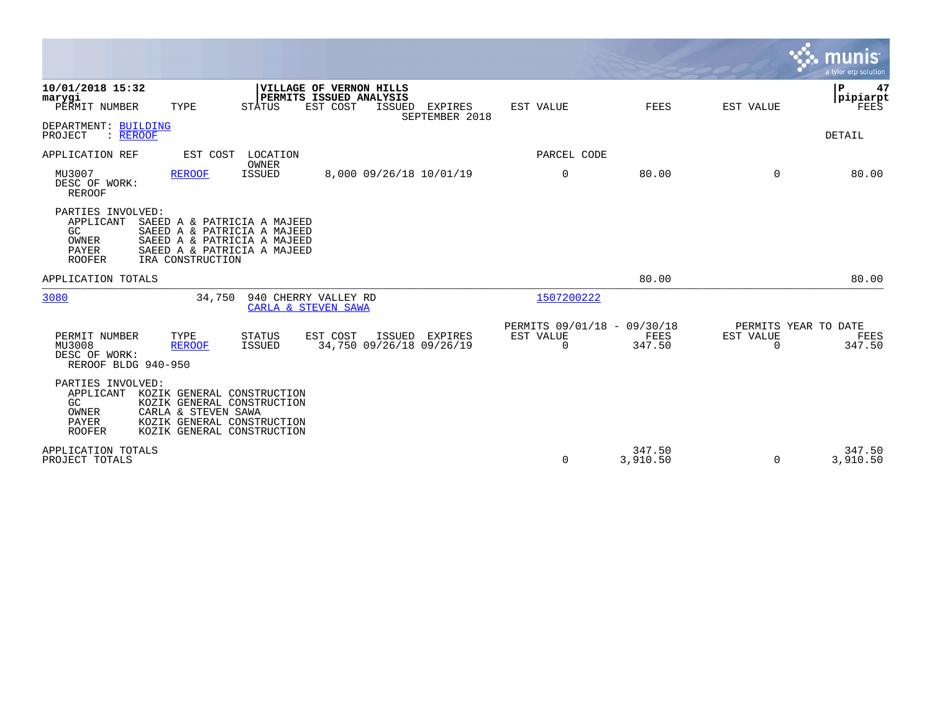|                                                                         |                                                                                                                                              |                                                        |                                                                |               |                                            |                                                         |                       |                       | munis<br>a tyler erp solution          |
|-------------------------------------------------------------------------|----------------------------------------------------------------------------------------------------------------------------------------------|--------------------------------------------------------|----------------------------------------------------------------|---------------|--------------------------------------------|---------------------------------------------------------|-----------------------|-----------------------|----------------------------------------|
| 10/01/2018 15:32<br>marygi<br>PERMIT NUMBER                             | TYPE                                                                                                                                         | <b>STATUS</b>                                          | VILLAGE OF VERNON HILLS<br>PERMITS ISSUED ANALYSIS<br>EST COST | <b>ISSUED</b> | EXPIRES<br>SEPTEMBER 2018                  | EST VALUE                                               | <b>FEES</b>           | EST VALUE             | ΙP<br>47<br> pipiarpt<br>FEES          |
| DEPARTMENT: BUILDING<br>PROJECT<br>: REROOF                             |                                                                                                                                              |                                                        |                                                                |               |                                            |                                                         |                       |                       | DETAIL                                 |
| APPLICATION REF                                                         | EST COST                                                                                                                                     | LOCATION<br>OWNER                                      |                                                                |               |                                            | PARCEL CODE                                             |                       |                       |                                        |
| MU3007<br>DESC OF WORK:<br><b>REROOF</b>                                | <b>REROOF</b>                                                                                                                                | <b>ISSUED</b>                                          |                                                                |               | 8,000 09/26/18 10/01/19                    | 0                                                       | 80.00                 | $\Omega$              | 80.00                                  |
| PARTIES INVOLVED:<br>APPLICANT<br>GC<br>OWNER<br>PAYER<br><b>ROOFER</b> | SAEED A & PATRICIA A MAJEED<br>SAEED A & PATRICIA A MAJEED<br>SAEED A & PATRICIA A MAJEED<br>SAEED A & PATRICIA A MAJEED<br>IRA CONSTRUCTION |                                                        |                                                                |               |                                            |                                                         |                       |                       |                                        |
| APPLICATION TOTALS                                                      |                                                                                                                                              |                                                        |                                                                |               |                                            |                                                         | 80.00                 |                       | 80.00                                  |
| 3080                                                                    | 34,750                                                                                                                                       | 940 CHERRY VALLEY RD<br><b>CARLA &amp; STEVEN SAWA</b> |                                                                |               |                                            | 1507200222                                              |                       |                       |                                        |
| PERMIT NUMBER<br>MU3008<br>DESC OF WORK:<br>REROOF BLDG 940-950         | TYPE<br><b>REROOF</b>                                                                                                                        | <b>STATUS</b><br><b>ISSUED</b>                         | EST COST                                                       | <b>ISSUED</b> | <b>EXPIRES</b><br>34,750 09/26/18 09/26/19 | PERMITS 09/01/18 - 09/30/18<br>EST VALUE<br>$\mathbf 0$ | <b>FEES</b><br>347.50 | EST VALUE<br>$\Omega$ | PERMITS YEAR TO DATE<br>FEES<br>347.50 |
| PARTIES INVOLVED:<br>APPLICANT<br>GC<br>OWNER<br>PAYER<br><b>ROOFER</b> | KOZIK GENERAL CONSTRUCTION<br>KOZIK GENERAL CONSTRUCTION<br>CARLA & STEVEN SAWA<br>KOZIK GENERAL CONSTRUCTION<br>KOZIK GENERAL CONSTRUCTION  |                                                        |                                                                |               |                                            |                                                         |                       |                       |                                        |
| APPLICATION TOTALS<br>PROJECT TOTALS                                    |                                                                                                                                              |                                                        |                                                                |               |                                            | 0                                                       | 347.50<br>3,910.50    | $\Omega$              | 347.50<br>3,910.50                     |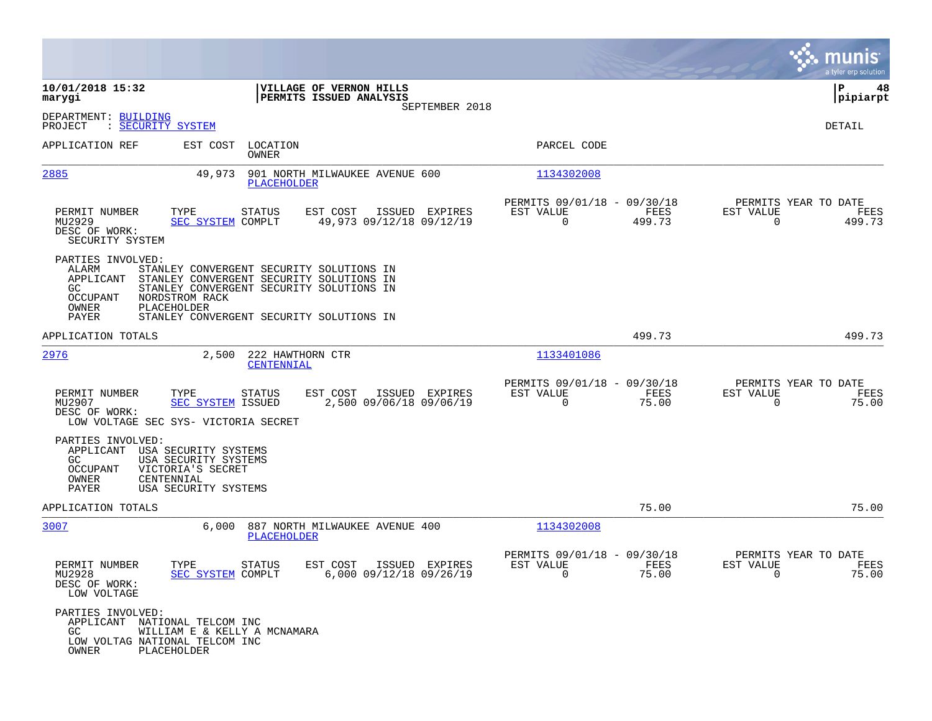|                                                                                                     |                                                                                                                   |                                                                                                                                                                              |                |                                                            |                |                                               | munis<br>a tyler erp solution |
|-----------------------------------------------------------------------------------------------------|-------------------------------------------------------------------------------------------------------------------|------------------------------------------------------------------------------------------------------------------------------------------------------------------------------|----------------|------------------------------------------------------------|----------------|-----------------------------------------------|-------------------------------|
| 10/01/2018 15:32<br>marygi                                                                          |                                                                                                                   | VILLAGE OF VERNON HILLS<br>PERMITS ISSUED ANALYSIS                                                                                                                           | SEPTEMBER 2018 |                                                            |                |                                               | P<br>48<br> pipiarpt          |
| DEPARTMENT: BUILDING<br>PROJECT<br>: SECURITY SYSTEM                                                |                                                                                                                   |                                                                                                                                                                              |                |                                                            |                |                                               | DETAIL                        |
| APPLICATION REF                                                                                     | EST COST<br>OWNER                                                                                                 | LOCATION                                                                                                                                                                     |                | PARCEL CODE                                                |                |                                               |                               |
| 2885                                                                                                | 49,973                                                                                                            | 901 NORTH MILWAUKEE AVENUE 600<br>PLACEHOLDER                                                                                                                                |                | 1134302008                                                 |                |                                               |                               |
| PERMIT NUMBER<br>MU2929<br>DESC OF WORK:<br>SECURITY SYSTEM                                         | TYPE<br>STATUS<br>SEC SYSTEM COMPLT                                                                               | EST COST<br>49,973 09/12/18 09/12/19                                                                                                                                         | ISSUED EXPIRES | PERMITS 09/01/18 - 09/30/18<br>EST VALUE<br>$\Omega$       | FEES<br>499.73 | PERMITS YEAR TO DATE<br>EST VALUE<br>$\Omega$ | FEES<br>499.73                |
| PARTIES INVOLVED:<br>ALARM<br>APPLICANT<br>GC.<br>OCCUPANT<br>OWNER<br>PAYER                        | NORDSTROM RACK<br>PLACEHOLDER                                                                                     | STANLEY CONVERGENT SECURITY SOLUTIONS IN<br>STANLEY CONVERGENT SECURITY SOLUTIONS IN<br>STANLEY CONVERGENT SECURITY SOLUTIONS IN<br>STANLEY CONVERGENT SECURITY SOLUTIONS IN |                |                                                            |                |                                               |                               |
| APPLICATION TOTALS                                                                                  |                                                                                                                   |                                                                                                                                                                              |                |                                                            | 499.73         |                                               | 499.73                        |
| 2976                                                                                                | 2,500                                                                                                             | 222 HAWTHORN CTR<br>CENTENNIAL                                                                                                                                               |                | 1133401086                                                 |                |                                               |                               |
| PERMIT NUMBER<br>MU2907<br>DESC OF WORK:                                                            | TYPE<br>STATUS<br>SEC SYSTEM ISSUED<br>LOW VOLTAGE SEC SYS- VICTORIA SECRET                                       | EST COST<br>2,500 09/06/18 09/06/19                                                                                                                                          | ISSUED EXPIRES | PERMITS 09/01/18 - 09/30/18<br>EST VALUE<br>$\Omega$       | FEES<br>75.00  | PERMITS YEAR TO DATE<br>EST VALUE<br>$\Omega$ | FEES<br>75.00                 |
| PARTIES INVOLVED:<br>GC.<br>OCCUPANT<br>OWNER<br>PAYER                                              | APPLICANT USA SECURITY SYSTEMS<br>USA SECURITY SYSTEMS<br>VICTORIA'S SECRET<br>CENTENNIAL<br>USA SECURITY SYSTEMS |                                                                                                                                                                              |                |                                                            |                |                                               |                               |
| APPLICATION TOTALS                                                                                  |                                                                                                                   |                                                                                                                                                                              |                |                                                            | 75.00          |                                               | 75.00                         |
| 3007                                                                                                | 6,000                                                                                                             | 887 NORTH MILWAUKEE AVENUE 400<br>PLACEHOLDER                                                                                                                                |                | 1134302008                                                 |                |                                               |                               |
| PERMIT NUMBER<br>MU2928<br>DESC OF WORK:<br>LOW VOLTAGE                                             | TYPE<br><b>STATUS</b><br>SEC SYSTEM COMPLT                                                                        | EST COST<br>6,000 09/12/18 09/26/19                                                                                                                                          | ISSUED EXPIRES | PERMITS 09/01/18 - 09/30/18<br>EST VALUE<br>$\overline{0}$ | FEES<br>75.00  | PERMITS YEAR TO DATE<br>EST VALUE<br>$\sim$ 0 | FEES<br>75.00                 |
| PARTIES INVOLVED:<br>APPLICANT NATIONAL TELCOM INC<br>GC<br>LOW VOLTAG NATIONAL TELCOM INC<br>OWNER | WILLIAM E & KELLY A MCNAMARA<br>PLACEHOLDER                                                                       |                                                                                                                                                                              |                |                                                            |                |                                               |                               |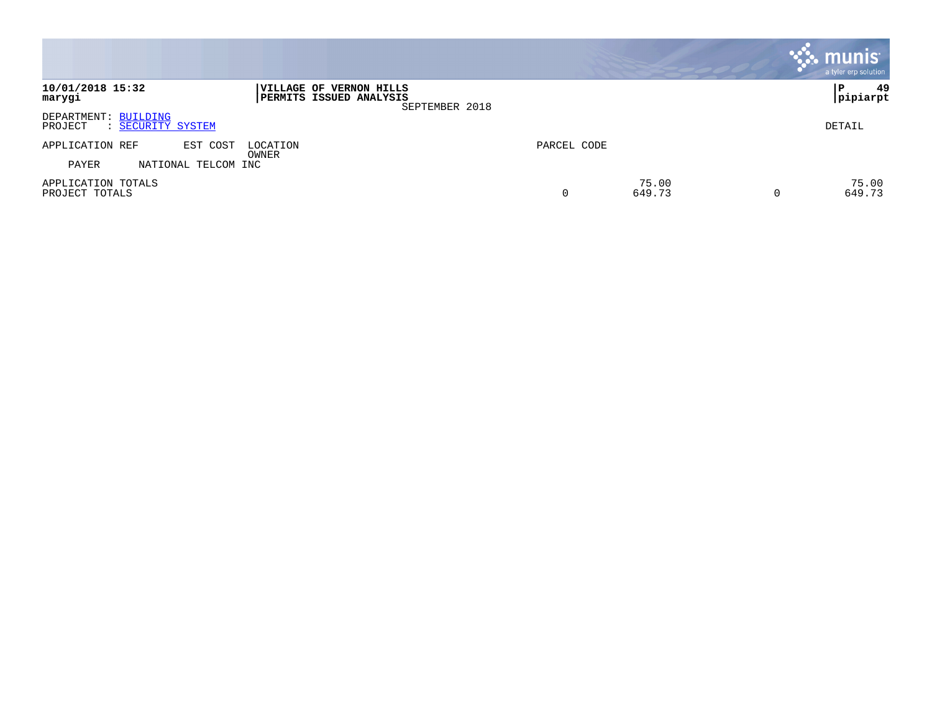|                                                      |                                                                      |             |                 | $\epsilon$ . munis i<br>a tyler erp solution |
|------------------------------------------------------|----------------------------------------------------------------------|-------------|-----------------|----------------------------------------------|
| 10/01/2018 15:32<br>marygi                           | VILLAGE OF VERNON HILLS<br>PERMITS ISSUED ANALYSIS<br>SEPTEMBER 2018 |             |                 | 49<br>ΙP<br> pipiarpt                        |
| DEPARTMENT: BUILDING<br>PROJECT<br>: SECURITY SYSTEM |                                                                      |             |                 | DETAIL                                       |
| APPLICATION REF<br>EST COST                          | LOCATION<br>OWNER                                                    | PARCEL CODE |                 |                                              |
| NATIONAL TELCOM INC<br>PAYER                         |                                                                      |             |                 |                                              |
| APPLICATION TOTALS<br>PROJECT TOTALS                 |                                                                      | 0           | 75.00<br>649.73 | 75.00<br>649.73                              |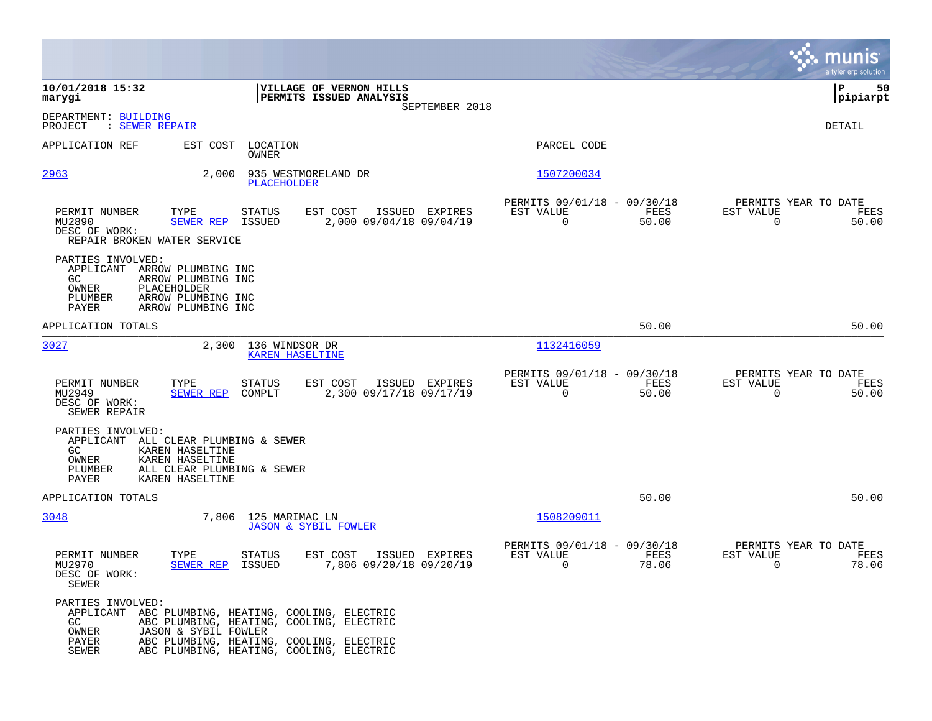|                                                                                                                                                                                      |                                                                                                                                  |                                                                       | munis<br>a tyler erp solution                                     |
|--------------------------------------------------------------------------------------------------------------------------------------------------------------------------------------|----------------------------------------------------------------------------------------------------------------------------------|-----------------------------------------------------------------------|-------------------------------------------------------------------|
| 10/01/2018 15:32<br>marygi                                                                                                                                                           | VILLAGE OF VERNON HILLS<br>PERMITS ISSUED ANALYSIS                                                                               |                                                                       | P<br>50<br> pipiarpt                                              |
| DEPARTMENT: BUILDING<br>: SEWER REPAIR<br>PROJECT                                                                                                                                    | SEPTEMBER 2018                                                                                                                   |                                                                       | DETAIL                                                            |
| APPLICATION REF<br>EST COST                                                                                                                                                          | LOCATION<br>OWNER                                                                                                                | PARCEL CODE                                                           |                                                                   |
| 2963<br>2,000                                                                                                                                                                        | 935 WESTMORELAND DR<br>PLACEHOLDER                                                                                               | 1507200034                                                            |                                                                   |
| PERMIT NUMBER<br>TYPE<br>MU2890<br><b>SEWER REP</b><br>DESC OF WORK:<br>REPAIR BROKEN WATER SERVICE                                                                                  | <b>STATUS</b><br>EST COST<br>ISSUED EXPIRES<br>2,000 09/04/18 09/04/19<br>ISSUED                                                 | PERMITS 09/01/18 - 09/30/18<br>EST VALUE<br>FEES<br>$\Omega$<br>50.00 | PERMITS YEAR TO DATE<br>EST VALUE<br>FEES<br>$\Omega$<br>50.00    |
| PARTIES INVOLVED:<br>APPLICANT ARROW PLUMBING INC<br>ARROW PLUMBING INC<br>GC.<br>PLACEHOLDER<br>OWNER<br>ARROW PLUMBING INC<br>PLUMBER<br>PAYER<br>ARROW PLUMBING INC               |                                                                                                                                  |                                                                       |                                                                   |
| APPLICATION TOTALS                                                                                                                                                                   |                                                                                                                                  | 50.00                                                                 | 50.00                                                             |
| 3027<br>2,300                                                                                                                                                                        | 136 WINDSOR DR<br><b>KAREN HASELTINE</b>                                                                                         | 1132416059                                                            |                                                                   |
| PERMIT NUMBER<br>TYPE<br>MU2949<br>SEWER REP<br>DESC OF WORK:<br>SEWER REPAIR                                                                                                        | <b>STATUS</b><br>EST COST<br>ISSUED EXPIRES<br>COMPLT<br>2,300 09/17/18 09/17/19                                                 | PERMITS 09/01/18 - 09/30/18<br>EST VALUE<br>FEES<br>$\Omega$<br>50.00 | PERMITS YEAR TO DATE<br>EST VALUE<br>FEES<br>$\mathbf 0$<br>50.00 |
| PARTIES INVOLVED:<br>APPLICANT ALL CLEAR PLUMBING & SEWER<br>GC.<br>KAREN HASELTINE<br>OWNER<br>KAREN HASELTINE<br>ALL CLEAR PLUMBING & SEWER<br>PLUMBER<br>PAYER<br>KAREN HASELTINE |                                                                                                                                  |                                                                       |                                                                   |
| APPLICATION TOTALS                                                                                                                                                                   |                                                                                                                                  | 50.00                                                                 | 50.00                                                             |
| 3048<br>7,806                                                                                                                                                                        | 125 MARIMAC LN<br><b>JASON &amp; SYBIL FOWLER</b>                                                                                | 1508209011                                                            |                                                                   |
| PERMIT NUMBER<br>TYPE<br>MU2970<br>SEWER REP<br>DESC OF WORK:<br><b>SEWER</b>                                                                                                        | <b>STATUS</b><br>EST COST<br>ISSUED EXPIRES<br>ISSUED<br>7,806 09/20/18 09/20/19                                                 | PERMITS 09/01/18 - 09/30/18<br>EST VALUE<br>FEES<br>$\Omega$<br>78.06 | PERMITS YEAR TO DATE<br>EST VALUE<br>FEES<br>$\Omega$<br>78.06    |
| PARTIES INVOLVED:<br>APPLICANT ABC PLUMBING, HEATING, COOLING, ELECTRIC<br>GC.<br>OWNER<br><b>JASON &amp; SYBIL FOWLER</b><br>PAYER<br><b>SEWER</b>                                  | ABC PLUMBING, HEATING, COOLING, ELECTRIC<br>ABC PLUMBING, HEATING, COOLING, ELECTRIC<br>ABC PLUMBING, HEATING, COOLING, ELECTRIC |                                                                       |                                                                   |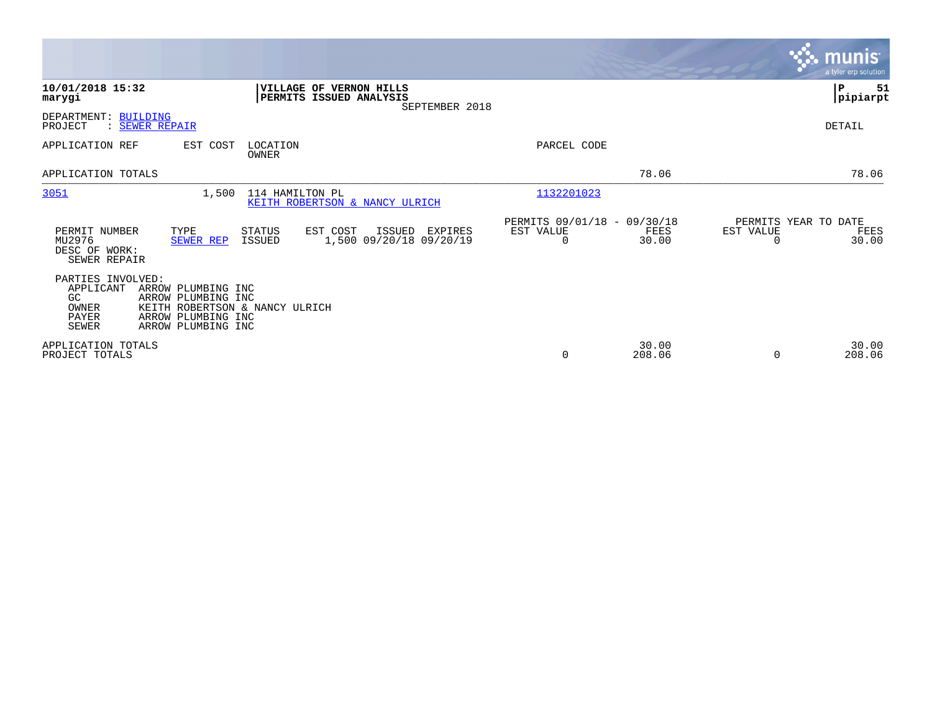|                                                                 |                                                                                                                        |                         |                                                                      |                                               |                 |                                               | <b>munis</b><br>a tyler erp solution |
|-----------------------------------------------------------------|------------------------------------------------------------------------------------------------------------------------|-------------------------|----------------------------------------------------------------------|-----------------------------------------------|-----------------|-----------------------------------------------|--------------------------------------|
| 10/01/2018 15:32<br>marygi                                      |                                                                                                                        |                         | VILLAGE OF VERNON HILLS<br>PERMITS ISSUED ANALYSIS<br>SEPTEMBER 2018 |                                               |                 |                                               | P<br>51<br> pipiarpt                 |
| DEPARTMENT: BUILDING<br>PROJECT                                 | : SEWER REPAIR                                                                                                         |                         |                                                                      |                                               |                 |                                               | DETAIL                               |
| APPLICATION REF                                                 | EST COST                                                                                                               | LOCATION<br>OWNER       |                                                                      | PARCEL CODE                                   |                 |                                               |                                      |
| APPLICATION TOTALS                                              |                                                                                                                        |                         |                                                                      |                                               | 78.06           |                                               | 78.06                                |
| 3051                                                            | 1,500                                                                                                                  | 114 HAMILTON PL         | KEITH ROBERTSON & NANCY ULRICH                                       | 1132201023                                    |                 |                                               |                                      |
| PERMIT NUMBER<br>MU2976<br>DESC OF WORK:<br>SEWER REPAIR        | TYPE<br>SEWER REP                                                                                                      | <b>STATUS</b><br>ISSUED | EST COST<br>ISSUED<br>EXPIRES<br>1,500 09/20/18 09/20/19             | PERMITS 09/01/18 - 09/30/18<br>EST VALUE<br>0 | FEES<br>30.00   | PERMITS YEAR TO DATE<br>EST VALUE<br>$\Omega$ | FEES<br>30.00                        |
| PARTIES INVOLVED:<br>APPLICANT<br>GC<br>OWNER<br>PAYER<br>SEWER | ARROW PLUMBING INC<br>ARROW PLUMBING INC<br>KEITH ROBERTSON & NANCY ULRICH<br>ARROW PLUMBING INC<br>ARROW PLUMBING INC |                         |                                                                      |                                               |                 |                                               |                                      |
| APPLICATION TOTALS<br>PROJECT TOTALS                            |                                                                                                                        |                         |                                                                      | 0                                             | 30.00<br>208.06 | $\Omega$                                      | 30.00<br>208.06                      |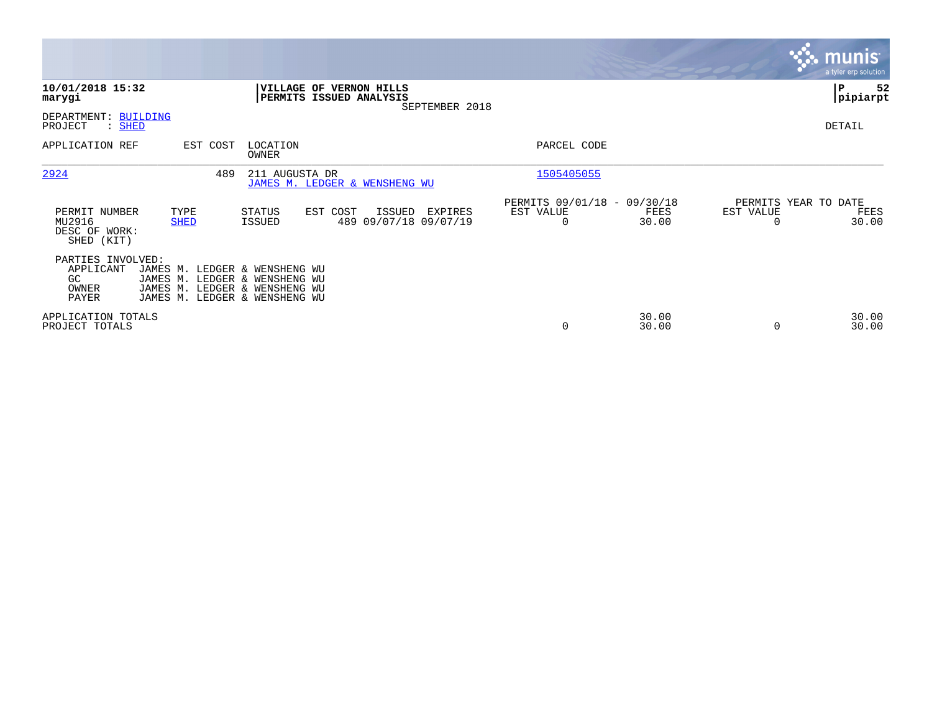|                                                                                                                                                                                            |                                                                       | <b>munis</b><br>a tyler erp solution                           |
|--------------------------------------------------------------------------------------------------------------------------------------------------------------------------------------------|-----------------------------------------------------------------------|----------------------------------------------------------------|
| 10/01/2018 15:32<br>VILLAGE OF VERNON HILLS<br>PERMITS ISSUED ANALYSIS<br>marygi<br>SEPTEMBER 2018                                                                                         |                                                                       | 52<br>∣P<br> pipiarpt                                          |
| DEPARTMENT: BUILDING<br>PROJECT<br>$:$ SHED                                                                                                                                                |                                                                       | DETAIL                                                         |
| APPLICATION REF<br>EST COST<br>LOCATION<br>OWNER                                                                                                                                           | PARCEL CODE                                                           |                                                                |
| 2924<br>489<br>211 AUGUSTA DR<br>JAMES M. LEDGER & WENSHENG WU                                                                                                                             | 1505405055                                                            |                                                                |
| PERMIT NUMBER<br>TYPE<br>STATUS<br>EST COST<br>ISSUED<br>EXPIRES<br>489 09/07/18 09/07/19<br>MU2916<br>ISSUED<br><b>SHED</b><br>DESC OF WORK:<br>SHED (KIT)                                | PERMITS 09/01/18 - 09/30/18<br>EST VALUE<br>FEES<br>30.00<br>$\Omega$ | PERMITS YEAR TO DATE<br>EST VALUE<br>FEES<br>30.00<br>$\Omega$ |
| PARTIES INVOLVED:<br>APPLICANT<br>JAMES M. LEDGER & WENSHENG WU<br>GC<br>JAMES M. LEDGER & WENSHENG WU<br>JAMES M. LEDGER & WENSHENG WU<br>OWNER<br>PAYER<br>JAMES M. LEDGER & WENSHENG WU |                                                                       |                                                                |
| APPLICATION TOTALS<br>PROJECT TOTALS                                                                                                                                                       | 30.00<br>30.00<br>0                                                   | 30.00<br>30.00<br>$\Omega$                                     |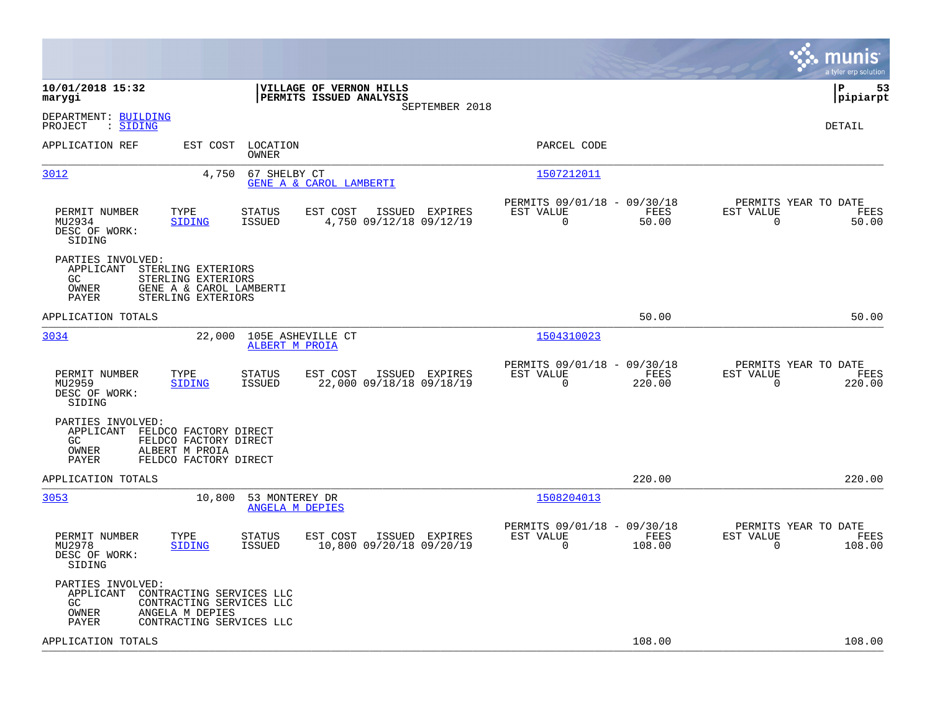|                                                                                                                                                               |                                                                      |                                                                           | munis<br>a tyler erp solution                                      |
|---------------------------------------------------------------------------------------------------------------------------------------------------------------|----------------------------------------------------------------------|---------------------------------------------------------------------------|--------------------------------------------------------------------|
| 10/01/2018 15:32<br>marygi                                                                                                                                    | VILLAGE OF VERNON HILLS<br>PERMITS ISSUED ANALYSIS<br>SEPTEMBER 2018 |                                                                           | l P<br>53<br> pipiarpt                                             |
| DEPARTMENT: BUILDING<br>: SIDING<br>PROJECT                                                                                                                   |                                                                      |                                                                           | DETAIL                                                             |
| APPLICATION REF<br>EST COST<br>LOCATION<br>OWNER                                                                                                              |                                                                      | PARCEL CODE                                                               |                                                                    |
| 3012<br>4,750                                                                                                                                                 | 67 SHELBY CT<br>GENE A & CAROL LAMBERTI                              | 1507212011                                                                |                                                                    |
| PERMIT NUMBER<br>TYPE<br>STATUS<br>MU2934<br>SIDING<br>ISSUED<br>DESC OF WORK:<br>SIDING                                                                      | EST COST<br>ISSUED EXPIRES<br>4,750 09/12/18 09/12/19                | PERMITS 09/01/18 - 09/30/18<br>FEES<br>EST VALUE<br>$\mathbf 0$<br>50.00  | PERMITS YEAR TO DATE<br>EST VALUE<br>FEES<br>$\mathbf 0$<br>50.00  |
| PARTIES INVOLVED:<br>APPLICANT<br>STERLING EXTERIORS<br>GC<br>STERLING EXTERIORS<br>OWNER<br>GENE A & CAROL LAMBERTI<br><b>PAYER</b><br>STERLING EXTERIORS    |                                                                      |                                                                           |                                                                    |
| APPLICATION TOTALS                                                                                                                                            |                                                                      | 50.00                                                                     | 50.00                                                              |
| 3034<br>22,000                                                                                                                                                | 105E ASHEVILLE CT<br>ALBERT M PROIA                                  | 1504310023                                                                |                                                                    |
| PERMIT NUMBER<br>STATUS<br>TYPE<br>MU2959<br><b>SIDING</b><br>ISSUED<br>DESC OF WORK:<br>SIDING                                                               | EST COST<br>ISSUED EXPIRES<br>22,000 09/18/18 09/18/19               | PERMITS 09/01/18 - 09/30/18<br>EST VALUE<br>FEES<br>$\Omega$<br>220.00    | PERMITS YEAR TO DATE<br>EST VALUE<br>FEES<br>$\Omega$<br>220.00    |
| PARTIES INVOLVED:<br>APPLICANT<br>FELDCO FACTORY DIRECT<br>GC.<br>FELDCO FACTORY DIRECT<br>OWNER<br>ALBERT M PROIA<br>PAYER<br>FELDCO FACTORY DIRECT          |                                                                      |                                                                           |                                                                    |
| APPLICATION TOTALS                                                                                                                                            |                                                                      | 220.00                                                                    | 220.00                                                             |
| 3053<br>10,800                                                                                                                                                | 53 MONTEREY DR<br>ANGELA M DEPIES                                    | 1508204013                                                                |                                                                    |
| PERMIT NUMBER<br>TYPE<br><b>STATUS</b><br>MU2978<br><b>SIDING</b><br>ISSUED<br>DESC OF WORK:<br>SIDING                                                        | EST COST<br>ISSUED EXPIRES<br>10,800 09/20/18 09/20/19               | PERMITS 09/01/18 - 09/30/18<br>EST VALUE<br>FEES<br>$\mathbf 0$<br>108.00 | PERMITS YEAR TO DATE<br>EST VALUE<br>FEES<br>$\mathbf 0$<br>108.00 |
| PARTIES INVOLVED:<br>APPLICANT<br>CONTRACTING SERVICES LLC<br>GC<br>CONTRACTING SERVICES LLC<br>OWNER<br>ANGELA M DEPIES<br>PAYER<br>CONTRACTING SERVICES LLC |                                                                      |                                                                           |                                                                    |
| APPLICATION TOTALS                                                                                                                                            |                                                                      | 108.00                                                                    | 108.00                                                             |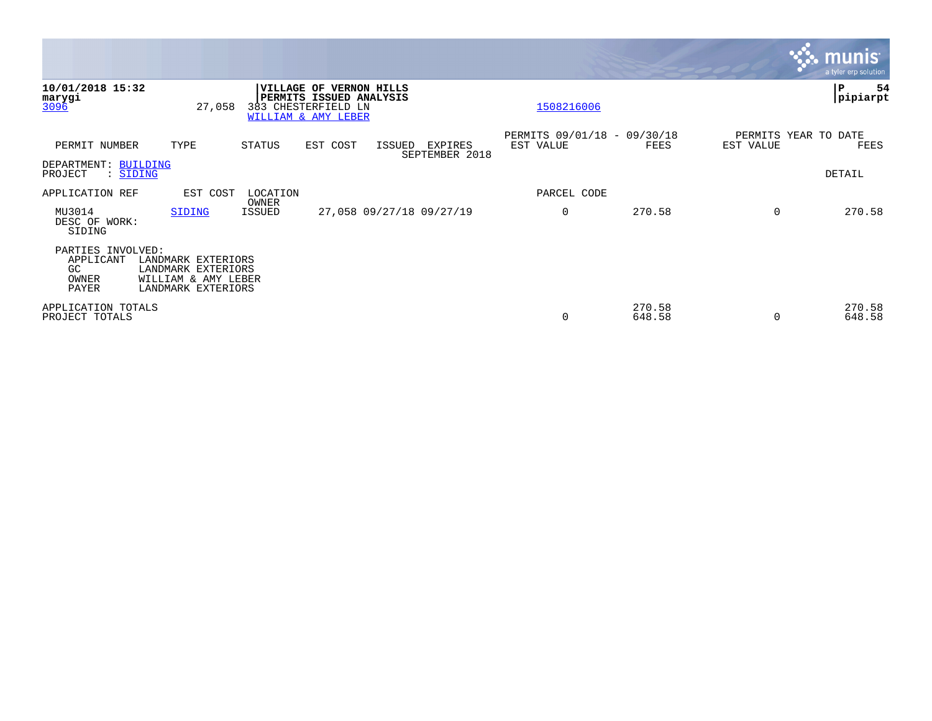|                                                              |                                                                                       |                             |                                                                                                             |                                     |                                          |                  |           | munis <sup>®</sup><br>a tyler erp solution |
|--------------------------------------------------------------|---------------------------------------------------------------------------------------|-----------------------------|-------------------------------------------------------------------------------------------------------------|-------------------------------------|------------------------------------------|------------------|-----------|--------------------------------------------|
| 10/01/2018 15:32<br>marygi<br>3096                           | 27,058                                                                                |                             | VILLAGE OF VERNON HILLS<br>PERMITS ISSUED ANALYSIS<br>383 CHESTERFIELD LN<br><b>WILLIAM &amp; AMY LEBER</b> |                                     | 1508216006                               |                  |           | ∣₽<br>54<br> pipiarpt                      |
| PERMIT NUMBER<br>DEPARTMENT: BUILDING<br>: SIDING<br>PROJECT | TYPE                                                                                  | STATUS                      | EST COST                                                                                                    | EXPIRES<br>ISSUED<br>SEPTEMBER 2018 | PERMITS 09/01/18 - 09/30/18<br>EST VALUE | FEES             | EST VALUE | PERMITS YEAR TO DATE<br>FEES<br>DETAIL     |
| APPLICATION REF<br>MU3014<br>DESC OF WORK:<br>SIDING         | EST COST<br>SIDING                                                                    | LOCATION<br>OWNER<br>ISSUED |                                                                                                             | 27,058 09/27/18 09/27/19            | PARCEL CODE<br>0                         | 270.58           | $\Omega$  | 270.58                                     |
| PARTIES INVOLVED:<br>APPLICANT<br>GC<br>OWNER<br>PAYER       | LANDMARK EXTERIORS<br>LANDMARK EXTERIORS<br>WILLIAM & AMY LEBER<br>LANDMARK EXTERIORS |                             |                                                                                                             |                                     |                                          |                  |           |                                            |
| APPLICATION TOTALS<br>PROJECT TOTALS                         |                                                                                       |                             |                                                                                                             |                                     | $\mathbf 0$                              | 270.58<br>648.58 | $\Omega$  | 270.58<br>648.58                           |

**Tara**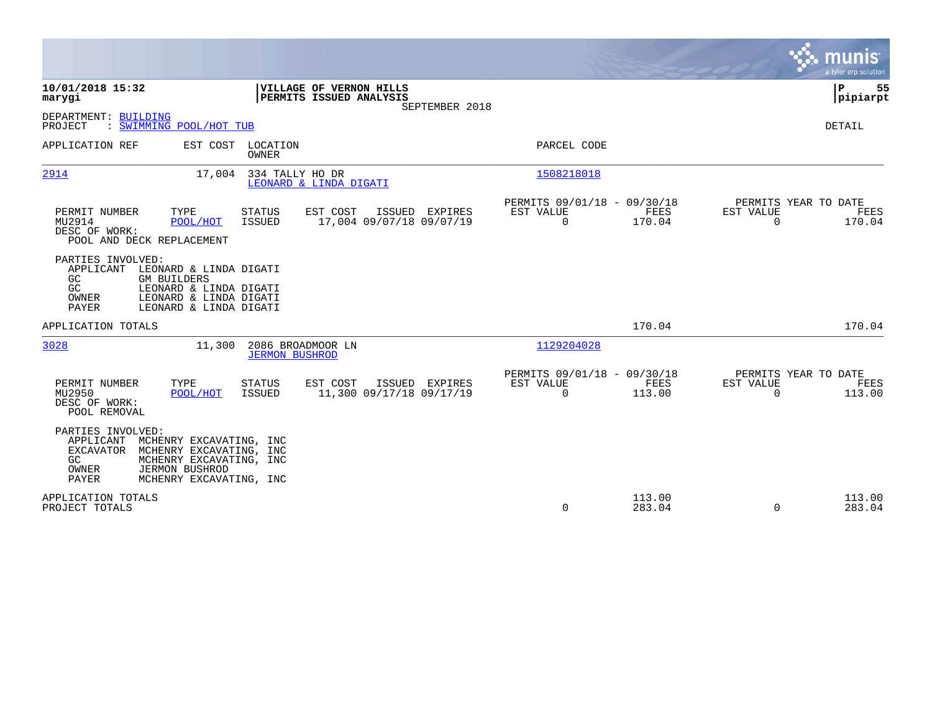|                                                                                                                                                                                                          |                                                                                  | munis<br>a tyler erp solution                                             |
|----------------------------------------------------------------------------------------------------------------------------------------------------------------------------------------------------------|----------------------------------------------------------------------------------|---------------------------------------------------------------------------|
| VILLAGE OF VERNON HILLS<br>10/01/2018 15:32<br>PERMITS ISSUED ANALYSIS<br>marygi                                                                                                                         |                                                                                  | ΙP<br>55<br> pipiarpt                                                     |
| SEPTEMBER 2018<br>DEPARTMENT: BUILDING<br>: SWIMMING POOL/HOT TUB<br>PROJECT                                                                                                                             |                                                                                  | DETAIL                                                                    |
| EST COST<br>APPLICATION REF<br>LOCATION<br><b>OWNER</b>                                                                                                                                                  | PARCEL CODE                                                                      |                                                                           |
| 2914<br>17,004<br>334 TALLY HO DR<br>LEONARD & LINDA DIGATI                                                                                                                                              | 1508218018                                                                       |                                                                           |
| EST COST<br>PERMIT NUMBER<br>TYPE<br><b>STATUS</b><br>ISSUED EXPIRES<br>MU2914<br><b>ISSUED</b><br>17,004 09/07/18 09/07/19<br>POOL/HOT<br>DESC OF WORK:<br>POOL AND DECK REPLACEMENT                    | PERMITS 09/01/18 - 09/30/18<br><b>FEES</b><br>EST VALUE<br>$\mathbf 0$<br>170.04 | PERMITS YEAR TO DATE<br><b>EST VALUE</b><br>FEES<br>$\mathbf 0$<br>170.04 |
| PARTIES INVOLVED:<br>APPLICANT LEONARD & LINDA DIGATI<br>GC<br><b>GM BUILDERS</b><br>GC<br>LEONARD & LINDA DIGATI<br>OWNER<br>LEONARD & LINDA DIGATI<br><b>PAYER</b><br>LEONARD & LINDA DIGATI           |                                                                                  |                                                                           |
| APPLICATION TOTALS                                                                                                                                                                                       | 170.04                                                                           | 170.04                                                                    |
| 3028<br>2086 BROADMOOR LN<br>11,300<br><b>JERMON BUSHROD</b>                                                                                                                                             | 1129204028                                                                       |                                                                           |
| TYPE<br><b>STATUS</b><br>EST COST<br>PERMIT NUMBER<br>ISSUED EXPIRES<br>11,300 09/17/18 09/17/19<br>MU2950<br>POOL/HOT<br>ISSUED<br>DESC OF WORK:<br>POOL REMOVAL                                        | PERMITS 09/01/18 - 09/30/18<br>EST VALUE<br>FEES<br>$\Omega$<br>113.00           | PERMITS YEAR TO DATE<br>EST VALUE<br>FEES<br>$\Omega$<br>113.00           |
| PARTIES INVOLVED:<br>APPLICANT<br>MCHENRY EXCAVATING, INC<br>EXCAVATOR<br>MCHENRY EXCAVATING, INC<br>GC<br>MCHENRY EXCAVATING, INC<br>JERMON BUSHROD<br>OWNER<br><b>PAYER</b><br>MCHENRY EXCAVATING, INC |                                                                                  |                                                                           |
| APPLICATION TOTALS<br>PROJECT TOTALS                                                                                                                                                                     | 113.00<br>0<br>283.04                                                            | 113.00<br>$\Omega$<br>283.04                                              |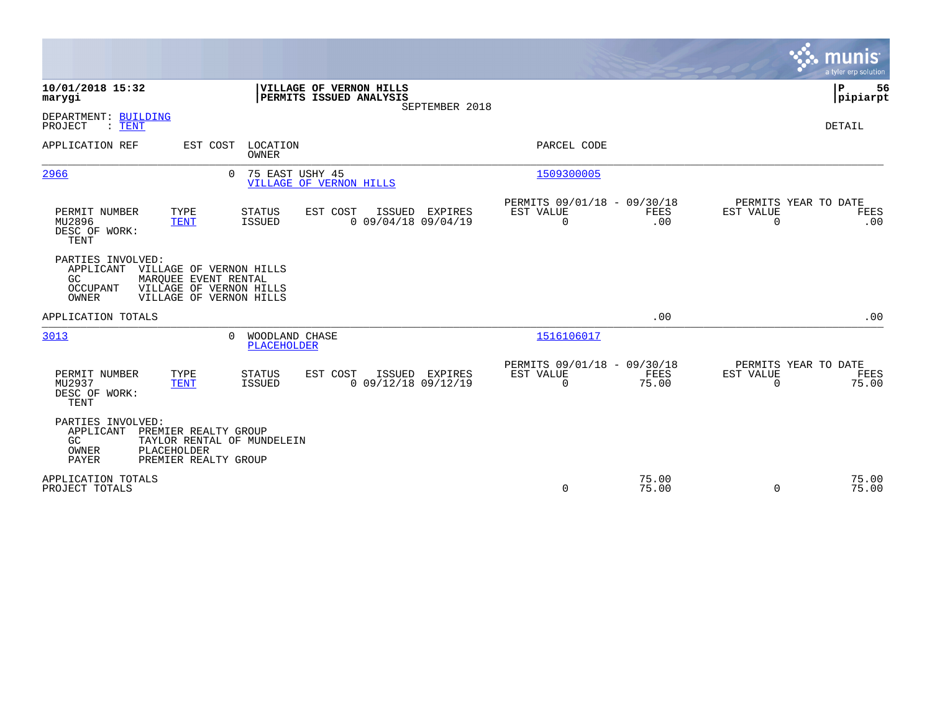|                                                                                                                                                                           |                                                                                       |                                                      |                                   | munis<br>a tyler erp solution                      |
|---------------------------------------------------------------------------------------------------------------------------------------------------------------------------|---------------------------------------------------------------------------------------|------------------------------------------------------|-----------------------------------|----------------------------------------------------|
| 10/01/2018 15:32<br>marygi                                                                                                                                                | VILLAGE OF VERNON HILLS<br>PERMITS ISSUED ANALYSIS<br>SEPTEMBER 2018                  |                                                      |                                   | l P<br>56<br> pipiarpt                             |
| DEPARTMENT: BUILDING<br>PROJECT<br>$\colon$ TENT                                                                                                                          |                                                                                       |                                                      |                                   | DETAIL                                             |
| APPLICATION REF<br>EST COST LOCATION                                                                                                                                      | <b>OWNER</b>                                                                          | PARCEL CODE                                          |                                   |                                                    |
| 2966<br>$\Omega$                                                                                                                                                          | 75 EAST USHY 45<br><b>VILLAGE OF VERNON HILLS</b>                                     | 1509300005                                           |                                   |                                                    |
| PERMIT NUMBER<br>TYPE<br>MU2896<br><b>TENT</b><br>DESC OF WORK:<br><b>TENT</b>                                                                                            | <b>STATUS</b><br>EST COST<br>ISSUED EXPIRES<br>$0$ 09/04/18 09/04/19<br><b>ISSUED</b> | PERMITS 09/01/18 - 09/30/18<br>EST VALUE<br>$\Omega$ | <b>EST VALUE</b><br>FEES<br>.00   | PERMITS YEAR TO DATE<br>FEES<br>$\mathbf 0$<br>.00 |
| PARTIES INVOLVED:<br>APPLICANT<br>VILLAGE OF VERNON HILLS<br>MAROUEE EVENT RENTAL<br>GC<br>VILLAGE OF VERNON HILLS<br>OCCUPANT<br><b>OWNER</b><br>VILLAGE OF VERNON HILLS |                                                                                       |                                                      |                                   |                                                    |
| APPLICATION TOTALS                                                                                                                                                        |                                                                                       |                                                      | .00                               | .00                                                |
| 3013                                                                                                                                                                      | 0 WOODLAND CHASE<br>PLACEHOLDER                                                       | 1516106017                                           |                                   |                                                    |
| PERMIT NUMBER<br>TYPE<br>MU2937<br><b>TENT</b><br>DESC OF WORK:<br>TENT                                                                                                   | EST COST<br><b>STATUS</b><br>ISSUED EXPIRES<br><b>ISSUED</b><br>$0$ 09/12/18 09/12/19 | PERMITS 09/01/18 - 09/30/18<br>EST VALUE<br>$\Omega$ | FEES<br><b>EST VALUE</b><br>75.00 | PERMITS YEAR TO DATE<br>FEES<br>$\Omega$<br>75.00  |
| PARTIES INVOLVED:<br>APPLICANT<br>PREMIER REALTY GROUP<br>GC<br>TAYLOR RENTAL OF MUNDELEIN<br>OWNER<br>PLACEHOLDER<br>PAYER<br>PREMIER REALTY GROUP                       |                                                                                       |                                                      |                                   |                                                    |
| APPLICATION TOTALS<br>PROJECT TOTALS                                                                                                                                      |                                                                                       | 0                                                    | 75.00<br>75.00                    | 75.00<br>$\Omega$<br>75.00                         |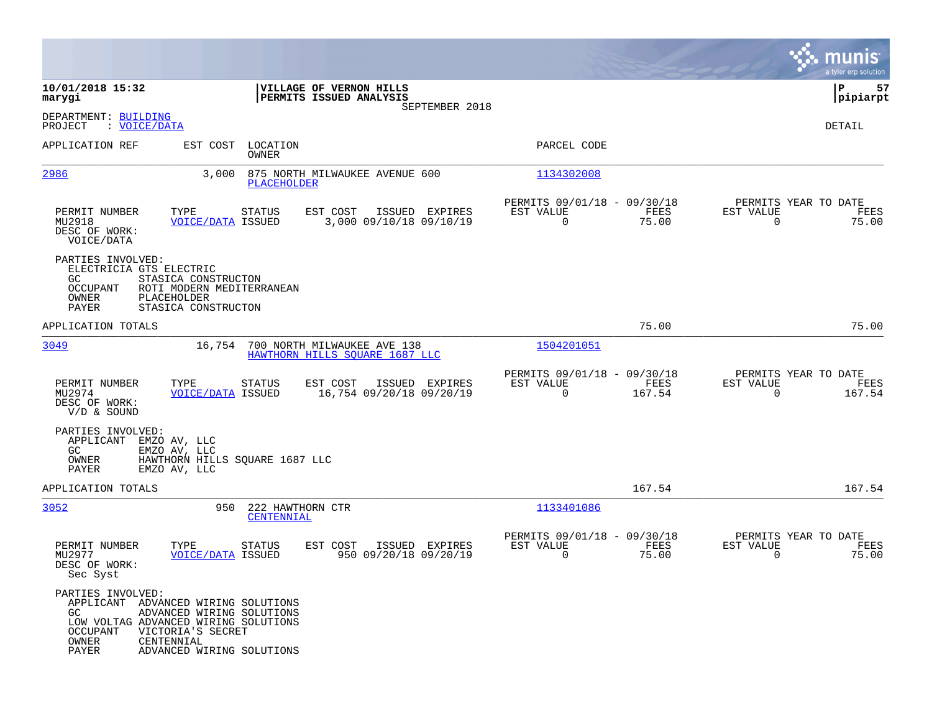|                                                                                                                                      |                                                                                           |                                |                                                               |                |                                                         |                |                                               | munis<br>a tyler erp solution |
|--------------------------------------------------------------------------------------------------------------------------------------|-------------------------------------------------------------------------------------------|--------------------------------|---------------------------------------------------------------|----------------|---------------------------------------------------------|----------------|-----------------------------------------------|-------------------------------|
| 10/01/2018 15:32<br>marygi                                                                                                           |                                                                                           |                                | VILLAGE OF VERNON HILLS<br>PERMITS ISSUED ANALYSIS            |                |                                                         |                |                                               | 57<br>P<br> pipiarpt          |
| DEPARTMENT: BUILDING<br>: VOICE/DATA<br>PROJECT                                                                                      |                                                                                           |                                |                                                               | SEPTEMBER 2018 |                                                         |                |                                               | DETAIL                        |
| APPLICATION REF                                                                                                                      | EST COST                                                                                  | LOCATION<br><b>OWNER</b>       |                                                               |                | PARCEL CODE                                             |                |                                               |                               |
| 2986                                                                                                                                 | 3,000                                                                                     | <b>PLACEHOLDER</b>             | 875 NORTH MILWAUKEE AVENUE 600                                |                | 1134302008                                              |                |                                               |                               |
| PERMIT NUMBER<br>MU2918<br>DESC OF WORK:<br>VOICE/DATA                                                                               | TYPE<br><b>VOICE/DATA ISSUED</b>                                                          | STATUS                         | EST COST<br>3,000 09/10/18 09/10/19                           | ISSUED EXPIRES | PERMITS 09/01/18 - 09/30/18<br>EST VALUE<br>$\mathbf 0$ | FEES<br>75.00  | PERMITS YEAR TO DATE<br>EST VALUE<br>$\Omega$ | FEES<br>75.00                 |
| PARTIES INVOLVED:<br>ELECTRICIA GTS ELECTRIC<br>GC.<br>OCCUPANT<br>OWNER<br>PAYER                                                    | STASICA CONSTRUCTON<br>ROTI MODERN MEDITERRANEAN<br>PLACEHOLDER<br>STASICA CONSTRUCTON    |                                |                                                               |                |                                                         |                |                                               |                               |
| APPLICATION TOTALS                                                                                                                   |                                                                                           |                                |                                                               |                |                                                         | 75.00          |                                               | 75.00                         |
| 3049                                                                                                                                 | 16,754                                                                                    |                                | 700 NORTH MILWAUKEE AVE 138<br>HAWTHORN HILLS SQUARE 1687 LLC |                | 1504201051                                              |                |                                               |                               |
| PERMIT NUMBER<br>MU2974<br>DESC OF WORK:<br>V/D & SOUND                                                                              | TYPE<br><b>VOICE/DATA ISSUED</b>                                                          | <b>STATUS</b>                  | EST COST<br>16,754 09/20/18 09/20/19                          | ISSUED EXPIRES | PERMITS 09/01/18 - 09/30/18<br>EST VALUE<br>$\Omega$    | FEES<br>167.54 | PERMITS YEAR TO DATE<br>EST VALUE<br>$\Omega$ | FEES<br>167.54                |
| PARTIES INVOLVED:<br>APPLICANT<br>GC.<br>OWNER<br>PAYER                                                                              | EMZO AV, LLC<br>EMZO AV, LLC<br>HAWTHORN HILLS SQUARE 1687 LLC<br>EMZO AV, LLC            |                                |                                                               |                |                                                         |                |                                               |                               |
| APPLICATION TOTALS                                                                                                                   |                                                                                           |                                |                                                               |                |                                                         | 167.54         |                                               | 167.54                        |
| 3052                                                                                                                                 | 950                                                                                       | 222 HAWTHORN CTR<br>CENTENNIAL |                                                               |                | 1133401086                                              |                |                                               |                               |
| PERMIT NUMBER<br>MU2977<br>DESC OF WORK:<br>Sec Syst                                                                                 | TYPE<br><b>VOICE/DATA ISSUED</b>                                                          | STATUS                         | EST COST<br>950 09/20/18 09/20/19                             | ISSUED EXPIRES | PERMITS 09/01/18 - 09/30/18<br>EST VALUE<br>0           | FEES<br>75.00  | PERMITS YEAR TO DATE<br>EST VALUE<br>$\Omega$ | FEES<br>75.00                 |
| PARTIES INVOLVED:<br>APPLICANT ADVANCED WIRING SOLUTIONS<br>GC<br>LOW VOLTAG ADVANCED WIRING SOLUTIONS<br>OCCUPANT<br>OWNER<br>PAYER | ADVANCED WIRING SOLUTIONS<br>VICTORIA'S SECRET<br>CENTENNIAL<br>ADVANCED WIRING SOLUTIONS |                                |                                                               |                |                                                         |                |                                               |                               |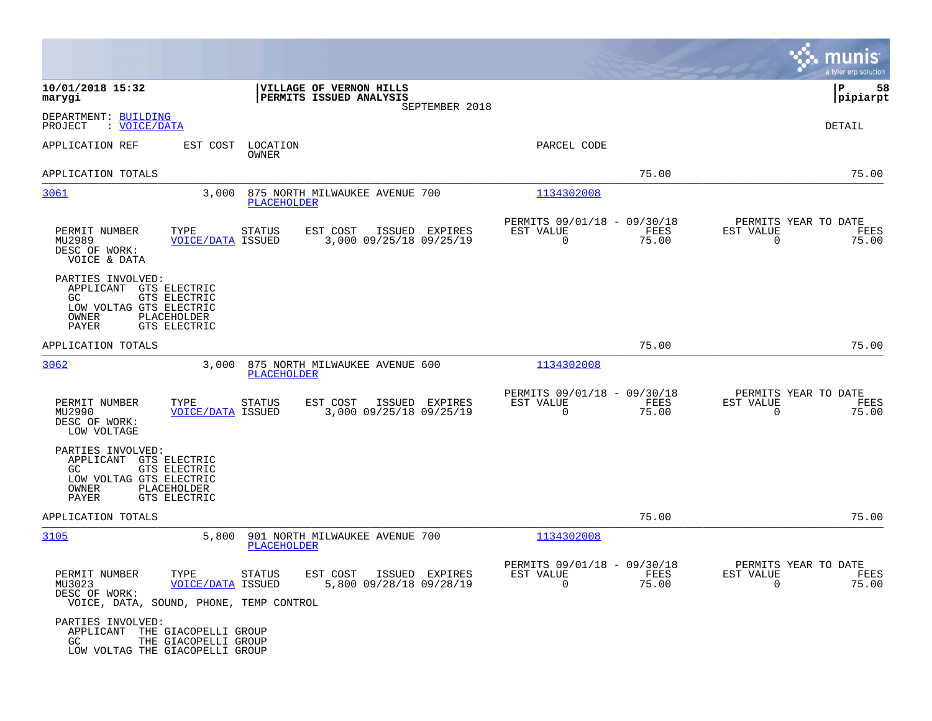|                                                                                              |                                                             |                    |                                                    |                |                                                         |               |                                                  | munis<br>a tyler erp solution |
|----------------------------------------------------------------------------------------------|-------------------------------------------------------------|--------------------|----------------------------------------------------|----------------|---------------------------------------------------------|---------------|--------------------------------------------------|-------------------------------|
| 10/01/2018 15:32<br>marygi                                                                   |                                                             |                    | VILLAGE OF VERNON HILLS<br>PERMITS ISSUED ANALYSIS | SEPTEMBER 2018 |                                                         |               |                                                  | P<br>58<br> pipiarpt          |
| DEPARTMENT: BUILDING<br>PROJECT<br>: VOICE/DATA                                              |                                                             |                    |                                                    |                |                                                         |               |                                                  | DETAIL                        |
| APPLICATION REF                                                                              | EST COST                                                    | LOCATION<br>OWNER  |                                                    |                | PARCEL CODE                                             |               |                                                  |                               |
| APPLICATION TOTALS                                                                           |                                                             |                    |                                                    |                |                                                         | 75.00         |                                                  | 75.00                         |
| <u>3061</u>                                                                                  | 3,000                                                       | <b>PLACEHOLDER</b> | 875 NORTH MILWAUKEE AVENUE 700                     |                | 1134302008                                              |               |                                                  |                               |
| PERMIT NUMBER<br>MU2989<br>DESC OF WORK:<br>VOICE & DATA                                     | TYPE<br><b>VOICE/DATA ISSUED</b>                            | STATUS             | EST COST<br>3,000 09/25/18 09/25/19                | ISSUED EXPIRES | PERMITS 09/01/18 - 09/30/18<br>EST VALUE<br>$\mathbf 0$ | FEES<br>75.00 | PERMITS YEAR TO DATE<br>EST VALUE<br>$\mathbf 0$ | FEES<br>75.00                 |
| PARTIES INVOLVED:<br>APPLICANT<br>GC.<br>LOW VOLTAG GTS ELECTRIC<br>OWNER<br>PAYER           | GTS ELECTRIC<br>GTS ELECTRIC<br>PLACEHOLDER<br>GTS ELECTRIC |                    |                                                    |                |                                                         |               |                                                  |                               |
| APPLICATION TOTALS                                                                           |                                                             |                    |                                                    |                |                                                         | 75.00         |                                                  | 75.00                         |
| 3062                                                                                         | 3,000                                                       | PLACEHOLDER        | 875 NORTH MILWAUKEE AVENUE 600                     |                | 1134302008                                              |               |                                                  |                               |
| PERMIT NUMBER<br>MU2990<br>DESC OF WORK:<br>LOW VOLTAGE                                      | TYPE<br><b>VOICE/DATA ISSUED</b>                            | <b>STATUS</b>      | EST COST<br>3,000 09/25/18 09/25/19                | ISSUED EXPIRES | PERMITS 09/01/18 - 09/30/18<br>EST VALUE<br>$\mathbf 0$ | FEES<br>75.00 | PERMITS YEAR TO DATE<br>EST VALUE<br>$\mathbf 0$ | FEES<br>75.00                 |
| PARTIES INVOLVED:<br>APPLICANT<br>GC.<br>LOW VOLTAG GTS ELECTRIC<br>OWNER<br>PAYER           | GTS ELECTRIC<br>GTS ELECTRIC<br>PLACEHOLDER<br>GTS ELECTRIC |                    |                                                    |                |                                                         |               |                                                  |                               |
| APPLICATION TOTALS                                                                           |                                                             |                    |                                                    |                |                                                         | 75.00         |                                                  | 75.00                         |
| 3105                                                                                         | 5,800                                                       | PLACEHOLDER        | 901 NORTH MILWAUKEE AVENUE 700                     |                | 1134302008                                              |               |                                                  |                               |
| PERMIT NUMBER<br>MU3023<br>DESC OF WORK:<br>VOICE, DATA, SOUND, PHONE, TEMP CONTROL          | TYPE STATUS<br><b>VOICE/DATA ISSUED</b>                     |                    | EST COST ISSUED EXPIRES<br>5,800 09/28/18 09/28/19 |                | PERMITS 09/01/18 - 09/30/18<br>EST VALUE<br>$\Omega$    | FEES<br>75.00 | PERMITS YEAR TO DATE<br>EST VALUE<br>$\Omega$    | FEES<br>75.00                 |
| PARTIES INVOLVED:<br>APPLICANT THE GIACOPELLI GROUP<br>GC<br>LOW VOLTAG THE GIACOPELLI GROUP | THE GIACOPELLI GROUP                                        |                    |                                                    |                |                                                         |               |                                                  |                               |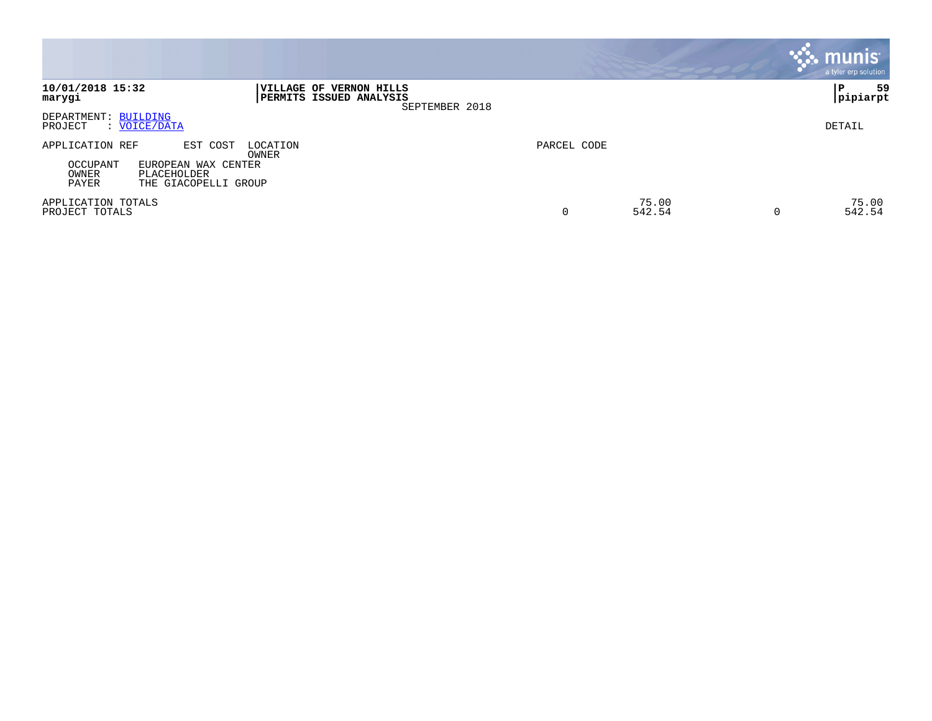|                                                                                                                                  |                                                                      |             |                 |          | <b>munis</b><br>a tyler erp solution |
|----------------------------------------------------------------------------------------------------------------------------------|----------------------------------------------------------------------|-------------|-----------------|----------|--------------------------------------|
| 10/01/2018 15:32<br>marygi                                                                                                       | VILLAGE OF VERNON HILLS<br>PERMITS ISSUED ANALYSIS<br>SEPTEMBER 2018 |             |                 |          | 59<br>P<br> pipiarpt                 |
| DEPARTMENT: BUILDING<br>: VOICE/DATA<br>PROJECT                                                                                  |                                                                      |             |                 |          | DETAIL                               |
| APPLICATION REF<br>EST COST<br>OWNER<br>OCCUPANT<br>EUROPEAN WAX CENTER<br>OWNER<br>PLACEHOLDER<br>PAYER<br>THE GIACOPELLI GROUP | LOCATION                                                             | PARCEL CODE |                 |          |                                      |
| APPLICATION TOTALS<br>PROJECT TOTALS                                                                                             |                                                                      | 0           | 75.00<br>542.54 | $\Omega$ | 75.00<br>542.54                      |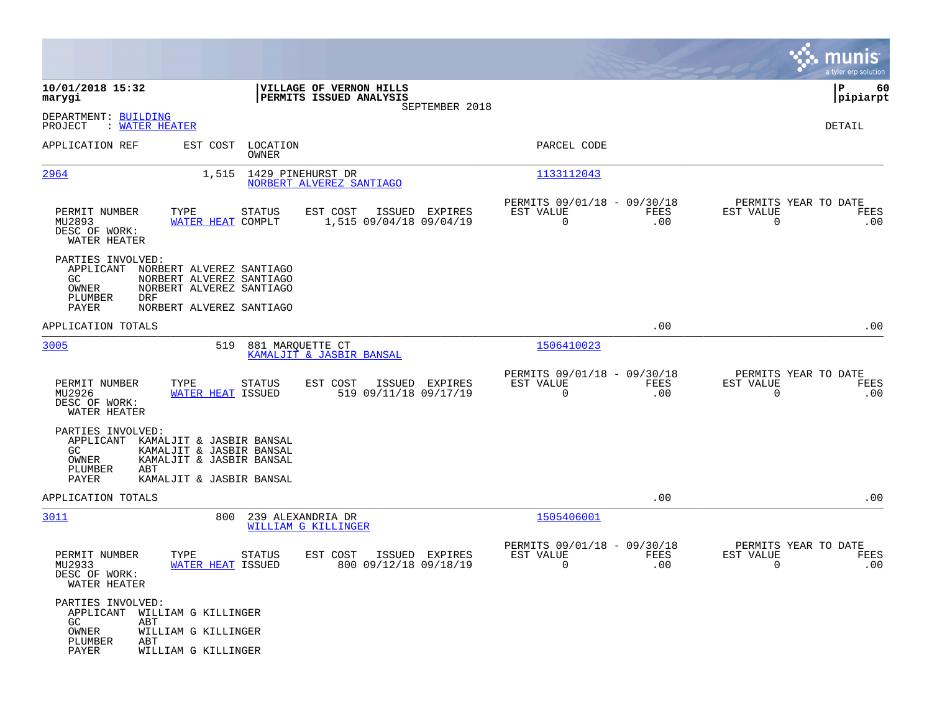|                                                                                                                                                                                                 |                                                                 |                                                                           | munis<br>a tyler erp solution                                      |
|-------------------------------------------------------------------------------------------------------------------------------------------------------------------------------------------------|-----------------------------------------------------------------|---------------------------------------------------------------------------|--------------------------------------------------------------------|
| 10/01/2018 15:32<br>marygi                                                                                                                                                                      | VILLAGE OF VERNON HILLS<br>PERMITS ISSUED ANALYSIS              |                                                                           | P<br>60<br> pipiarpt                                               |
| DEPARTMENT: BUILDING<br>PROJECT<br>: WATER HEATER                                                                                                                                               | SEPTEMBER 2018                                                  |                                                                           | DETAIL                                                             |
| APPLICATION REF                                                                                                                                                                                 | EST COST LOCATION<br><b>OWNER</b>                               | PARCEL CODE                                                               |                                                                    |
| 2964                                                                                                                                                                                            | 1,515 1429 PINEHURST DR<br>NORBERT ALVEREZ SANTIAGO             | 1133112043                                                                |                                                                    |
| PERMIT NUMBER<br>TYPE<br>MU2893<br>WATER HEAT COMPLT<br>DESC OF WORK:<br>WATER HEATER                                                                                                           | EST COST<br>ISSUED EXPIRES<br>STATUS<br>1,515 09/04/18 09/04/19 | PERMITS 09/01/18 - 09/30/18<br>EST VALUE<br>FEES<br>$\overline{0}$<br>.00 | PERMITS YEAR TO DATE<br>EST VALUE<br>FEES<br>$\overline{0}$<br>.00 |
| PARTIES INVOLVED:<br>APPLICANT<br>NORBERT ALVEREZ SANTIAGO<br>GC<br>NORBERT ALVEREZ SANTIAGO<br>NORBERT ALVEREZ SANTIAGO<br>OWNER<br>PLUMBER<br><b>DRF</b><br>PAYER<br>NORBERT ALVEREZ SANTIAGO |                                                                 |                                                                           |                                                                    |
| APPLICATION TOTALS                                                                                                                                                                              |                                                                 | .00                                                                       | .00                                                                |
| 3005<br>519                                                                                                                                                                                     | 881 MARQUETTE CT<br>KAMALJIT & JASBIR BANSAL                    | 1506410023                                                                |                                                                    |
| PERMIT NUMBER<br>TYPE<br>MU2926<br>WATER HEAT ISSUED<br>DESC OF WORK:<br>WATER HEATER                                                                                                           | STATUS<br>EST COST<br>ISSUED EXPIRES<br>519 09/11/18 09/17/19   | PERMITS 09/01/18 - 09/30/18<br>EST VALUE<br>FEES<br>$\mathbf 0$<br>.00    | PERMITS YEAR TO DATE<br>EST VALUE<br>FEES<br>$\mathbf 0$<br>.00    |
| PARTIES INVOLVED:<br>APPLICANT<br>KAMALJIT & JASBIR BANSAL<br>GC<br>KAMALJIT & JASBIR BANSAL<br>OWNER<br>KAMALJIT & JASBIR BANSAL<br>PLUMBER<br>ABT<br>PAYER<br>KAMALJIT & JASBIR BANSAL        |                                                                 |                                                                           |                                                                    |
| APPLICATION TOTALS                                                                                                                                                                              |                                                                 | .00                                                                       | .00                                                                |
| 3011<br>800                                                                                                                                                                                     | 239 ALEXANDRIA DR<br>WILLIAM G KILLINGER                        | 1505406001                                                                |                                                                    |
| PERMIT NUMBER<br>TYPE<br>MU2933<br>WATER HEAT ISSUED<br>DESC OF WORK:<br>WATER HEATER                                                                                                           | ISSUED EXPIRES<br>STATUS<br>EST COST<br>800 09/12/18 09/18/19   | PERMITS 09/01/18 - 09/30/18<br>EST VALUE<br>FEES<br>0<br>.00              | PERMITS YEAR TO DATE<br>EST VALUE<br>FEES<br>0<br>.00              |
| PARTIES INVOLVED:<br>APPLICANT<br>WILLIAM G KILLINGER<br>GC<br>ABT<br>OWNER<br>WILLIAM G KILLINGER<br>PLUMBER<br>ABT<br>PAYER<br>WILLIAM G KILLINGER                                            |                                                                 |                                                                           |                                                                    |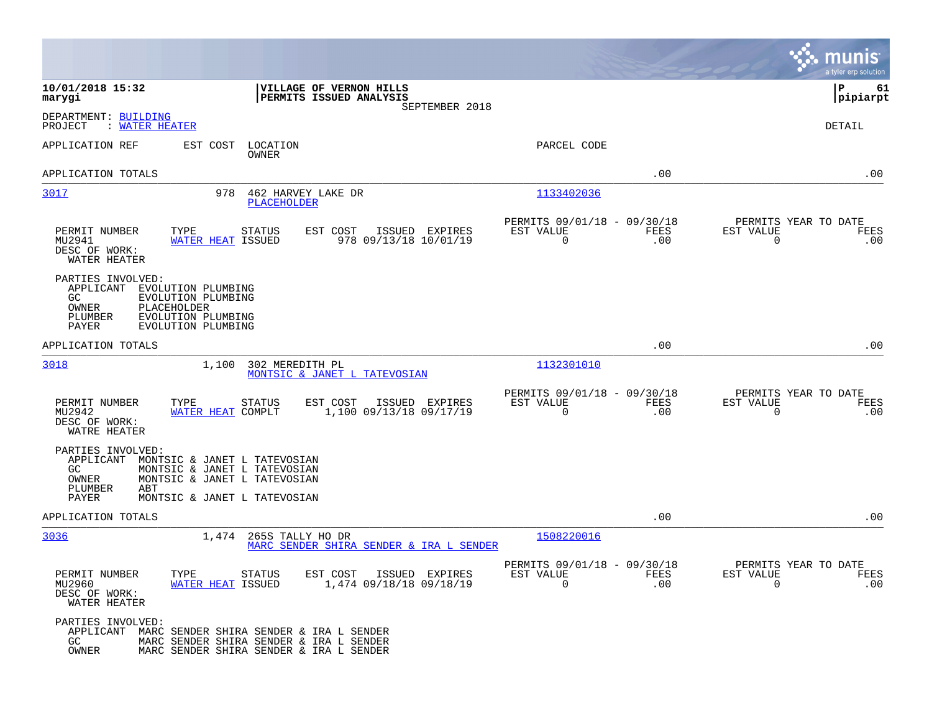|                                                                           |                                                                                                                               |                                          |                                                    |                |                                                            |                    |                                                  | munis<br>a tyler erp solution |
|---------------------------------------------------------------------------|-------------------------------------------------------------------------------------------------------------------------------|------------------------------------------|----------------------------------------------------|----------------|------------------------------------------------------------|--------------------|--------------------------------------------------|-------------------------------|
| 10/01/2018 15:32<br>marygi                                                |                                                                                                                               |                                          | VILLAGE OF VERNON HILLS<br>PERMITS ISSUED ANALYSIS | SEPTEMBER 2018 |                                                            |                    |                                                  | l P<br>61<br> pipiarpt        |
| DEPARTMENT: BUILDING<br>PROJECT                                           | : WATER HEATER                                                                                                                |                                          |                                                    |                |                                                            |                    |                                                  | DETAIL                        |
| APPLICATION REF                                                           | EST COST                                                                                                                      | LOCATION<br>OWNER                        |                                                    |                | PARCEL CODE                                                |                    |                                                  |                               |
| APPLICATION TOTALS                                                        |                                                                                                                               |                                          |                                                    |                |                                                            | .00                |                                                  | .00                           |
| <u>3017</u>                                                               | 978                                                                                                                           | 462 HARVEY LAKE DR<br><b>PLACEHOLDER</b> |                                                    |                | 1133402036                                                 |                    |                                                  |                               |
| PERMIT NUMBER<br>MU2941<br>DESC OF WORK:<br>WATER HEATER                  | TYPE<br><b>WATER HEAT ISSUED</b>                                                                                              | <b>STATUS</b>                            | EST COST<br>978 09/13/18 10/01/19                  | ISSUED EXPIRES | PERMITS 09/01/18 - 09/30/18<br>EST VALUE<br>$\Omega$       | <b>FEES</b><br>.00 | PERMITS YEAR TO DATE<br>EST VALUE<br>$\Omega$    | FEES<br>.00                   |
| PARTIES INVOLVED:<br>APPLICANT<br>GC.<br>OWNER<br>PLUMBER<br>PAYER        | EVOLUTION PLUMBING<br>EVOLUTION PLUMBING<br>PLACEHOLDER<br>EVOLUTION PLUMBING<br>EVOLUTION PLUMBING                           |                                          |                                                    |                |                                                            |                    |                                                  |                               |
| APPLICATION TOTALS                                                        |                                                                                                                               |                                          |                                                    |                |                                                            | .00                |                                                  | .00                           |
| 3018                                                                      | 1,100                                                                                                                         | 302 MEREDITH PL                          | MONTSIC & JANET L TATEVOSIAN                       |                | 1132301010                                                 |                    |                                                  |                               |
| PERMIT NUMBER<br>MU2942<br>DESC OF WORK:<br>WATRE HEATER                  | TYPE<br>WATER HEAT COMPLT                                                                                                     | <b>STATUS</b>                            | EST COST<br>1,100 09/13/18 09/17/19                | ISSUED EXPIRES | PERMITS 09/01/18 - 09/30/18<br>EST VALUE<br>$\overline{0}$ | <b>FEES</b><br>.00 | PERMITS YEAR TO DATE<br>EST VALUE<br>$\mathbf 0$ | FEES<br>.00                   |
| PARTIES INVOLVED:<br>APPLICANT<br>GC.<br>OWNER<br>PLUMBER<br>ABT<br>PAYER | MONTSIC & JANET L TATEVOSIAN<br>MONTSIC & JANET L TATEVOSIAN<br>MONTSIC & JANET L TATEVOSIAN<br>MONTSIC & JANET L TATEVOSIAN  |                                          |                                                    |                |                                                            |                    |                                                  |                               |
| APPLICATION TOTALS                                                        |                                                                                                                               |                                          |                                                    |                |                                                            | .00                |                                                  | .00                           |
| 3036                                                                      | 1,474                                                                                                                         | 265S TALLY HO DR                         | MARC SENDER SHIRA SENDER & IRA L SENDER            |                | 1508220016                                                 |                    |                                                  |                               |
| PERMIT NUMBER<br>MU2960<br>DESC OF WORK:<br>WATER HEATER                  | TYPE<br>WATER HEAT ISSUED                                                                                                     | STATUS                                   | EST COST<br>1,474 09/18/18 09/18/19                | ISSUED EXPIRES | PERMITS 09/01/18 - 09/30/18<br>EST VALUE<br>0              | FEES<br>.00        | PERMITS YEAR TO DATE<br>EST VALUE<br>$\mathbf 0$ | FEES<br>.00                   |
| PARTIES INVOLVED:<br>APPLICANT<br>GC.<br>OWNER                            | MARC SENDER SHIRA SENDER & IRA L SENDER<br>MARC SENDER SHIRA SENDER & IRA L SENDER<br>MARC SENDER SHIRA SENDER & IRA L SENDER |                                          |                                                    |                |                                                            |                    |                                                  |                               |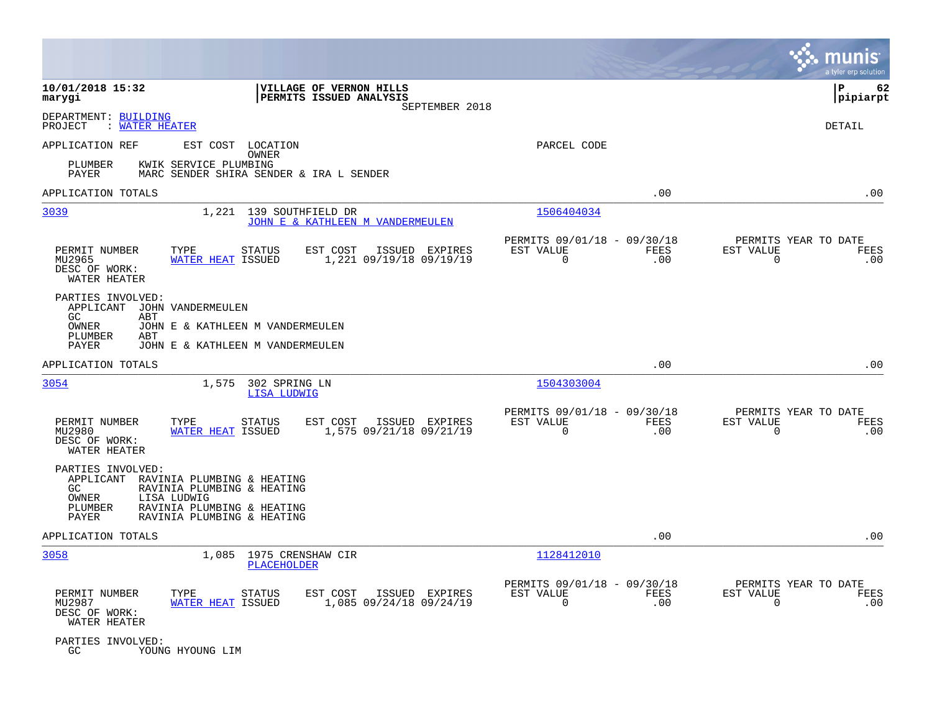|                                                                                 |                                                                                                                                     |                                                         |             | munis<br>a tyler erp solution                                   |
|---------------------------------------------------------------------------------|-------------------------------------------------------------------------------------------------------------------------------------|---------------------------------------------------------|-------------|-----------------------------------------------------------------|
| 10/01/2018 15:32<br>marygi                                                      | VILLAGE OF VERNON HILLS<br>PERMITS ISSUED ANALYSIS<br>SEPTEMBER 2018                                                                |                                                         |             | ΙP<br>62<br> pipiarpt                                           |
| DEPARTMENT: BUILDING<br>: WATER HEATER<br>PROJECT                               |                                                                                                                                     |                                                         |             | DETAIL                                                          |
| APPLICATION REF                                                                 | EST COST LOCATION                                                                                                                   | PARCEL CODE                                             |             |                                                                 |
| PLUMBER<br>PAYER                                                                | OWNER<br>KWIK SERVICE PLUMBING<br>MARC SENDER SHIRA SENDER & IRA L SENDER                                                           |                                                         |             |                                                                 |
| APPLICATION TOTALS                                                              |                                                                                                                                     |                                                         | .00         | .00                                                             |
| 3039                                                                            | 1,221 139 SOUTHFIELD DR<br>JOHN E & KATHLEEN M VANDERMEULEN                                                                         | 1506404034                                              |             |                                                                 |
| PERMIT NUMBER<br>MU2965<br>DESC OF WORK:<br>WATER HEATER                        | EST COST<br>ISSUED EXPIRES<br>TYPE<br>STATUS<br>WATER HEAT ISSUED<br>1,221 09/19/18 09/19/19                                        | PERMITS 09/01/18 - 09/30/18<br>EST VALUE<br>$\mathbf 0$ | FEES<br>.00 | PERMITS YEAR TO DATE<br>EST VALUE<br>FEES<br>.00<br>0           |
| PARTIES INVOLVED:<br>APPLICANT<br>GC<br>ABT<br>OWNER<br>PLUMBER<br>ABT<br>PAYER | JOHN VANDERMEULEN<br>JOHN E & KATHLEEN M VANDERMEULEN<br>JOHN E & KATHLEEN M VANDERMEULEN                                           |                                                         |             |                                                                 |
| APPLICATION TOTALS                                                              |                                                                                                                                     |                                                         | .00         | .00                                                             |
| 3054                                                                            | 1,575<br>302 SPRING LN<br>LISA LUDWIG                                                                                               | 1504303004                                              |             |                                                                 |
| PERMIT NUMBER<br>MU2980<br>DESC OF WORK:<br>WATER HEATER                        | EST COST<br>ISSUED EXPIRES<br>TYPE<br><b>STATUS</b><br><b>WATER HEAT ISSUED</b><br>1,575 09/21/18 09/21/19                          | PERMITS 09/01/18 - 09/30/18<br>EST VALUE<br>$\Omega$    | FEES<br>.00 | PERMITS YEAR TO DATE<br>EST VALUE<br>FEES<br>0<br>.00           |
| PARTIES INVOLVED:<br>APPLICANT<br>GC.<br>OWNER<br>PLUMBER<br>PAYER              | RAVINIA PLUMBING & HEATING<br>RAVINIA PLUMBING & HEATING<br>LISA LUDWIG<br>RAVINIA PLUMBING & HEATING<br>RAVINIA PLUMBING & HEATING |                                                         |             |                                                                 |
| APPLICATION TOTALS                                                              |                                                                                                                                     |                                                         | .00         | .00                                                             |
| 3058                                                                            | 1,085<br>1975 CRENSHAW CIR<br>PLACEHOLDER                                                                                           | 1128412010                                              |             |                                                                 |
| PERMIT NUMBER<br>MU2987<br>DESC OF WORK:<br>WATER HEATER                        | TYPE<br><b>STATUS</b><br>EST COST<br>ISSUED EXPIRES<br>WATER HEAT ISSUED<br>1,085 09/24/18 09/24/19                                 | PERMITS 09/01/18 - 09/30/18<br>EST VALUE<br>$\mathbf 0$ | FEES<br>.00 | PERMITS YEAR TO DATE<br>EST VALUE<br>FEES<br>$\mathbf 0$<br>.00 |
| PARTIES INVOLVED:<br>GC                                                         | YOUNG HYOUNG LIM                                                                                                                    |                                                         |             |                                                                 |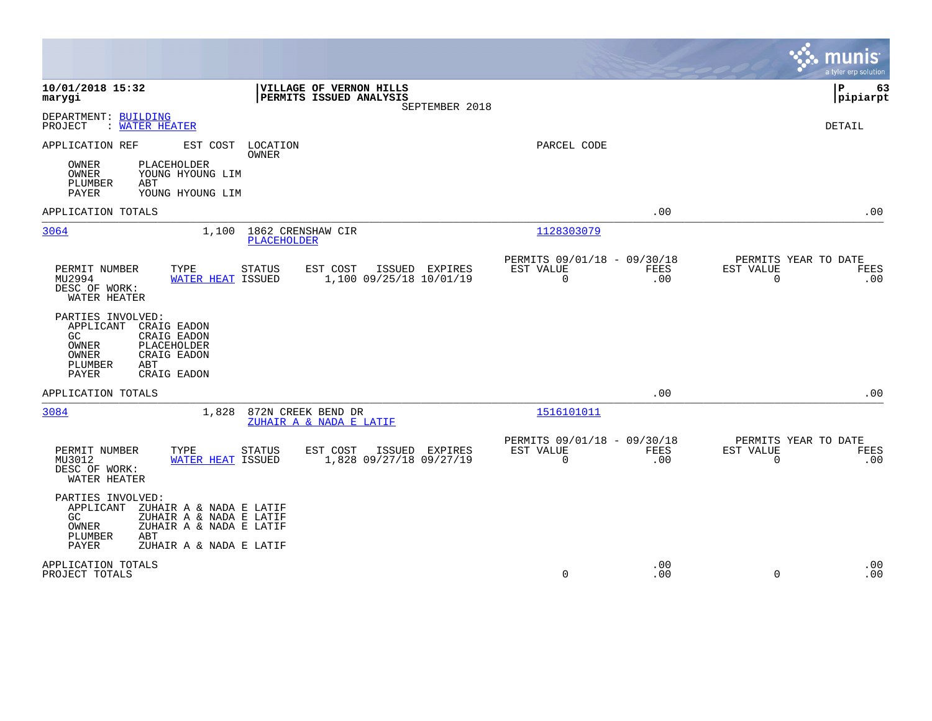|                                                                                                                                                                                       |                                                                        |                                                         |                    | munis<br>a tyler erp solution                                   |
|---------------------------------------------------------------------------------------------------------------------------------------------------------------------------------------|------------------------------------------------------------------------|---------------------------------------------------------|--------------------|-----------------------------------------------------------------|
| 10/01/2018 15:32<br>marygi                                                                                                                                                            | VILLAGE OF VERNON HILLS<br>PERMITS ISSUED ANALYSIS<br>SEPTEMBER 2018   |                                                         |                    | ΙP<br>63<br> pipiarpt                                           |
| DEPARTMENT: BUILDING<br>PROJECT<br>: WATER HEATER                                                                                                                                     |                                                                        |                                                         |                    | DETAIL                                                          |
| APPLICATION REF<br>EST COST LOCATION<br>PLACEHOLDER<br>OWNER<br>OWNER<br>YOUNG HYOUNG LIM<br>PLUMBER<br>ABT<br><b>PAYER</b><br>YOUNG HYOUNG LIM                                       | OWNER                                                                  | PARCEL CODE                                             |                    |                                                                 |
| APPLICATION TOTALS                                                                                                                                                                    |                                                                        |                                                         | .00                | .00                                                             |
| 3064                                                                                                                                                                                  | 1,100 1862 CRENSHAW CIR<br><b>PLACEHOLDER</b>                          | 1128303079                                              |                    |                                                                 |
| PERMIT NUMBER<br>TYPE<br><b>WATER HEAT ISSUED</b><br>MU2994<br>DESC OF WORK:<br>WATER HEATER                                                                                          | EST COST<br>ISSUED EXPIRES<br><b>STATUS</b><br>1,100 09/25/18 10/01/19 | PERMITS 09/01/18 - 09/30/18<br>EST VALUE<br>$\mathbf 0$ | <b>FEES</b><br>.00 | PERMITS YEAR TO DATE<br>EST VALUE<br>FEES<br>$\mathbf 0$<br>.00 |
| PARTIES INVOLVED:<br>APPLICANT<br>CRAIG EADON<br>GC<br>CRAIG EADON<br>OWNER<br>PLACEHOLDER<br>OWNER<br>CRAIG EADON<br>PLUMBER<br>ABT<br>CRAIG EADON<br>PAYER                          |                                                                        |                                                         |                    |                                                                 |
| APPLICATION TOTALS                                                                                                                                                                    |                                                                        |                                                         | .00                | .00                                                             |
| 3084<br>1,828                                                                                                                                                                         | 872N CREEK BEND DR<br>ZUHAIR A & NADA E LATIF                          | 1516101011                                              |                    |                                                                 |
| PERMIT NUMBER<br>TYPE<br>MU3012<br>WATER HEAT ISSUED<br>DESC OF WORK:<br>WATER HEATER                                                                                                 | EST COST<br>ISSUED EXPIRES<br><b>STATUS</b><br>1,828 09/27/18 09/27/19 | PERMITS 09/01/18 - 09/30/18<br>EST VALUE<br>0           | FEES<br>.00        | PERMITS YEAR TO DATE<br>EST VALUE<br>FEES<br>$\mathbf 0$<br>.00 |
| PARTIES INVOLVED:<br>APPLICANT<br>ZUHAIR A & NADA E LATIF<br>GC.<br>ZUHAIR A & NADA E LATIF<br>OWNER<br>ZUHAIR A & NADA E LATIF<br>PLUMBER<br>ABT<br>PAYER<br>ZUHAIR A & NADA E LATIF |                                                                        |                                                         |                    |                                                                 |
| APPLICATION TOTALS<br>PROJECT TOTALS                                                                                                                                                  |                                                                        | 0                                                       | .00<br>.00         | .00<br>$\Omega$<br>.00                                          |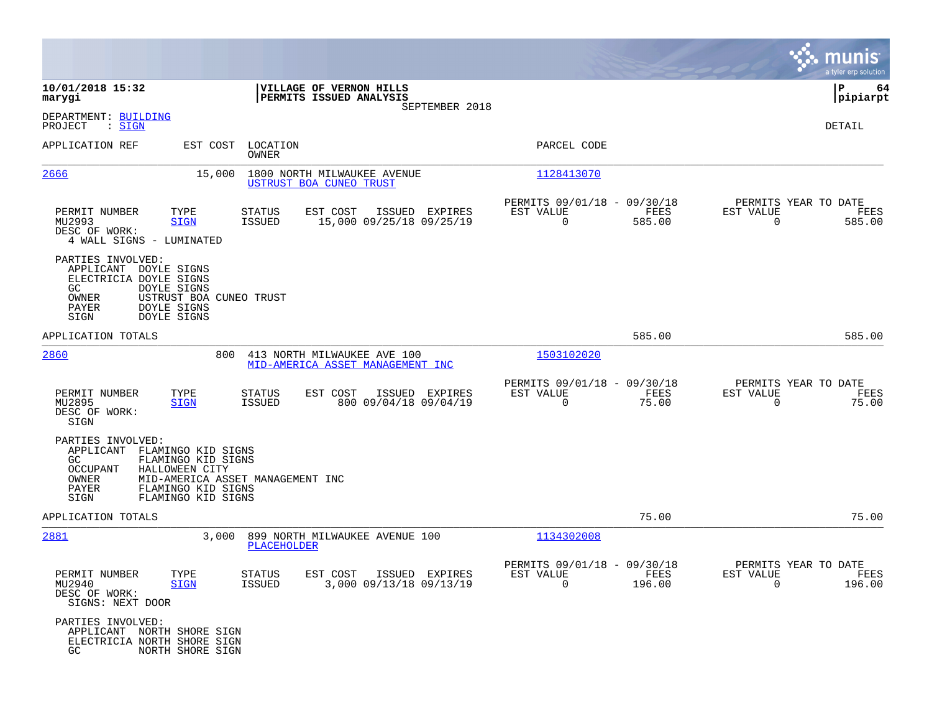|                                                                                                                                                                                                  |                                                                                          |                                                                           | munis<br>a tyler erp solution                                   |
|--------------------------------------------------------------------------------------------------------------------------------------------------------------------------------------------------|------------------------------------------------------------------------------------------|---------------------------------------------------------------------------|-----------------------------------------------------------------|
| 10/01/2018 15:32<br>marygi                                                                                                                                                                       | VILLAGE OF VERNON HILLS<br>PERMITS ISSUED ANALYSIS                                       |                                                                           | IΡ<br>64<br> pipiarpt                                           |
| DEPARTMENT: BUILDING<br>PROJECT<br>$\mathrel{\mathop:} \mathsf{SIGN}$                                                                                                                            | SEPTEMBER 2018                                                                           |                                                                           | DETAIL                                                          |
| APPLICATION REF<br>EST COST                                                                                                                                                                      | LOCATION<br>OWNER                                                                        | PARCEL CODE                                                               |                                                                 |
| 2666                                                                                                                                                                                             | 15,000<br>1800 NORTH MILWAUKEE AVENUE<br>USTRUST BOA CUNEO TRUST                         | 1128413070                                                                |                                                                 |
| PERMIT NUMBER<br>TYPE<br>MU2993<br><b>SIGN</b><br>DESC OF WORK:<br>4 WALL SIGNS - LUMINATED                                                                                                      | <b>STATUS</b><br>EST COST<br>ISSUED EXPIRES<br>15,000 09/25/18 09/25/19<br><b>ISSUED</b> | PERMITS 09/01/18 - 09/30/18<br>FEES<br>EST VALUE<br>$\mathbf 0$<br>585.00 | PERMITS YEAR TO DATE<br>EST VALUE<br>FEES<br>$\Omega$<br>585.00 |
| PARTIES INVOLVED:<br>APPLICANT DOYLE SIGNS<br>ELECTRICIA DOYLE SIGNS<br>GC<br>DOYLE SIGNS<br>USTRUST BOA CUNEO TRUST<br>OWNER<br>PAYER<br>DOYLE SIGNS<br>DOYLE SIGNS<br>SIGN                     |                                                                                          |                                                                           |                                                                 |
| APPLICATION TOTALS                                                                                                                                                                               |                                                                                          | 585.00                                                                    | 585.00                                                          |
| 2860                                                                                                                                                                                             | 800<br>413 NORTH MILWAUKEE AVE 100<br>MID-AMERICA ASSET MANAGEMENT INC                   | 1503102020                                                                |                                                                 |
| PERMIT NUMBER<br>TYPE<br>MU2895<br><b>SIGN</b><br>DESC OF WORK:<br>SIGN                                                                                                                          | STATUS<br>EST COST<br>ISSUED EXPIRES<br>800 09/04/18 09/04/19<br><b>ISSUED</b>           | PERMITS 09/01/18 - 09/30/18<br>EST VALUE<br>FEES<br>$\Omega$<br>75.00     | PERMITS YEAR TO DATE<br>EST VALUE<br>FEES<br>0<br>75.00         |
| PARTIES INVOLVED:<br>APPLICANT FLAMINGO KID SIGNS<br>GC.<br>FLAMINGO KID SIGNS<br><b>OCCUPANT</b><br>HALLOWEEN CITY<br>OWNER<br><b>PAYER</b><br>FLAMINGO KID SIGNS<br>SIGN<br>FLAMINGO KID SIGNS | MID-AMERICA ASSET MANAGEMENT INC                                                         |                                                                           |                                                                 |
| APPLICATION TOTALS                                                                                                                                                                               |                                                                                          | 75.00                                                                     | 75.00                                                           |
| 2881                                                                                                                                                                                             | 3,000<br>899 NORTH MILWAUKEE AVENUE 100<br>PLACEHOLDER                                   | 1134302008                                                                |                                                                 |
| PERMIT NUMBER<br>TYPE<br>MU2940<br><b>SIGN</b><br>DESC OF WORK:<br>SIGNS: NEXT DOOR                                                                                                              | STATUS<br>EST COST ISSUED EXPIRES<br>3,000 09/13/18 09/13/19<br>ISSUED                   | PERMITS 09/01/18 - 09/30/18<br>EST VALUE<br>FEES<br>$\Omega$<br>196.00    | PERMITS YEAR TO DATE<br>EST VALUE<br>FEES<br>$\Omega$<br>196.00 |
| PARTIES INVOLVED:<br>APPLICANT NORTH SHORE SIGN<br>ELECTRICIA NORTH SHORE SIGN<br>GC.<br>NORTH SHORE SIGN                                                                                        |                                                                                          |                                                                           |                                                                 |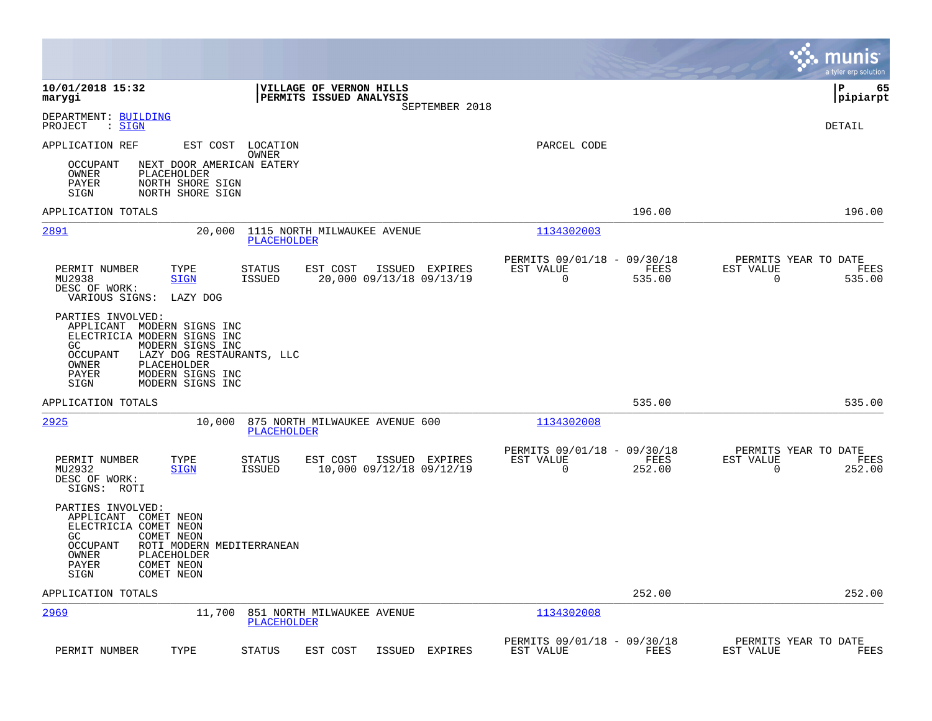|                                                                                                                                                                                |                                                                                                    |                                                           |                |                                                         |                | munis<br>a tyler erp solution                                      |
|--------------------------------------------------------------------------------------------------------------------------------------------------------------------------------|----------------------------------------------------------------------------------------------------|-----------------------------------------------------------|----------------|---------------------------------------------------------|----------------|--------------------------------------------------------------------|
| 10/01/2018 15:32<br>marygi                                                                                                                                                     |                                                                                                    | VILLAGE OF VERNON HILLS<br><b>PERMITS ISSUED ANALYSIS</b> | SEPTEMBER 2018 |                                                         |                | l P<br>65<br> pipiarpt                                             |
| DEPARTMENT: BUILDING<br>PROJECT<br>: <u>SIGN</u>                                                                                                                               |                                                                                                    |                                                           |                |                                                         |                | DETAIL                                                             |
| APPLICATION REF<br>OCCUPANT<br>OWNER<br>PLACEHOLDER<br>PAYER<br>SIGN                                                                                                           | EST COST<br>LOCATION<br>OWNER<br>NEXT DOOR AMERICAN EATERY<br>NORTH SHORE SIGN<br>NORTH SHORE SIGN |                                                           |                | PARCEL CODE                                             |                |                                                                    |
| APPLICATION TOTALS                                                                                                                                                             |                                                                                                    |                                                           |                |                                                         | 196.00         | 196.00                                                             |
| 2891                                                                                                                                                                           | 20,000<br>PLACEHOLDER                                                                              | 1115 NORTH MILWAUKEE AVENUE                               |                | 1134302003                                              |                |                                                                    |
| PERMIT NUMBER<br>TYPE<br>MU2938<br><b>SIGN</b><br>DESC OF WORK:<br>VARIOUS SIGNS: LAZY DOG                                                                                     | <b>STATUS</b><br><b>ISSUED</b>                                                                     | EST COST<br>20,000 09/13/18 09/13/19                      | ISSUED EXPIRES | PERMITS 09/01/18 - 09/30/18<br>EST VALUE<br>$\mathbf 0$ | FEES<br>535.00 | PERMITS YEAR TO DATE<br>EST VALUE<br>FEES<br>535.00<br>0           |
| PARTIES INVOLVED:<br>APPLICANT MODERN SIGNS INC<br>ELECTRICIA MODERN SIGNS INC<br>GC.<br>OCCUPANT<br>OWNER<br>PLACEHOLDER<br>PAYER<br>SIGN                                     | MODERN SIGNS INC<br>LAZY DOG RESTAURANTS, LLC<br>MODERN SIGNS INC<br>MODERN SIGNS INC              |                                                           |                |                                                         |                |                                                                    |
| APPLICATION TOTALS                                                                                                                                                             |                                                                                                    |                                                           |                |                                                         | 535.00         | 535.00                                                             |
| 2925                                                                                                                                                                           | 10,000<br>PLACEHOLDER                                                                              | 875 NORTH MILWAUKEE AVENUE 600                            |                | 1134302008                                              |                |                                                                    |
| PERMIT NUMBER<br>TYPE<br>MU2932<br><b>SIGN</b><br>DESC OF WORK:<br>SIGNS: ROTI                                                                                                 | <b>STATUS</b><br><b>ISSUED</b>                                                                     | EST COST<br>10,000 09/12/18 09/12/19                      | ISSUED EXPIRES | PERMITS 09/01/18 - 09/30/18<br>EST VALUE<br>0           | FEES<br>252.00 | PERMITS YEAR TO DATE<br>EST VALUE<br>FEES<br>$\mathbf 0$<br>252.00 |
| PARTIES INVOLVED:<br>APPLICANT COMET NEON<br>ELECTRICIA COMET NEON<br>GC<br>COMET NEON<br><b>OCCUPANT</b><br>OWNER<br>PLACEHOLDER<br>PAYER<br>COMET NEON<br>COMET NEON<br>SIGN | ROTI MODERN MEDITERRANEAN                                                                          |                                                           |                |                                                         |                |                                                                    |
| APPLICATION TOTALS                                                                                                                                                             |                                                                                                    |                                                           |                |                                                         | 252.00         | 252.00                                                             |
| 2969                                                                                                                                                                           | 11,700<br>PLACEHOLDER                                                                              | 851 NORTH MILWAUKEE AVENUE                                |                | 1134302008                                              |                |                                                                    |
| TYPE<br>PERMIT NUMBER                                                                                                                                                          | STATUS                                                                                             | EST COST                                                  | ISSUED EXPIRES | PERMITS 09/01/18 - 09/30/18<br>EST VALUE                | FEES           | PERMITS YEAR TO DATE<br>EST VALUE<br>FEES                          |